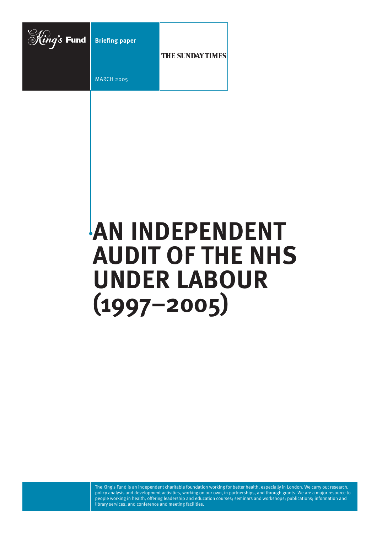

# **AN INDEPENDENT AUDIT OF THE NHS UNDER LABOUR (1997–2005)**

The King's Fund is an independent charitable foundation working for better health, especially in London. We carry out research, policy analysis and development activities, working on our own, in partnerships, and through grants. We are a major resource to people working in health, offering leadership and education courses; seminars and workshops; publications; information and library services; and conference and meeting facilities.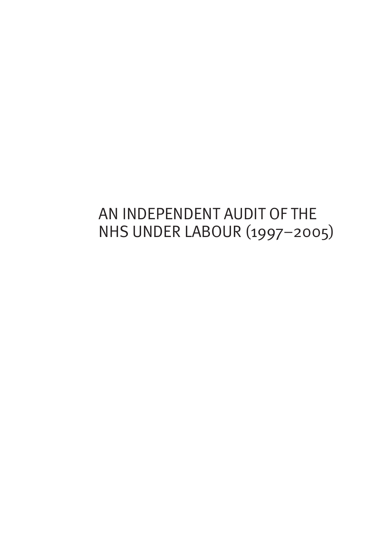## AN INDEPENDENT AUDIT OF THE NHS UNDER LABOUR (1997–2005)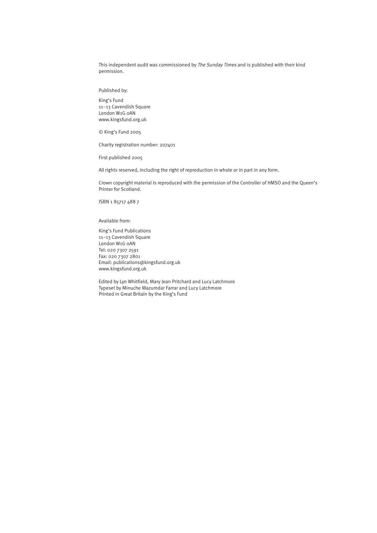This independent audit was commissioned by The Sunday Times and is published with their kind permission.

Published by:

King's Fund 11–13 Cavendish Square London W1G 0AN www.kingsfund.org.uk

© King's Fund 2005

Charity registration number: 207401

First published 2005

All rights reserved, including the right of reproduction in whole or in part in any form.

Crown copyright material is reproduced with the permission of the Controller of HMSO and the Queen's Printer for Scotland.

ISBN 1 85717 488 7

Available from:

King's Fund Publications 11–13 Cavendish Square London W1G 0AN Tel: 020 7307 2591 Fax: 020 7307 2801 Email: publications@kingsfund.org.uk www.kingsfund.org.uk

Edited by Lyn Whitfield, Mary Jean Pritchard and Lucy Latchmore Typeset by Minuche Mazumdar Farrar and Lucy Latchmore Printed in Great Britain by the King's Fund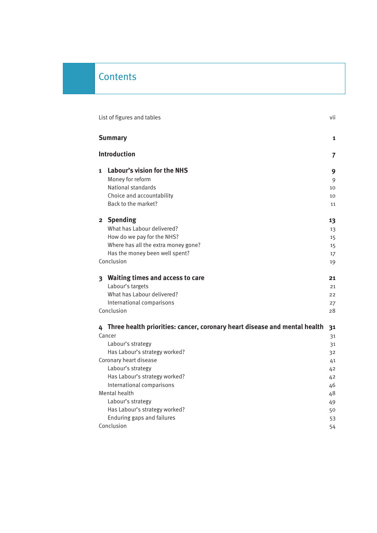## **Contents**

| List of figures and tables                                                  | vii |
|-----------------------------------------------------------------------------|-----|
| <b>Summary</b>                                                              | 1   |
| <b>Introduction</b>                                                         | 7   |
| Labour's vision for the NHS<br>$\mathbf{1}$                                 | 9   |
| Money for reform                                                            | 9   |
| National standards                                                          | 10  |
| Choice and accountability<br>Back to the market?                            | 10  |
|                                                                             | 11  |
| 2 Spending                                                                  | 13  |
| What has Labour delivered?                                                  | 13  |
| How do we pay for the NHS?                                                  | 15  |
| Where has all the extra money gone?                                         | 15  |
| Has the money been well spent?                                              | 17  |
| Conclusion                                                                  | 19  |
| 3 Waiting times and access to care                                          | 21  |
| Labour's targets                                                            | 21  |
| What has Labour delivered?                                                  | 22  |
| International comparisons                                                   | 27  |
| Conclusion                                                                  | 28  |
| 4 Three health priorities: cancer, coronary heart disease and mental health | 31  |
| Cancer                                                                      | 31  |
| Labour's strategy                                                           | 31  |
| Has Labour's strategy worked?                                               | 32  |
| Coronary heart disease                                                      | 41  |
| Labour's strategy                                                           | 42  |
| Has Labour's strategy worked?                                               | 42  |
| International comparisons                                                   | 46  |
| Mental health                                                               | 48  |
| Labour's strategy                                                           | 49  |
| Has Labour's strategy worked?                                               | 50  |
| Enduring gaps and failures                                                  | 53  |
| Conclusion                                                                  | 54  |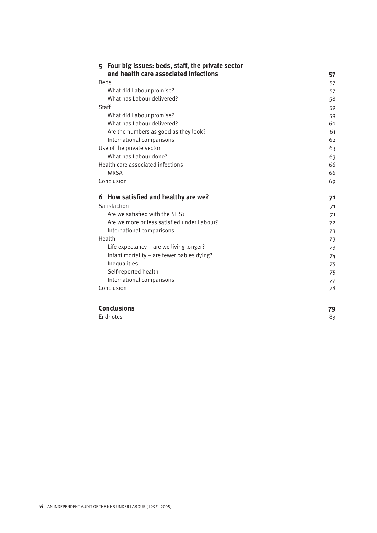| Four big issues: beds, staff, the private sector<br>5 |          |
|-------------------------------------------------------|----------|
| and health care associated infections                 | 57       |
| <b>Beds</b>                                           | 57       |
| What did Labour promise?                              | 57       |
| What has Labour delivered?                            | 58       |
| Staff                                                 | 59       |
| What did Labour promise?                              | 59       |
| What has Labour delivered?                            | 60       |
| Are the numbers as good as they look?                 | 61       |
| International comparisons                             | 62       |
| Use of the private sector                             | 63       |
| What has Labour done?                                 | 63       |
| Health care associated infections                     | 66       |
| <b>MRSA</b>                                           | 66       |
| Conclusion                                            | 69       |
| How satisfied and healthy are we?<br>6                | 71       |
| Satisfaction                                          | 71       |
| Are we satisfied with the NHS?                        | 71       |
| Are we more or less satisfied under Labour?           | 72       |
| International comparisons                             | 73       |
| Health                                                | 73       |
|                                                       |          |
| Life expectancy $-$ are we living longer?             | 73       |
| Infant mortality - are fewer babies dying?            | 74       |
| Inequalities                                          |          |
| Self-reported health                                  | 75<br>75 |
| International comparisons                             | 77       |

| <b>Conclusions</b> | 79 |
|--------------------|----|
| Endnotes           | 8२ |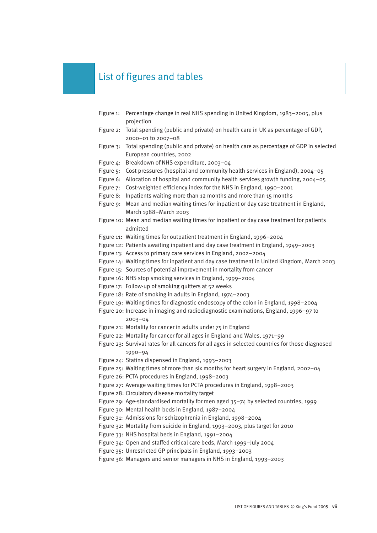## List of figures and tables

| Figure 1: | Percentage change in real NHS spending in United Kingdom, 1983-2005, plus<br>projection                         |
|-----------|-----------------------------------------------------------------------------------------------------------------|
| Figure 2: | Total spending (public and private) on health care in UK as percentage of GDP,                                  |
|           | 2000-01 to 2007-08                                                                                              |
| Figure 3: | Total spending (public and private) on health care as percentage of GDP in selected<br>European countries, 2002 |
| Figure 4: | Breakdown of NHS expenditure, 2003-04                                                                           |
| Figure 5: | Cost pressures (hospital and community health services in England), 2004-05                                     |
| Figure 6: | Allocation of hospital and community health services growth funding, 2004-05                                    |
| Figure 7: | Cost-weighted efficiency index for the NHS in England, 1990-2001                                                |
|           | Figure 8: Inpatients waiting more than 12 months and more than 15 months                                        |
|           | Figure 9: Mean and median waiting times for inpatient or day case treatment in England,                         |
|           | March 1988-March 2003                                                                                           |
|           | Figure 10: Mean and median waiting times for inpatient or day case treatment for patients                       |
|           | admitted                                                                                                        |
|           | Figure 11: Waiting times for outpatient treatment in England, 1996-2004                                         |
|           | Figure 12: Patients awaiting inpatient and day case treatment in England, 1949-2003                             |
|           | Figure 13: Access to primary care services in England, 2002-2004                                                |
|           | Figure 14: Waiting times for inpatient and day case treatment in United Kingdom, March 2003                     |
|           | Figure 15: Sources of potential improvement in mortality from cancer                                            |
|           | Figure 16: NHS stop smoking services in England, 1999-2004                                                      |
|           | Figure 17: Follow-up of smoking quitters at 52 weeks                                                            |
|           | Figure 18: Rate of smoking in adults in England, 1974-2003                                                      |
|           | Figure 19: Waiting times for diagnostic endoscopy of the colon in England, 1998-2004                            |
|           | Figure 20: Increase in imaging and radiodiagnostic examinations, England, 1996-97 to                            |
|           | 2003-04<br>Figure 21: Mortality for cancer in adults under 75 in England                                        |
|           | Figure 22: Mortality for cancer for all ages in England and Wales, 1971-99                                      |
|           | Figure 23: Survival rates for all cancers for all ages in selected countries for those diagnosed                |
|           | 1990-94                                                                                                         |
|           | Figure 24: Statins dispensed in England, 1993-2003                                                              |
|           | Figure 25: Waiting times of more than six months for heart surgery in England, 2002-04                          |
|           | Figure 26: PCTA procedures in England, 1998-2003                                                                |
|           | Figure 27: Average waiting times for PCTA procedures in England, 1998-2003                                      |
|           | Figure 28: Circulatory disease mortality target                                                                 |
|           | Figure 29: Age-standardised mortality for men aged 35-74 by selected countries, 1999                            |
|           | Figure 30: Mental health beds in England, 1987-2004                                                             |
|           | Figure 31: Admissions for schizophrenia in England, 1998-2004                                                   |
|           | Figure 32: Mortality from suicide in England, 1993-2003, plus target for 2010                                   |
|           | Figure 33: NHS hospital beds in England, 1991-2004                                                              |
|           | Figure 34: Open and staffed critical care beds, March 1999-July 2004                                            |
|           | Figure 35: Unrestricted GP principals in England, 1993-2003                                                     |
|           | Figure 36: Managers and senior managers in NHS in England, 1993-2003                                            |
|           |                                                                                                                 |
|           |                                                                                                                 |
|           |                                                                                                                 |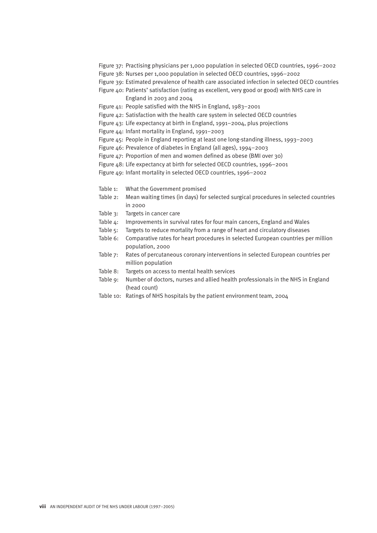- Figure 37: Practising physicians per 1,000 population in selected OECD countries, 1996–2002
- Figure 38: Nurses per 1,000 population in selected OECD countries, 1996–2002
- Figure 39: Estimated prevalence of health care associated infection in selected OECD countries
- Figure 40: Patients' satisfaction (rating as excellent, very good or good) with NHS care in England in 2003 and 2004
- Figure 41: People satisfied with the NHS in England, 1983–2001
- Figure 42: Satisfaction with the health care system in selected OECD countries
- Figure 43: Life expectancy at birth in England, 1991–2004, plus projections
- Figure 44: Infant mortality in England, 1991–2003
- Figure 45: People in England reporting at least one long-standing illness, 1993–2003
- Figure 46: Prevalence of diabetes in England (all ages), 1994–2003
- Figure 47: Proportion of men and women defined as obese (BMI over 30)
- Figure 48: Life expectancy at birth for selected OECD countries, 1996–2001
- Figure 49: Infant mortality in selected OECD countries, 1996–2002
- Table 1: What the Government promised
- Table 2: Mean waiting times (in days) for selected surgical procedures in selected countries in 2000
- Table 3: Targets in cancer care
- Table 4: Improvements in survival rates for four main cancers, England and Wales
- Table 5: Targets to reduce mortality from a range of heart and circulatory diseases
- Table 6: Comparative rates for heart procedures in selected European countries per million population, 2000
- Table 7: Rates of percutaneous coronary interventions in selected European countries per million population
- Table 8: Targets on access to mental health services
- Table 9: Number of doctors, nurses and allied health professionals in the NHS in England (head count)
- Table 10: Ratings of NHS hospitals by the patient environment team, 2004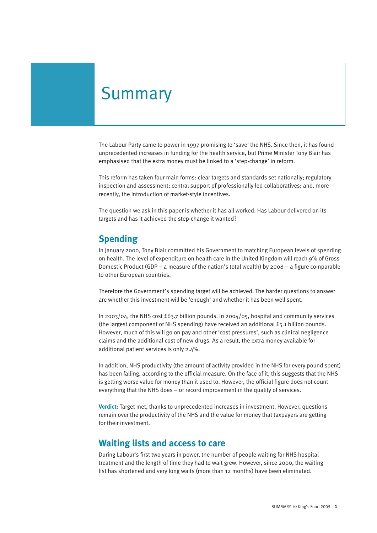## Summary

The Labour Party came to power in 1997 promising to 'save' the NHS. Since then, it has found unprecedented increases in funding for the health service, but Prime Minister Tony Blair has emphasised that the extra money must be linked to a 'step-change' in reform.

This reform has taken four main forms: clear targets and standards set nationally; regulatory inspection and assessment; central support of professionally led collaboratives; and, more recently, the introduction of market-style incentives.

The question we ask in this paper is whether it has all worked. Has Labour delivered on its targets and has it achieved the step-change it wanted?

#### **Spending**

In January 2000, Tony Blair committed his Government to matching European levels of spending on health. The level of expenditure on health care in the United Kingdom will reach 9% of Gross Domestic Product (GDP – a measure of the nation's total wealth) by 2008 – a figure comparable to other European countries.

Therefore the Government's spending target will be achieved. The harder questions to answer are whether this investment will be 'enough' and whether it has been well spent.

In 2003/04, the NHS cost £63.7 billion pounds. In 2004/05, hospital and community services (the largest component of NHS spending) have received an additional £5.1 billion pounds. However, much of this will go on pay and other 'cost pressures', such as clinical negligence claims and the additional cost of new drugs. As a result, the extra money available for additional patient services is only 2.4%.

In addition, NHS productivity (the amount of activity provided in the NHS for every pound spent) has been falling, according to the official measure. On the face of it, this suggests that the NHS is getting worse value for money than it used to. However, the official figure does not count everything that the NHS does – or record improvement in the quality of services.

**Verdict:** Target met, thanks to unprecedented increases in investment. However, questions remain over the productivity of the NHS and the value for money that taxpayers are getting for their investment.

#### **Waiting lists and access to care**

During Labour's first two years in power, the number of people waiting for NHS hospital treatment and the length of time they had to wait grew. However, since 2000, the waiting list has shortened and very long waits (more than 12 months) have been eliminated.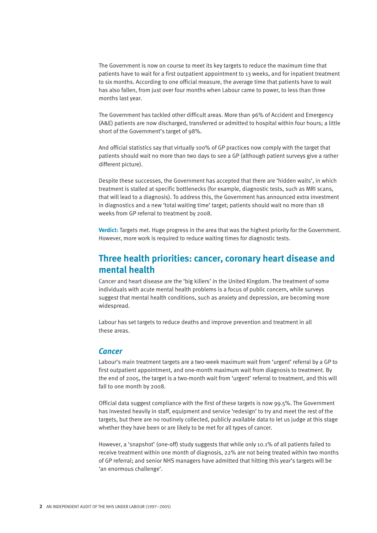The Government is now on course to meet its key targets to reduce the maximum time that patients have to wait for a first outpatient appointment to 13 weeks, and for inpatient treatment to six months. According to one official measure, the average time that patients have to wait has also fallen, from just over four months when Labour came to power, to less than three months last year.

The Government has tackled other difficult areas. More than 96% of Accident and Emergency (A&E) patients are now discharged, transferred or admitted to hospital within four hours; a little short of the Government's target of 98%.

And official statistics say that virtually 100% of GP practices now comply with the target that patients should wait no more than two days to see a GP (although patient surveys give a rather different picture).

Despite these successes, the Government has accepted that there are 'hidden waits', in which treatment is stalled at specific bottlenecks (for example, diagnostic tests, such as MRI scans, that will lead to a diagnosis). To address this, the Government has announced extra investment in diagnostics and a new 'total waiting time' target; patients should wait no more than 18 weeks from GP referral to treatment by 2008.

**Verdict:** Targets met. Huge progress in the area that was the highest priority for the Government. However, more work is required to reduce waiting times for diagnostic tests.

#### **Three health priorities: cancer, coronary heart disease and mental health**

Cancer and heart disease are the 'big killers' in the United Kingdom. The treatment of some individuals with acute mental health problems is a focus of public concern, while surveys suggest that mental health conditions, such as anxiety and depression, are becoming more widespread.

Labour has set targets to reduce deaths and improve prevention and treatment in all these areas.

#### *Cancer*

Labour's main treatment targets are a two-week maximum wait from 'urgent' referral by a GP to first outpatient appointment, and one-month maximum wait from diagnosis to treatment. By the end of 2005, the target is a two-month wait from 'urgent' referral to treatment, and this will fall to one month by 2008.

Official data suggest compliance with the first of these targets is now 99.5%. The Government has invested heavily in staff, equipment and service 'redesign' to try and meet the rest of the targets, but there are no routinely collected, publicly available data to let us judge at this stage whether they have been or are likely to be met for all types of cancer.

However, a 'snapshot' (one-off) study suggests that while only 10.1% of all patients failed to receive treatment within one month of diagnosis, 22% are not being treated within two months of GP referral; and senior NHS managers have admitted that hitting this year's targets will be 'an enormous challenge'.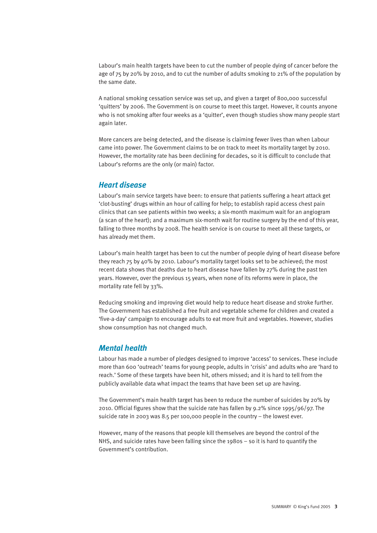Labour's main health targets have been to cut the number of people dying of cancer before the age of 75 by 20% by 2010, and to cut the number of adults smoking to 21% of the population by the same date.

A national smoking cessation service was set up, and given a target of 800,000 successful 'quitters' by 2006. The Government is on course to meet this target. However, it counts anyone who is not smoking after four weeks as a 'quitter', even though studies show many people start again later.

More cancers are being detected, and the disease is claiming fewer lives than when Labour came into power. The Government claims to be on track to meet its mortality target by 2010. However, the mortality rate has been declining for decades, so it is difficult to conclude that Labour's reforms are the only (or main) factor.

#### *Heart disease*

Labour's main service targets have been: to ensure that patients suffering a heart attack get 'clot-busting' drugs within an hour of calling for help; to establish rapid access chest pain clinics that can see patients within two weeks; a six-month maximum wait for an angiogram (a scan of the heart); and a maximum six-month wait for routine surgery by the end of this year, falling to three months by 2008. The health service is on course to meet all these targets, or has already met them.

Labour's main health target has been to cut the number of people dying of heart disease before they reach 75 by 40% by 2010. Labour's mortality target looks set to be achieved; the most recent data shows that deaths due to heart disease have fallen by 27% during the past ten years. However, over the previous 15 years, when none of its reforms were in place, the mortality rate fell by 33%.

Reducing smoking and improving diet would help to reduce heart disease and stroke further. The Government has established a free fruit and vegetable scheme for children and created a 'five-a-day' campaign to encourage adults to eat more fruit and vegetables. However, studies show consumption has not changed much.

#### *Mental health*

Labour has made a number of pledges designed to improve 'access' to services. These include more than 600 'outreach' teams for young people, adults in 'crisis' and adults who are 'hard to reach.' Some of these targets have been hit, others missed; and it is hard to tell from the publicly available data what impact the teams that have been set up are having.

The Government's main health target has been to reduce the number of suicides by 20% by 2010. Official figures show that the suicide rate has fallen by 9.2% since 1995/96/97. The suicide rate in 2003 was 8.5 per 100,000 people in the country – the lowest ever.

However, many of the reasons that people kill themselves are beyond the control of the NHS, and suicide rates have been falling since the 1980s – so it is hard to quantify the Government's contribution.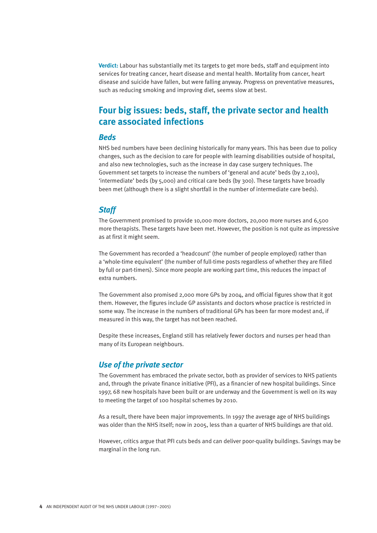**Verdict:** Labour has substantially met its targets to get more beds, staff and equipment into services for treating cancer, heart disease and mental health. Mortality from cancer, heart disease and suicide have fallen, but were falling anyway. Progress on preventative measures, such as reducing smoking and improving diet, seems slow at best.

## **Four big issues: beds, staff, the private sector and health care associated infections**

#### *Beds*

NHS bed numbers have been declining historically for many years. This has been due to policy changes, such as the decision to care for people with learning disabilities outside of hospital, and also new technologies, such as the increase in day case surgery techniques. The Government set targets to increase the numbers of 'general and acute' beds (by 2,100), 'intermediate' beds (by 5,000) and critical care beds (by 300). These targets have broadly been met (although there is a slight shortfall in the number of intermediate care beds).

#### *Staff*

The Government promised to provide 10,000 more doctors, 20,000 more nurses and 6,500 more therapists. These targets have been met. However, the position is not quite as impressive as at first it might seem.

The Government has recorded a 'headcount' (the number of people employed) rather than a 'whole-time equivalent' (the number of full-time posts regardless of whether they are filled by full or part-timers). Since more people are working part time, this reduces the impact of extra numbers.

The Government also promised 2,000 more GPs by 2004, and official figures show that it got them. However, the figures include GP assistants and doctors whose practice is restricted in some way. The increase in the numbers of traditional GPs has been far more modest and, if measured in this way, the target has not been reached.

Despite these increases, England still has relatively fewer doctors and nurses per head than many of its European neighbours.

#### *Use of the private sector*

The Government has embraced the private sector, both as provider of services to NHS patients and, through the private finance initiative (PFI), as a financier of new hospital buildings. Since 1997, 68 new hospitals have been built or are underway and the Government is well on its way to meeting the target of 100 hospital schemes by 2010.

As a result, there have been major improvements. In 1997 the average age of NHS buildings was older than the NHS itself; now in 2005, less than a quarter of NHS buildings are that old.

However, critics argue that PFI cuts beds and can deliver poor-quality buildings. Savings may be marginal in the long run.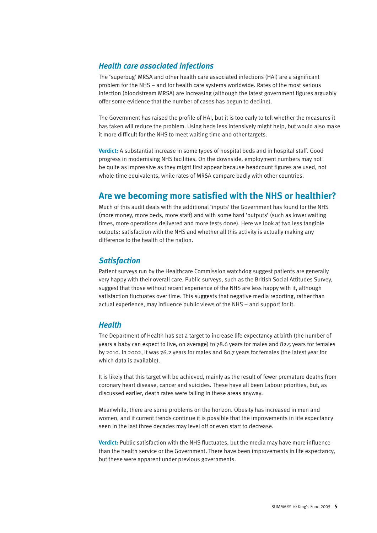#### *Health care associated infections*

The 'superbug' MRSA and other health care associated infections (HAI) are a significant problem for the NHS – and for health care systems worldwide. Rates of the most serious infection (bloodstream MRSA) are increasing (although the latest government figures arguably offer some evidence that the number of cases has begun to decline).

The Government has raised the profile of HAI, but it is too early to tell whether the measures it has taken will reduce the problem. Using beds less intensively might help, but would also make it more difficult for the NHS to meet waiting time and other targets.

**Verdict:** A substantial increase in some types of hospital beds and in hospital staff. Good progress in modernising NHS facilities. On the downside, employment numbers may not be quite as impressive as they might first appear because headcount figures are used, not whole-time equivalents, while rates of MRSA compare badly with other countries.

### **Are we becoming more satisfied with the NHS or healthier?**

Much of this audit deals with the additional 'inputs' the Government has found for the NHS (more money, more beds, more staff) and with some hard 'outputs' (such as lower waiting times, more operations delivered and more tests done). Here we look at two less tangible outputs: satisfaction with the NHS and whether all this activity is actually making any difference to the health of the nation.

#### *Satisfaction*

Patient surveys run by the Healthcare Commission watchdog suggest patients are generally very happy with their overall care. Public surveys, such as the British Social Attitudes Survey, suggest that those without recent experience of the NHS are less happy with it, although satisfaction fluctuates over time. This suggests that negative media reporting, rather than actual experience, may influence public views of the NHS – and support for it.

#### *Health*

The Department of Health has set a target to increase life expectancy at birth (the number of years a baby can expect to live, on average) to 78.6 years for males and 82.5 years for females by 2010. In 2002, it was 76.2 years for males and 80.7 years for females (the latest year for which data is available).

It is likely that this target will be achieved, mainly as the result of fewer premature deaths from coronary heart disease, cancer and suicides. These have all been Labour priorities, but, as discussed earlier, death rates were falling in these areas anyway.

Meanwhile, there are some problems on the horizon. Obesity has increased in men and women, and if current trends continue it is possible that the improvements in life expectancy seen in the last three decades may level off or even start to decrease.

**Verdict:** Public satisfaction with the NHS fluctuates, but the media may have more influence than the health service or the Government. There have been improvements in life expectancy, but these were apparent under previous governments.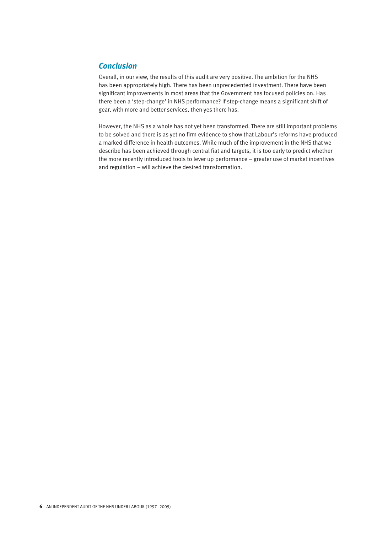#### *Conclusion*

Overall, in our view, the results of this audit are very positive. The ambition for the NHS has been appropriately high. There has been unprecedented investment. There have been significant improvements in most areas that the Government has focused policies on. Has there been a 'step-change' in NHS performance? If step-change means a significant shift of gear, with more and better services, then yes there has.

However, the NHS as a whole has not yet been transformed. There are still important problems to be solved and there is as yet no firm evidence to show that Labour's reforms have produced a marked difference in health outcomes. While much of the improvement in the NHS that we describe has been achieved through central fiat and targets, it is too early to predict whether the more recently introduced tools to lever up performance – greater use of market incentives and regulation – will achieve the desired transformation.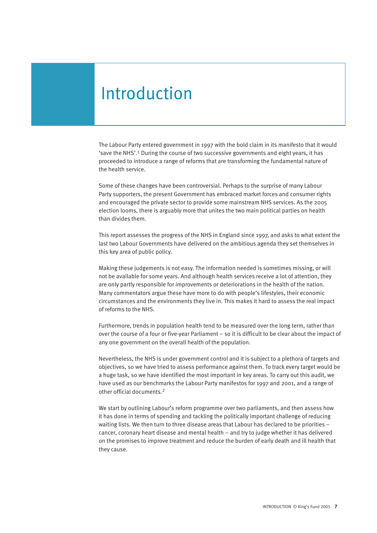## Introduction

The Labour Party entered government in 1997 with the bold claim in its manifesto that it would 'save the NHS'.<sup>1</sup> During the course of two successive governments and eight years, it has proceeded to introduce a range of reforms that are transforming the fundamental nature of the health service.

Some of these changes have been controversial. Perhaps to the surprise of many Labour Party supporters, the present Government has embraced market forces and consumer rights and encouraged the private sector to provide some mainstream NHS services. As the 2005 election looms, there is arguably more that unites the two main political parties on health than divides them.

This report assesses the progress of the NHS in England since 1997, and asks to what extent the last two Labour Governments have delivered on the ambitious agenda they set themselves in this key area of public policy.

Making these judgements is not easy. The information needed is sometimes missing, or will not be available for some years. And although health services receive a lot of attention, they are only partly responsible for improvements or deteriorations in the health of the nation. Many commentators argue these have more to do with people's lifestyles, their economic circumstances and the environments they live in. This makes it hard to assess the real impact of reforms to the NHS.

Furthermore, trends in population health tend to be measured over the long term, rather than over the course of a four or five-year Parliament – so it is difficult to be clear about the impact of any one government on the overall health of the population.

Nevertheless, the NHS is under government control and it is subject to a plethora of targets and objectives, so we have tried to assess performance against them. To track every target would be a huge task, so we have identified the most important in key areas. To carry out this audit, we have used as our benchmarks the Labour Party manifestos for 1997 and 2001, and a range of other official documents.<sup>2</sup>

We start by outlining Labour's reform programme over two parliaments, and then assess how it has done in terms of spending and tackling the politically important challenge of reducing waiting lists. We then turn to three disease areas that Labour has declared to be priorities – cancer, coronary heart disease and mental health – and try to judge whether it has delivered on the promises to improve treatment and reduce the burden of early death and ill health that they cause.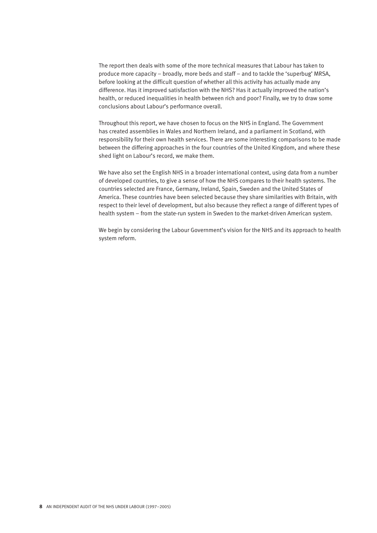The report then deals with some of the more technical measures that Labour has taken to produce more capacity – broadly, more beds and staff – and to tackle the 'superbug' MRSA, before looking at the difficult question of whether all this activity has actually made any difference. Has it improved satisfaction with the NHS? Has it actually improved the nation's health, or reduced inequalities in health between rich and poor? Finally, we try to draw some conclusions about Labour's performance overall.

Throughout this report, we have chosen to focus on the NHS in England. The Government has created assemblies in Wales and Northern Ireland, and a parliament in Scotland, with responsibility for their own health services. There are some interesting comparisons to be made between the differing approaches in the four countries of the United Kingdom, and where these shed light on Labour's record, we make them.

We have also set the English NHS in a broader international context, using data from a number of developed countries, to give a sense of how the NHS compares to their health systems. The countries selected are France, Germany, Ireland, Spain, Sweden and the United States of America. These countries have been selected because they share similarities with Britain, with respect to their level of development, but also because they reflect a range of different types of health system – from the state-run system in Sweden to the market-driven American system.

We begin by considering the Labour Government's vision for the NHS and its approach to health system reform.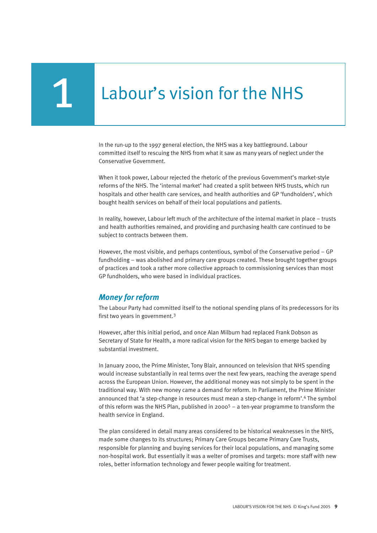# 1 Labour's vision for the NHS

In the run-up to the 1997 general election, the NHS was a key battleground. Labour committed itself to rescuing the NHS from what it saw as many years of neglect under the Conservative Government.

When it took power, Labour rejected the rhetoric of the previous Government's market-style reforms of the NHS. The 'internal market' had created a split between NHS trusts, which run hospitals and other health care services, and health authorities and GP 'fundholders', which bought health services on behalf of their local populations and patients.

In reality, however, Labour left much of the architecture of the internal market in place – trusts and health authorities remained, and providing and purchasing health care continued to be subject to contracts between them.

However, the most visible, and perhaps contentious, symbol of the Conservative period – GP fundholding – was abolished and primary care groups created. These brought together groups of practices and took a rather more collective approach to commissioning services than most GP fundholders, who were based in individual practices.

#### *Money for reform*

The Labour Party had committed itself to the notional spending plans of its predecessors for its first two years in government.<sup>3</sup>

However, after this initial period, and once Alan Milburn had replaced Frank Dobson as Secretary of State for Health, a more radical vision for the NHS began to emerge backed by substantial investment.

In January 2000, the Prime Minister, Tony Blair, announced on television that NHS spending would increase substantially in real terms over the next few years, reaching the average spend across the European Union. However, the additional money was not simply to be spent in the traditional way. With new money came a demand for reform. In Parliament, the Prime Minister announced that 'a step-change in resources must mean a step-change in reform'.<sup>4</sup> The symbol of this reform was the NHS Plan, published in 2000<sup>5</sup> – a ten-year programme to transform the health service in England.

The plan considered in detail many areas considered to be historical weaknesses in the NHS, made some changes to its structures; Primary Care Groups became Primary Care Trusts, responsible for planning and buying services for their local populations, and managing some non-hospital work. But essentially it was a welter of promises and targets: more staff with new roles, better information technology and fewer people waiting for treatment.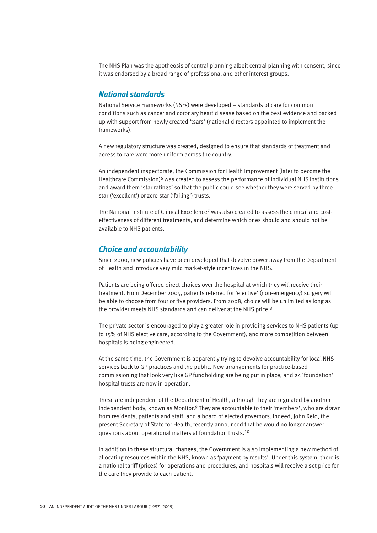The NHS Plan was the apotheosis of central planning albeit central planning with consent, since it was endorsed by a broad range of professional and other interest groups.

#### *National standards*

National Service Frameworks (NSFs) were developed – standards of care for common conditions such as cancer and coronary heart disease based on the best evidence and backed up with support from newly created 'tsars' (national directors appointed to implement the frameworks).

A new regulatory structure was created, designed to ensure that standards of treatment and access to care were more uniform across the country.

An independent inspectorate, the Commission for Health Improvement (later to become the Healthcare Commission) $6$  was created to assess the performance of individual NHS institutions and award them 'star ratings' so that the public could see whether they were served by three star ('excellent') or zero star ('failing') trusts.

The National Institute of Clinical Excellence<sup>7</sup> was also created to assess the clinical and costeffectiveness of different treatments, and determine which ones should and should not be available to NHS patients.

#### *Choice and accountability*

Since 2000, new policies have been developed that devolve power away from the Department of Health and introduce very mild market-style incentives in the NHS.

Patients are being offered direct choices over the hospital at which they will receive their treatment. From December 2005, patients referred for 'elective' (non-emergency) surgery will be able to choose from four or five providers. From 2008, choice will be unlimited as long as the provider meets NHS standards and can deliver at the NHS price.<sup>8</sup>

The private sector is encouraged to play a greater role in providing services to NHS patients (up to 15% of NHS elective care, according to the Government), and more competition between hospitals is being engineered.

At the same time, the Government is apparently trying to devolve accountability for local NHS services back to GP practices and the public. New arrangements for practice-based commissioning that look very like GP fundholding are being put in place, and 24 'foundation' hospital trusts are now in operation.

These are independent of the Department of Health, although they are regulated by another independent body, known as Monitor.<sup>9</sup> They are accountable to their 'members', who are drawn from residents, patients and staff, and a board of elected governors. Indeed, John Reid, the present Secretary of State for Health, recently announced that he would no longer answer questions about operational matters at foundation trusts.<sup>10</sup>

In addition to these structural changes, the Government is also implementing a new method of allocating resources within the NHS, known as 'payment by results'. Under this system, there is a national tariff (prices) for operations and procedures, and hospitals will receive a set price for the care they provide to each patient.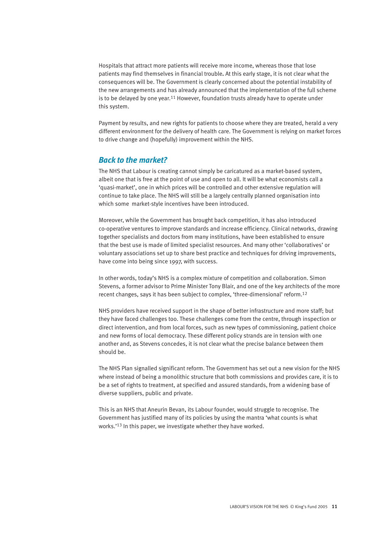Hospitals that attract more patients will receive more income, whereas those that lose patients may find themselves in financial trouble**.** At this early stage, it is not clear what the consequences will be. The Government is clearly concerned about the potential instability of the new arrangements and has already announced that the implementation of the full scheme is to be delayed by one year.<sup>11</sup> However, foundation trusts already have to operate under this system.

Payment by results, and new rights for patients to choose where they are treated, herald a very different environment for the delivery of health care. The Government is relying on market forces to drive change and (hopefully) improvement within the NHS.

#### *Back to the market?*

The NHS that Labour is creating cannot simply be caricatured as a market-based system, albeit one that is free at the point of use and open to all. It will be what economists call a 'quasi-market', one in which prices will be controlled and other extensive regulation will continue to take place. The NHS will still be a largely centrally planned organisation into which some market-style incentives have been introduced.

Moreover, while the Government has brought back competition, it has also introduced co-operative ventures to improve standards and increase efficiency. Clinical networks, drawing together specialists and doctors from many institutions, have been established to ensure that the best use is made of limited specialist resources. And many other 'collaboratives' or voluntary associations set up to share best practice and techniques for driving improvements, have come into being since 1997, with success.

In other words, today's NHS is a complex mixture of competition and collaboration. Simon Stevens, a former advisor to Prime Minister Tony Blair, and one of the key architects of the more recent changes, says it has been subject to complex, 'three-dimensional' reform.<sup>12</sup>

NHS providers have received support in the shape of better infrastructure and more staff; but they have faced challenges too. These challenges come from the centre, through inspection or direct intervention, and from local forces, such as new types of commissioning, patient choice and new forms of local democracy. These different policy strands are in tension with one another and, as Stevens concedes, it is not clear what the precise balance between them should be.

The NHS Plan signalled significant reform. The Government has set out a new vision for the NHS where instead of being a monolithic structure that both commissions and provides care, it is to be a set of rights to treatment, at specified and assured standards, from a widening base of diverse suppliers, public and private.

This is an NHS that Aneurin Bevan, its Labour founder, would struggle to recognise. The Government has justified many of its policies by using the mantra 'what counts is what works.'<sup>13</sup> In this paper, we investigate whether they have worked.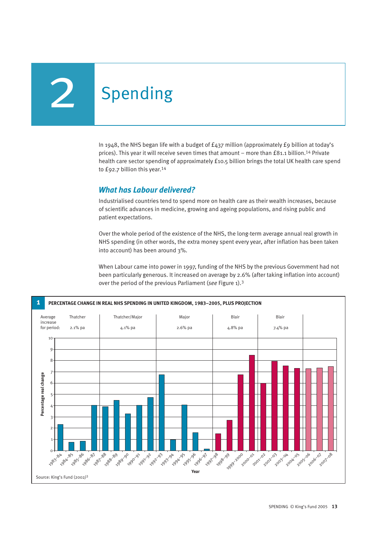## **Spending**

In 1948, the NHS began life with a budget of £437 million (approximately £9 billion at today's prices). This year it will receive seven times that amount – more than £81.1 billion.<sup>14</sup> Private health care sector spending of approximately £10.5 billion brings the total UK health care spend to £92.7 billion this year.<sup>14</sup>

#### *What has Labour delivered?*

Industrialised countries tend to spend more on health care as their wealth increases, because of scientific advances in medicine, growing and ageing populations, and rising public and patient expectations.

Over the whole period of the existence of the NHS, the long-term average annual real growth in NHS spending (in other words, the extra money spent every year, after inflation has been taken into account) has been around 3%.

When Labour came into power in 1997, funding of the NHS by the previous Government had not been particularly generous. It increased on average by 2.6% (after taking inflation into account) over the period of the previous Parliament (*see* Figure 1).<sup>3</sup>

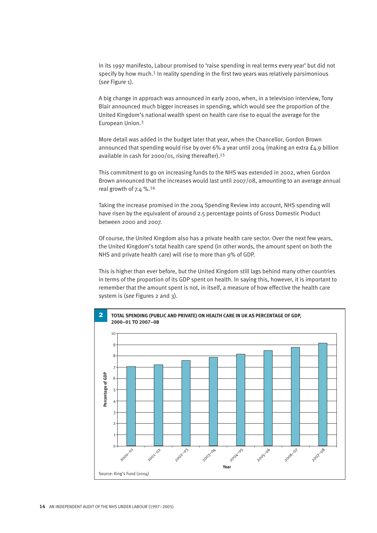In its 1997 manifesto, Labour promised to 'raise spending in real terms every year' but did not specify by how much.<sup>1</sup> In reality spending in the first two years was relatively parsimonious (*see* Figure 1).

A big change in approach was announced in early 2000, when, in a television interview, Tony Blair announced much bigger increases in spending, which would see the proportion of the United Kingdom's national wealth spent on health care rise to equal the average for the European Union.<sup>3</sup>

More detail was added in the budget later that year, when the Chancellor, Gordon Brown announced that spending would rise by over 6% a year until 2004 (making an extra £4.9 billion available in cash for 2000/01, rising thereafter).<sup>15</sup>

This commitment to go on increasing funds to the NHS was extended in 2002, when Gordon Brown announced that the increases would last until 2007/08, amounting to an average annual real growth of 7.4 %.<sup>16</sup>

Taking the increase promised in the 2004 Spending Review into account, NHS spending will have risen by the equivalent of around 2.5 percentage points of Gross Domestic Product between 2000 and 2007.

Of course, the United Kingdom also has a private health care sector. Over the next few years, the United Kingdom's total health care spend (in other words, the amount spent on both the NHS and private health care) will rise to more than 9% of GDP.

This is higher than ever before, but the United Kingdom still lags behind many other countries in terms of the proportion of its GDP spent on health. In saying this, however, it is important to remember that the amount spent is not, in itself, a measure of how effective the health care system is (*see* Figures 2 and 3).

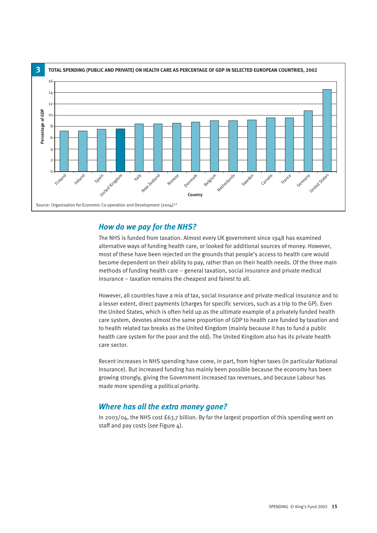

#### *How do we pay for the NHS?*

The NHS is funded from taxation. Almost every UK government since 1948 has examined alternative ways of funding health care, or looked for additional sources of money. However, most of these have been rejected on the grounds that people's access to health care would become dependent on their ability to pay, rather than on their health needs. Of the three main methods of funding health care – general taxation, social insurance and private medical insurance – taxation remains the cheapest and fairest to all.

However, all countries have a mix of tax, social insurance and private medical insurance and to a lesser extent, direct payments (charges for specific services, such as a trip to the GP). Even the United States, which is often held up as the ultimate example of a privately funded health care system, devotes almost the same proportion of GDP to health care funded by taxation and to health related tax breaks as the United Kingdom (mainly because it has to fund a public health care system for the poor and the old). The United Kingdom also has its private health care sector.

Recent increases in NHS spending have come, in part, from higher taxes (in particular National Insurance). But increased funding has mainly been possible because the economy has been growing strongly, giving the Government increased tax revenues, and because Labour has made more spending a political priority.

#### *Where has all the extra money gone?*

In 2003/04, the NHS cost £63.7 billion. By far the largest proportion of this spending went on staff and pay costs (*see* Figure 4).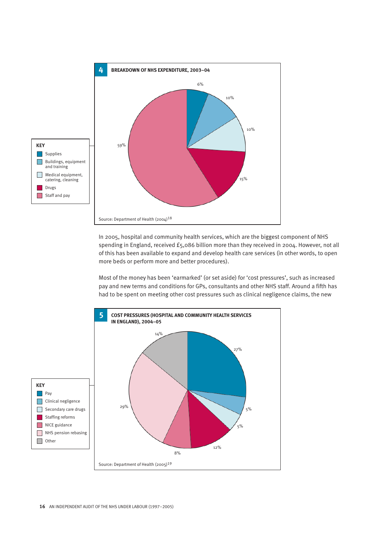

In 2005, hospital and community health services, which are the biggest component of NHS spending in England, received £5,086 billion more than they received in 2004. However, not all of this has been available to expand and develop health care services (in other words, to open more beds or perform more and better procedures).

Most of the money has been 'earmarked' (or set aside) for 'cost pressures', such as increased pay and new terms and conditions for GPs, consultants and other NHS staff. Around a fifth has had to be spent on meeting other cost pressures such as clinical negligence claims, the new

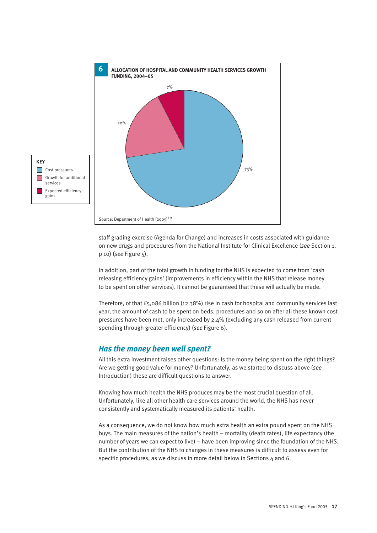

staff grading exercise (Agenda for Change) and increases in costs associated with guidance on new drugs and procedures from the National Institute for Clinical Excellence (*see* Section 1, p 10) (*see* Figure 5).

In addition, part of the total growth in funding for the NHS is expected to come from 'cash releasing efficiency gains' (improvements in efficiency within the NHS that release money to be spent on other services). It cannot be guaranteed that these will actually be made.

Therefore, of that £5,086 billion (12.38%) rise in cash for hospital and community services last year, the amount of cash to be spent on beds, procedures and so on after all these known cost pressures have been met, only increased by 2.4% (excluding any cash released from current spending through greater efficiency) (*see* Figure 6).

#### *Has the money been well spent?*

All this extra investment raises other questions: Is the money being spent on the right things? Are we getting good value for money? Unfortunately, as we started to discuss above (*see* Introduction) these are difficult questions to answer.

Knowing how much health the NHS produces may be the most crucial question of all. Unfortunately, like all other health care services around the world, the NHS has never consistently and systematically measured its patients' health.

As a consequence, we do not know how much extra health an extra pound spent on the NHS buys. The main measures of the nation's health – mortality (death rates), life expectancy (the number of years we can expect to live) – have been improving since the foundation of the NHS. But the contribution of the NHS to changes in these measures is difficult to assess even for specific procedures, as we discuss in more detail below in Sections 4 and 6.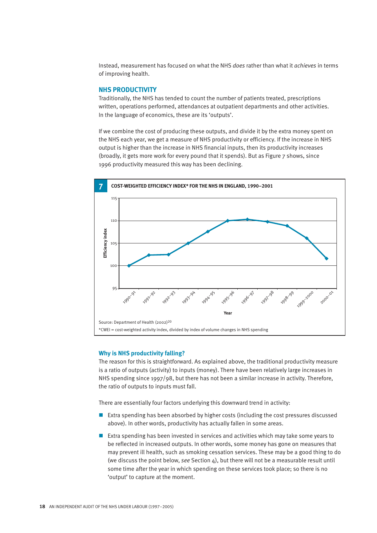Instead, measurement has focused on what the NHS *does* rather than what it *achieves* in terms of improving health.

#### **NHS PRODUCTIVITY**

Traditionally, the NHS has tended to count the number of patients treated, prescriptions written, operations performed, attendances at outpatient departments and other activities. In the language of economics, these are its 'outputs'.

If we combine the cost of producing these outputs, and divide it by the extra money spent on the NHS each year, we get a measure of NHS productivity or efficiency. If the increase in NHS output is higher than the increase in NHS financial inputs, then its productivity increases (broadly, it gets more work for every pound that it spends). But as Figure 7 shows, since 1996 productivity measured this way has been declining.



#### **Why is NHS productivity falling?**

The reason for this is straightforward. As explained above, the traditional productivity measure is a ratio of outputs (activity) to inputs (money). There have been relatively large increases in NHS spending since 1997/98, but there has not been a similar increase in activity. Therefore, the ratio of outputs to inputs must fall.

There are essentially four factors underlying this downward trend in activity:

- Extra spending has been absorbed by higher costs (including the cost pressures discussed above). In other words, productivity has actually fallen in some areas.
- Extra spending has been invested in services and activities which may take some years to be reflected in increased outputs. In other words, some money has gone on measures that may prevent ill health, such as smoking cessation services. These may be a good thing to do (we discuss the point below, *see* Section 4), but there will not be a measurable result until some time after the year in which spending on these services took place; so there is no 'output' to capture at the moment.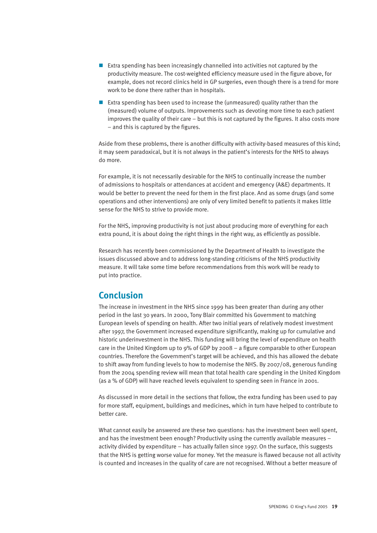- Extra spending has been increasingly channelled into activities not captured by the productivity measure. The cost-weighted efficiency measure used in the figure above, for example, does not record clinics held in GP surgeries, even though there is a trend for more work to be done there rather than in hospitals.
- Extra spending has been used to increase the (unmeasured) quality rather than the (measured) volume of outputs. Improvements such as devoting more time to each patient improves the quality of their care – but this is not captured by the figures. It also costs more – and this is captured by the figures.

Aside from these problems, there is another difficulty with activity-based measures of this kind; it may seem paradoxical, but it is not always in the patient's interests for the NHS to always do more.

For example, it is not necessarily desirable for the NHS to continually increase the number of admissions to hospitals or attendances at accident and emergency (A&E) departments. It would be better to prevent the need for them in the first place. And as some drugs (and some operations and other interventions) are only of very limited benefit to patients it makes little sense for the NHS to strive to provide more.

For the NHS, improving productivity is not just about producing more of everything for each extra pound, it is about doing the right things in the right way, as efficiently as possible.

Research has recently been commissioned by the Department of Health to investigate the issues discussed above and to address long-standing criticisms of the NHS productivity measure. It will take some time before recommendations from this work will be ready to put into practice.

### **Conclusion**

The increase in investment in the NHS since 1999 has been greater than during any other period in the last 30 years. In 2000, Tony Blair committed his Government to matching European levels of spending on health. After two initial years of relatively modest investment after 1997, the Government increased expenditure significantly, making up for cumulative and historic underinvestment in the NHS. This funding will bring the level of expenditure on health care in the United Kingdom up to 9% of GDP by 2008 – a figure comparable to other European countries. Therefore the Government's target will be achieved, and this has allowed the debate to shift away from funding levels to how to modernise the NHS. By 2007/08, generous funding from the 2004 spending review will mean that total health care spending in the United Kingdom (as a % of GDP) will have reached levels equivalent to spending seen in France in 2001.

As discussed in more detail in the sections that follow, the extra funding has been used to pay for more staff, equipment, buildings and medicines, which in turn have helped to contribute to better care.

What cannot easily be answered are these two questions: has the investment been well spent, and has the investment been enough? Productivity using the currently available measures – activity divided by expenditure – has actually fallen since 1997. On the surface, this suggests that the NHS is getting worse value for money. Yet the measure is flawed because not all activity is counted and increases in the quality of care are not recognised. Without a better measure of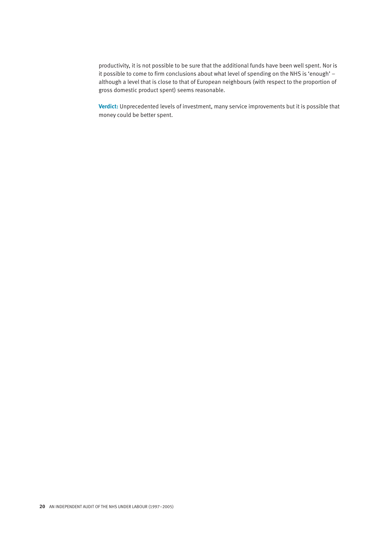productivity, it is not possible to be sure that the additional funds have been well spent. Nor is it possible to come to firm conclusions about what level of spending on the NHS is 'enough' – although a level that is close to that of European neighbours (with respect to the proportion of gross domestic product spent) seems reasonable.

**Verdict:** Unprecedented levels of investment, many service improvements but it is possible that money could be better spent.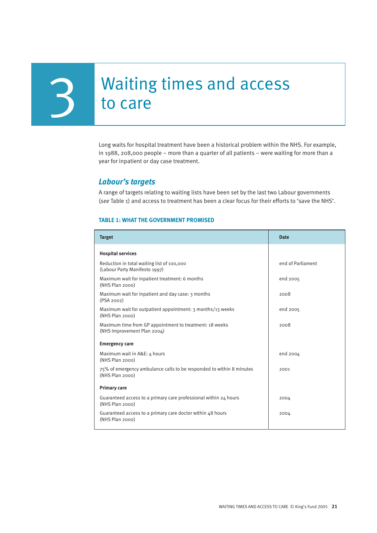# **3** Waiting times and access<br>to care

Long waits for hospital treatment have been a historical problem within the NHS. For example, in 1988, 208,000 people – more than a quarter of all patients – were waiting for more than a year for inpatient or day case treatment.

#### *Labour's targets*

A range of targets relating to waiting lists have been set by the last two Labour governments (*see* Table 1) and access to treatment has been a clear focus for their efforts to 'save the NHS'.

#### **TABLE 1: WHAT THE GOVERNMENT PROMISED**

| <b>Target</b>                                                                                   | <b>Date</b>       |  |
|-------------------------------------------------------------------------------------------------|-------------------|--|
| <b>Hospital services</b>                                                                        |                   |  |
| Reduction in total waiting list of 100,000<br>(Labour Party Manifesto 1997)                     | end of Parliament |  |
| Maximum wait for inpatient treatment: 6 months<br>(NHS Plan 2000)                               | end 2005          |  |
| Maximum wait for inpatient and day case: 3 months<br>(PSA 2002)                                 | 2008              |  |
| Maximum wait for outpatient appointment: 3 months/13 weeks<br>(NHS Plan 2000)                   | end 2005          |  |
| Maximum time from GP appointment to treatment: 18 weeks<br>(NHS Improvement Plan 2004)          | 2008              |  |
| <b>Emergency care</b>                                                                           |                   |  |
| Maximum wait in A&E: 4 hours<br>(NHS Plan 2000)                                                 | end 2004          |  |
| 75% of emergency ambulance calls to be responded to within 8 minutes<br>(NHS Plan 2000)         | 2001              |  |
| <b>Primary care</b>                                                                             |                   |  |
| Guaranteed access to a primary care professional within 24 hours<br>(NHS Plan <sub>2000</sub> ) | 2004              |  |
| Guaranteed access to a primary care doctor within 48 hours<br>(NHS Plan 2000)                   | 2004              |  |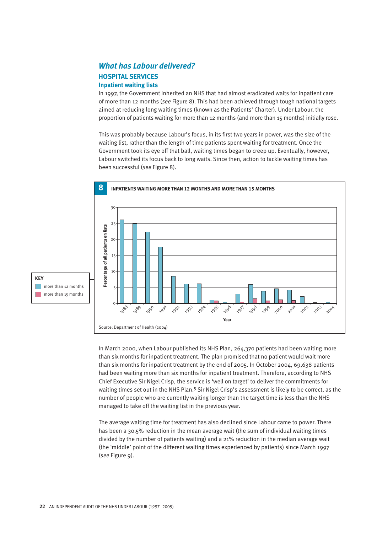#### *What has Labour delivered?*  **HOSPITAL SERVICES Inpatient waiting lists**

In 1997, the Government inherited an NHS that had almost eradicated waits for inpatient care of more than 12 months (*see* Figure 8). This had been achieved through tough national targets aimed at reducing long waiting times (known as the Patients' Charter). Under Labour, the proportion of patients waiting for more than 12 months (and more than 15 months) initially rose.

This was probably because Labour's focus, in its first two years in power, was the size of the waiting list, rather than the length of time patients spent waiting for treatment. Once the Government took its eye off that ball, waiting times began to creep up. Eventually, however, Labour switched its focus back to long waits. Since then, action to tackle waiting times has been successful (*see* Figure 8).



**KEY**  $\Box$  more than 12 months more than 15 months

> In March 2000, when Labour published its NHS Plan, 264,370 patients had been waiting more than six months for inpatient treatment. The plan promised that no patient would wait more than six months for inpatient treatment by the end of 2005. In October 2004, 69,638 patients had been waiting more than six months for inpatient treatment. Therefore, according to NHS Chief Executive Sir Nigel Crisp, the service is 'well on target' to deliver the commitments for waiting times set out in the NHS Plan.<sup>5</sup> Sir Nigel Crisp's assessment is likely to be correct, as the number of people who are currently waiting longer than the target time is less than the NHS managed to take off the waiting list in the previous year.

The average waiting time for treatment has also declined since Labour came to power. There has been a 30.5% reduction in the mean average wait (the sum of individual waiting times divided by the number of patients waiting) and a 21% reduction in the median average wait (the 'middle' point of the different waiting times experienced by patients) since March 1997 (*see* Figure 9).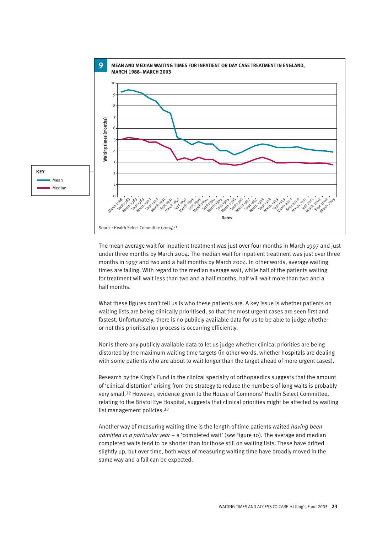

The mean average wait for inpatient treatment was just over four months in March 1997 and just under three months by March 2004. The median wait for inpatient treatment was just over three months in 1997 and two and a half months by March 2004. In other words, average waiting times are falling. With regard to the median average wait, while half of the patients waiting for treatment will wait less than two and a half months, half will wait more than two and a half months.

What these figures don't tell us is who these patients are. A key issue is whether patients on waiting lists are being clinically prioritised, so that the most urgent cases are seen first and fastest. Unfortunately, there is no publicly available data for us to be able to judge whether or not this prioritisation process is occurring efficiently.

Nor is there any publicly available data to let us judge whether clinical priorities are being distorted by the maximum waiting time targets (in other words, whether hospitals are dealing with some patients who are about to wait longer than the target ahead of more urgent cases).

Research by the King's Fund in the clinical specialty of orthopaedics suggests that the amount of 'clinical distortion' arising from the strategy to reduce the numbers of long waits is probably very small.<sup>22</sup> However, evidence given to the House of Commons' Health Select Committee, relating to the Bristol Eye Hospital, suggests that clinical priorities might be affected by waiting list management policies.<sup>23</sup>

Another way of measuring waiting time is the length of time patients waited *having been admitted in a particular year* – a 'completed wait' (*see* Figure 10). The average and median completed waits tend to be shorter than for those still on waiting lists. These have drifted slightly up, but over time, both ways of measuring waiting time have broadly moved in the same way and a fall can be expected.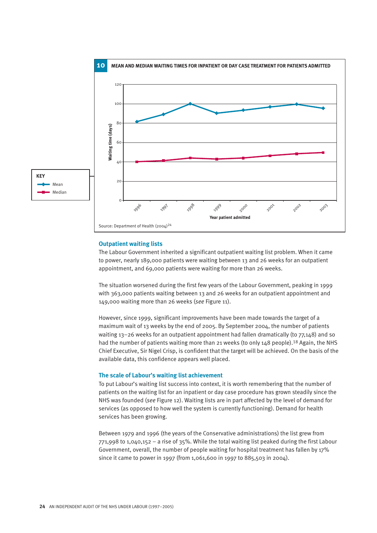

#### **Outpatient waiting lists**

The Labour Government inherited a significant outpatient waiting list problem. When it came to power, nearly 189,000 patients were waiting between 13 and 26 weeks for an outpatient appointment, and 69,000 patients were waiting for more than 26 weeks.

The situation worsened during the first few years of the Labour Government, peaking in 1999 with 363,000 patients waiting between 13 and 26 weeks for an outpatient appointment and 149,000 waiting more than 26 weeks (*see* Figure 11).

However, since 1999, significant improvements have been made towards the target of a maximum wait of 13 weeks by the end of 2005. By September 2004, the number of patients waiting 13–26 weeks for an outpatient appointment had fallen dramatically (to 77,148) and so had the number of patients waiting more than 21 weeks (to only 148 people).<sup>18</sup> Again, the NHS Chief Executive, Sir Nigel Crisp, is confident that the target will be achieved. On the basis of the available data, this confidence appears well placed.

#### **The scale of Labour's waiting list achievement**

To put Labour's waiting list success into context, it is worth remembering that the number of patients on the waiting list for an inpatient or day case procedure has grown steadily since the NHS was founded (*see* Figure 12). Waiting lists are in part affected by the level of demand for services (as opposed to how well the system is currently functioning). Demand for health services has been growing.

Between 1979 and 1996 (the years of the Conservative administrations) the list grew from 771,998 to 1,040,152 – a rise of 35%. While the total waiting list peaked during the first Labour Government, overall, the number of people waiting for hospital treatment has fallen by 17% since it came to power in 1997 (from 1,061,600 in 1997 to 885,503 in 2004).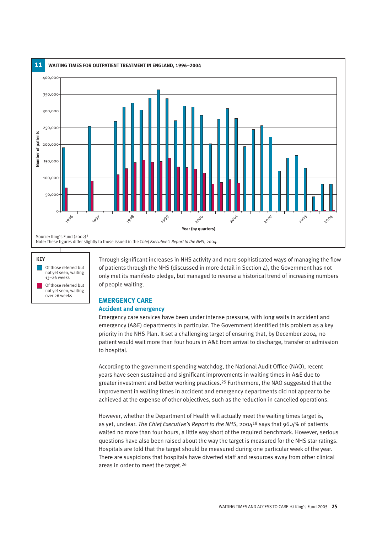

#### **KEY Of those referred but** not yet seen, waiting 13–26 weeks Of those referred but not yet seen, waiting over 26 weeks

Through significant increases in NHS activity and more sophisticated ways of managing the flow of patients through the NHS (discussed in more detail in Section 4), the Government has not only met its manifesto pledge**,** but managed to reverse a historical trend of increasing numbers of people waiting.

#### **EMERGENCY CARE Accident and emergency**

Emergency care services have been under intense pressure, with long waits in accident and emergency (A&E) departments in particular. The Government identified this problem as a key priority in the NHS Plan**.** It set a challenging target of ensuring that, by December 2004, no patient would wait more than four hours in A&E from arrival to discharge, transfer or admission to hospital.

According to the government spending watchdog, the National Audit Office (NAO), recent years have seen sustained and significant improvements in waiting times in A&E due to greater investment and better working practices.<sup>25</sup> Furthermore, the NAO suggested that the improvement in waiting times in accident and emergency departments did not appear to be achieved at the expense of other objectives, such as the reduction in cancelled operations.

However, whether the Department of Health will actually meet the waiting times target is, as yet, unclear. *The Chief Executive's Report to the NHS*, 2004<sup>18</sup> says that 96.4% of patients waited no more than four hours, a little way short of the required benchmark. However, serious questions have also been raised about the way the target is measured for the NHS star ratings. Hospitals are told that the target should be measured during one particular week of the year. There are suspicions that hospitals have diverted staff and resources away from other clinical areas in order to meet the target.<sup>26</sup>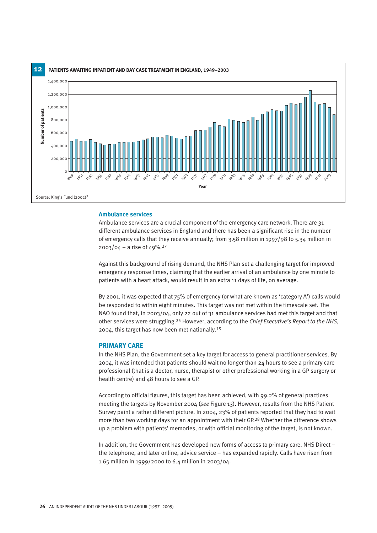

#### **Ambulance services**

Ambulance services are a crucial component of the emergency care network. There are 31 different ambulance services in England and there has been a significant rise in the number of emergency calls that they receive annually; from 3.58 million in 1997/98 to 5.34 million in 2003/04 – a rise of 49%.<sup>27</sup>

Against this background of rising demand, the NHS Plan set a challenging target for improved emergency response times, claiming that the earlier arrival of an ambulance by one minute to patients with a heart attack, would result in an extra 11 days of life, on average.

By 2001, it was expected that 75% of emergency (or what are known as 'category A') calls would be responded to within eight minutes. This target was not met within the timescale set. The NAO found that, in 2003/04, only 22 out of 31 ambulance services had met this target and that other services were struggling.<sup>25</sup> However, according to the *Chief Executive's Report to the NHS*, 2004, this target has now been met nationally.<sup>18</sup>

#### **PRIMARY CARE**

In the NHS Plan, the Government set a key target for access to general practitioner services. By 2004, it was intended that patients should wait no longer than 24 hours to see a primary care professional (that is a doctor, nurse, therapist or other professional working in a GP surgery or health centre) and 48 hours to see a GP.

According to official figures, this target has been achieved, with 99.2% of general practices meeting the targets by November 2004 (*see* Figure 13). However, results from the NHS Patient Survey paint a rather different picture. In 2004, 23% of patients reported that they had to wait more than two working days for an appointment with their GP.<sup>28</sup> Whether the difference shows up a problem with patients' memories, or with official monitoring of the target, is not known.

In addition, the Government has developed new forms of access to primary care. NHS Direct – the telephone, and later online, advice service – has expanded rapidly. Calls have risen from 1.65 million in 1999/2000 to 6.4 million in 2003/04.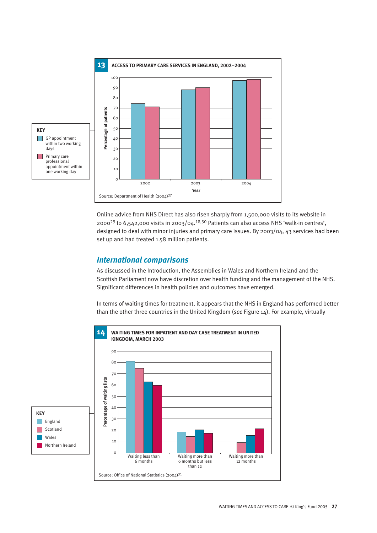

Online advice from NHS Direct has also risen sharply from 1,500,000 visits to its website in 2000<sup>29</sup> to 6,542,000 visits in 2003/04.<sup>18,30</sup> Patients can also access NHS 'walk-in centres', designed to deal with minor injuries and primary care issues. By 2003/04, 43 services had been set up and had treated 1.58 million patients.

#### *International comparisons*

As discussed in the Introduction, the Assemblies in Wales and Northern Ireland and the Scottish Parliament now have discretion over health funding and the management of the NHS. Significant differences in health policies and outcomes have emerged.

In terms of waiting times for treatment, it appears that the NHS in England has performed better than the other three countries in the United Kingdom (*see* Figure 14). For example, virtually

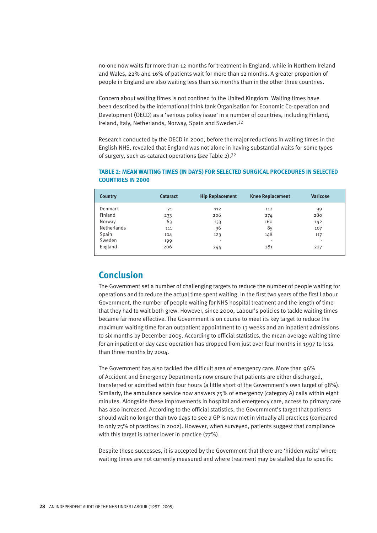no-one now waits for more than 12 months for treatment in England, while in Northern Ireland and Wales, 22% and 16% of patients wait for more than 12 months. A greater proportion of people in England are also waiting less than six months than in the other three countries.

Concern about waiting times is not confined to the United Kingdom. Waiting times have been described by the international think tank Organisation for Economic Co-operation and Development (OECD) as a 'serious policy issue' in a number of countries, including Finland, Ireland, Italy, Netherlands, Norway, Spain and Sweden.<sup>32</sup>

Research conducted by the OECD in 2000, before the major reductions in waiting times in the English NHS, revealed that England was not alone in having substantial waits for some types of surgery, such as cataract operations (*see* Table 2).<sup>32</sup>

| <b>Country</b> | <b>Cataract</b> | <b>Hip Replacement</b>   | <b>Knee Replacement</b> | <b>Varicose</b> |
|----------------|-----------------|--------------------------|-------------------------|-----------------|
| Denmark        | 71              | 112                      | 112                     | 99              |
| Finland        | 233             | 206                      | 274                     | 280             |
| Norway         | 63              | 133                      | 160                     | 142             |
| Netherlands    | 111             | 96                       | 85                      | 107             |
| Spain          | 104             | 123                      | 148                     | 117             |
| Sweden         | 199             | $\overline{\phantom{a}}$ |                         | ٠               |
| England        | 206             | 244                      | 281                     | 227             |

#### **TABLE 2: MEAN WAITING TIMES (IN DAYS) FOR SELECTED SURGICAL PROCEDURES IN SELECTED COUNTRIES IN 2000**

### **Conclusion**

The Government set a number of challenging targets to reduce the number of people waiting for operations and to reduce the actual time spent waiting. In the first two years of the first Labour Government, the number of people waiting for NHS hospital treatment and the length of time that they had to wait both grew. However, since 2000, Labour's policies to tackle waiting times became far more effective. The Government is on course to meet its key target to reduce the maximum waiting time for an outpatient appointment to 13 weeks and an inpatient admissions to six months by December 2005. According to official statistics, the mean average waiting time for an inpatient or day case operation has dropped from just over four months in 1997 to less than three months by 2004.

The Government has also tackled the difficult area of emergency care. More than 96% of Accident and Emergency Departments now ensure that patients are either discharged, transferred or admitted within four hours (a little short of the Government's own target of 98%). Similarly, the ambulance service now answers 75% of emergency (category A) calls within eight minutes. Alongside these improvements in hospital and emergency care, access to primary care has also increased. According to the official statistics, the Government's target that patients should wait no longer than two days to see a GP is now met in virtually all practices (compared to only 75% of practices in 2002). However, when surveyed, patients suggest that compliance with this target is rather lower in practice ( $77\%$ ).

Despite these successes, it is accepted by the Government that there are 'hidden waits' where waiting times are not currently measured and where treatment may be stalled due to specific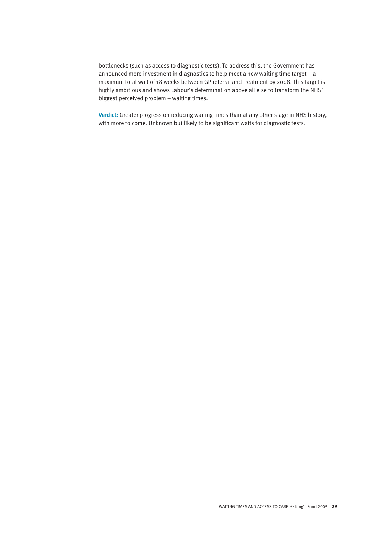bottlenecks (such as access to diagnostic tests). To address this, the Government has announced more investment in diagnostics to help meet a new waiting time target – a maximum total wait of 18 weeks between GP referral and treatment by 2008. This target is highly ambitious and shows Labour's determination above all else to transform the NHS' biggest perceived problem – waiting times.

**Verdict:** Greater progress on reducing waiting times than at any other stage in NHS history, with more to come. Unknown but likely to be significant waits for diagnostic tests.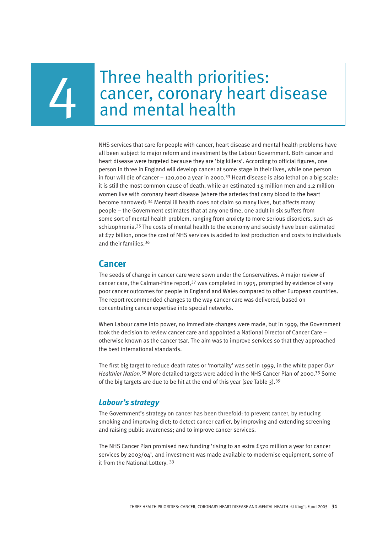# Three health priorities: cancer, coronary heart disease<br>and mental health

NHS services that care for people with cancer, heart disease and mental health problems have all been subject to major reform and investment by the Labour Government. Both cancer and heart disease were targeted because they are 'big killers'. According to official figures, one person in three in England will develop cancer at some stage in their lives, while one person in four will die of cancer – 120,000 a year in 2000.<sup>33</sup> Heart disease is also lethal on a big scale: it is still the most common cause of death, while an estimated 1.5 million men and 1.2 million women live with coronary heart disease (where the arteries that carry blood to the heart become narrowed).<sup>34</sup> Mental ill health does not claim so many lives, but affects many people – the Government estimates that at any one time, one adult in six suffers from some sort of mental health problem, ranging from anxiety to more serious disorders, such as schizophrenia.<sup>35</sup> The costs of mental health to the economy and society have been estimated at £77 billion, once the cost of NHS services is added to lost production and costs to individuals and their families.<sup>36</sup>

#### **Cancer**

The seeds of change in cancer care were sown under the Conservatives. A major review of cancer care, the Calman-Hine report,  $37$  was completed in 1995, prompted by evidence of very poor cancer outcomes for people in England and Wales compared to other European countries. The report recommended changes to the way cancer care was delivered, based on concentrating cancer expertise into special networks.

When Labour came into power, no immediate changes were made, but in 1999, the Government took the decision to review cancer care and appointed a National Director of Cancer Care – otherwise known as the cancer tsar. The aim was to improve services so that they approached the best international standards.

The first big target to reduce death rates or 'mortality' was set in 1999, in the white paper *Our Healthier Nation*.<sup>38</sup> More detailed targets were added in the NHS Cancer Plan of 2000.<sup>33</sup> Some of the big targets are due to be hit at the end of this year (*see* Table 3).<sup>39</sup>

#### *Labour's strategy*

The Government's strategy on cancer has been threefold: to prevent cancer, by reducing smoking and improving diet; to detect cancer earlier, by improving and extending screening and raising public awareness; and to improve cancer services.

The NHS Cancer Plan promised new funding 'rising to an extra £570 million a year for cancer services by 2003/04', and investment was made available to modernise equipment, some of it from the National Lottery. <sup>33</sup>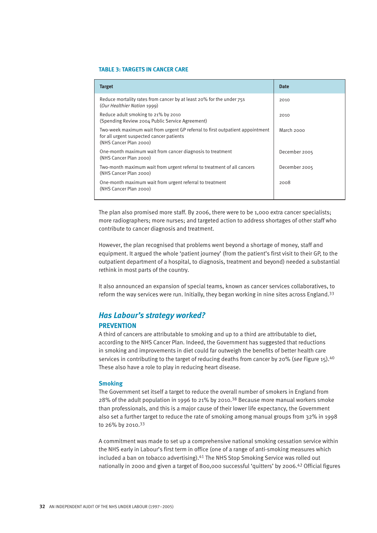#### **TABLE 3: TARGETS IN CANCER CARE**

| <b>Target</b>                                                                                                                                       | <b>Date</b>   |
|-----------------------------------------------------------------------------------------------------------------------------------------------------|---------------|
| Reduce mortality rates from cancer by at least 20% for the under 755<br>(Our Healthier Nation 1999)                                                 | 2010          |
| Reduce adult smoking to 21% by 2010<br>(Spending Review 2004 Public Service Agreement)                                                              | 2010          |
| Two-week maximum wait from urgent GP referral to first outpatient appointment<br>for all urgent suspected cancer patients<br>(NHS Cancer Plan 2000) | March 2000    |
| One-month maximum wait from cancer diagnosis to treatment<br>(NHS Cancer Plan 2000)                                                                 | December 2005 |
| Two-month maximum wait from urgent referral to treatment of all cancers<br>(NHS Cancer Plan 2000)                                                   | December 2005 |
| One-month maximum wait from urgent referral to treatment<br>(NHS Cancer Plan 2000)                                                                  | 2008          |

The plan also promised more staff. By 2006, there were to be 1,000 extra cancer specialists; more radiographers; more nurses; and targeted action to address shortages of other staff who contribute to cancer diagnosis and treatment.

However, the plan recognised that problems went beyond a shortage of money, staff and equipment. It argued the whole 'patient journey' (from the patient's first visit to their GP, to the outpatient department of a hospital, to diagnosis, treatment and beyond) needed a substantial rethink in most parts of the country.

It also announced an expansion of special teams, known as cancer services collaboratives, to reform the way services were run. Initially, they began working in nine sites across England.<sup>33</sup>

### *Has Labour's strategy worked?*  **PREVENTION**

A third of cancers are attributable to smoking and up to a third are attributable to diet, according to the NHS Cancer Plan. Indeed, the Government has suggested that reductions in smoking and improvements in diet could far outweigh the benefits of better health care services in contributing to the target of reducing deaths from cancer by 20% (*see* Figure 15).<sup>40</sup> These also have a role to play in reducing heart disease.

#### **Smoking**

The Government set itself a target to reduce the overall number of smokers in England from 28% of the adult population in 1996 to 21% by 2010.<sup>38</sup> Because more manual workers smoke than professionals, and this is a major cause of their lower life expectancy, the Government also set a further target to reduce the rate of smoking among manual groups from 32% in 1998 to 26% by 2010.<sup>33</sup>

A commitment was made to set up a comprehensive national smoking cessation service within the NHS early in Labour's first term in office (one of a range of anti-smoking measures which included a ban on tobacco advertising).<sup>41</sup> The NHS Stop Smoking Service was rolled out nationally in 2000 and given a target of 800,000 successful 'quitters' by 2006.<sup>42</sup> Official figures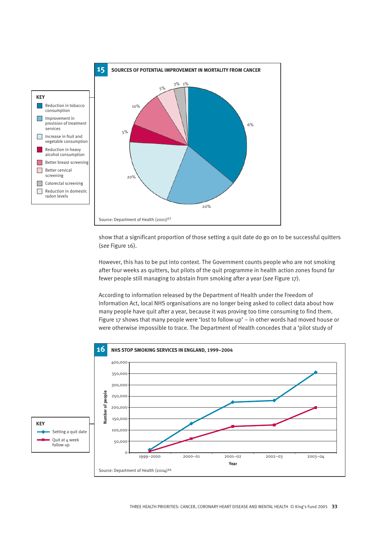

show that a significant proportion of those setting a quit date do go on to be successful quitters (*see* Figure 16).

However, this has to be put into context. The Government counts people who are not smoking after four weeks as quitters, but pilots of the quit programme in health action zones found far fewer people still managing to abstain from smoking after a year (*see* Figure 17).

According to information released by the Department of Health under the Freedom of Information Act, local NHS organisations are no longer being asked to collect data about how many people have quit after a year, because it was proving too time consuming to find them. Figure 17 shows that many people were 'lost to follow-up' – in other words had moved house or were otherwise impossible to trace. The Department of Health concedes that a 'pilot study of

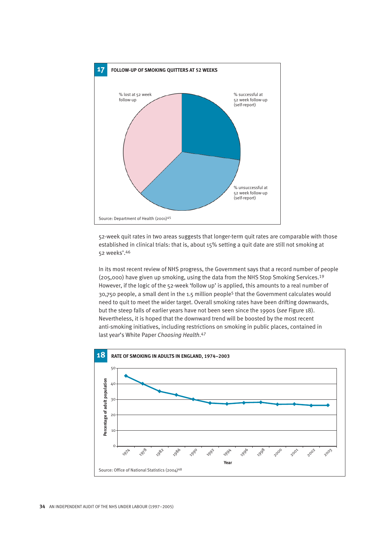

52-week quit rates in two areas suggests that longer-term quit rates are comparable with those established in clinical trials: that is, about 15% setting a quit date are still not smoking at 52 weeks'.<sup>46</sup>

In its most recent review of NHS progress, the Government says that a record number of people (205,000) have given up smoking, using the data from the NHS Stop Smoking Services.<sup>19</sup> However, if the logic of the 52-week 'follow up' is applied, this amounts to a real number of 30,750 people, a small dent in the 1.5 million people<sup>5</sup> that the Government calculates would need to quit to meet the wider target. Overall smoking rates have been drifting downwards, but the steep falls of earlier years have not been seen since the 1990s (*see* Figure 18). Nevertheless, it is hoped that the downward trend will be boosted by the most recent anti-smoking initiatives, including restrictions on smoking in public places, contained in last year's White Paper *Choosing Health*.<sup>47</sup>

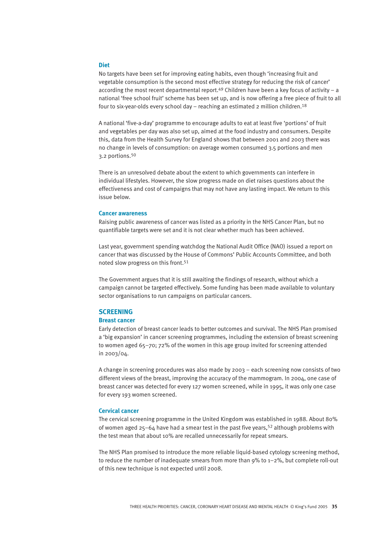#### **Diet**

No targets have been set for improving eating habits, even though 'increasing fruit and vegetable consumption is the second most effective strategy for reducing the risk of cancer' according the most recent departmental report.<sup>49</sup> Children have been a key focus of activity – a national 'free school fruit' scheme has been set up, and is now offering a free piece of fruit to all four to six-year-olds every school day – reaching an estimated 2 million children.<sup>18</sup>

A national 'five-a-day' programme to encourage adults to eat at least five 'portions' of fruit and vegetables per day was also set up, aimed at the food industry and consumers. Despite this, data from the Health Survey for England shows that between 2001 and 2003 there was no change in levels of consumption: on average women consumed 3.5 portions and men 3.2 portions.<sup>50</sup>

There is an unresolved debate about the extent to which governments can interfere in individual lifestyles. However, the slow progress made on diet raises questions about the effectiveness and cost of campaigns that may not have any lasting impact. We return to this issue below.

#### **Cancer awareness**

Raising public awareness of cancer was listed as a priority in the NHS Cancer Plan, but no quantifiable targets were set and it is not clear whether much has been achieved.

Last year, government spending watchdog the National Audit Office (NAO) issued a report on cancer that was discussed by the House of Commons' Public Accounts Committee, and both noted slow progress on this front.<sup>51</sup>

The Government argues that it is still awaiting the findings of research, without which a campaign cannot be targeted effectively. Some funding has been made available to voluntary sector organisations to run campaigns on particular cancers.

#### **SCREENING**

#### **Breast cancer**

Early detection of breast cancer leads to better outcomes and survival. The NHS Plan promised a 'big expansion' in cancer screening programmes, including the extension of breast screening to women aged 65–70; 72% of the women in this age group invited for screening attended in 2003/04.

A change in screening procedures was also made by 2003 – each screening now consists of two different views of the breast, improving the accuracy of the mammogram. In 2004, one case of breast cancer was detected for every 127 women screened, while in 1995, it was only one case for every 193 women screened.

#### **Cervical cancer**

The cervical screening programme in the United Kingdom was established in 1988. About 80% of women aged 25–64 have had a smear test in the past five years,<sup>52</sup> although problems with the test mean that about 10% are recalled unnecessarily for repeat smears.

The NHS Plan promised to introduce the more reliable liquid-based cytology screening method, to reduce the number of inadequate smears from more than  $9\%$  to  $1-2\%$ , but complete roll-out of this new technique is not expected until 2008.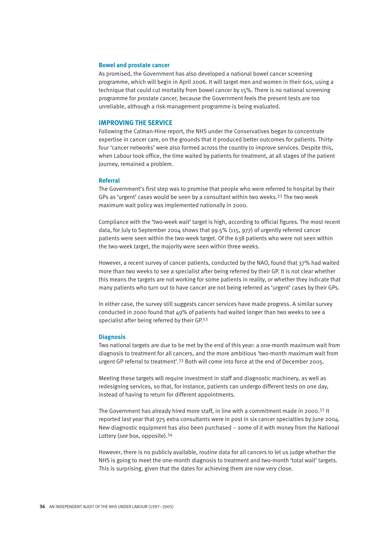#### **Bowel and prostate cancer**

As promised, the Government has also developed a national bowel cancer screening programme, which will begin in April 2006. It will target men and women in their 60s, using a technique that could cut mortality from bowel cancer by 15%. There is no national screening programme for prostate cancer, because the Government feels the present tests are too unreliable, although a risk-management programme is being evaluated.

#### **IMPROVING THE SERVICE**

Following the Calman-Hine report, the NHS under the Conservatives began to concentrate expertise in cancer care, on the grounds that it produced better outcomes for patients. Thirtyfour 'cancer networks' were also formed across the country to improve services. Despite this, when Labour took office, the time waited by patients for treatment, at all stages of the patient journey, remained a problem.

#### **Referral**

The Government's first step was to promise that people who were referred to hospital by their GPs as 'urgent' cases would be seen by a consultant within two weeks.<sup>33</sup> The two-week maximum wait policy was implemented nationally in 2000.

Compliance with the 'two-week wait' target is high, according to official figures. The most recent data, for July to September 2004 shows that 99.5% (115, 977) of urgently referred cancer patients were seen within the two-week target. Of the 638 patients who were not seen within the two-week target, the majority were seen within three weeks.

However, a recent survey of cancer patients, conducted by the NAO, found that 37% had waited more than two weeks to see a specialist after being referred by their GP. It is not clear whether this means the targets are not working for some patients in reality, or whether they indicate that many patients who turn out to have cancer are not being referred as 'urgent' cases by their GPs.

In either case, the survey still suggests cancer services have made progress. A similar survey conducted in 2000 found that 49% of patients had waited longer than two weeks to see a specialist after being referred by their GP.<sup>53</sup>

#### **Diagnosis**

Two national targets are due to be met by the end of this year: a one-month maximum wait from diagnosis to treatment for all cancers, and the more ambitious 'two-month maximum wait from urgent GP referral to treatment'.<sup>33</sup> Both will come into force at the end of December 2005.

Meeting these targets will require investment in staff and diagnostic machinery, as well as redesigning services, so that, for instance, patients can undergo different tests on one day, instead of having to return for different appointments.

The Government has already hired more staff, in line with a commitment made in 2000.<sup>33</sup> It reported last year that 975 extra consultants were in post in six cancer specialties by June 2004. New diagnostic equipment has also been purchased – some of it with money from the National Lottery (*see* box, opposite).<sup>54</sup>

However, there is no publicly available, routine data for all cancers to let us judge whether the NHS is going to meet the one-month diagnosis to treatment and two-month 'total wait' targets. This is surprising, given that the dates for achieving them are now very close.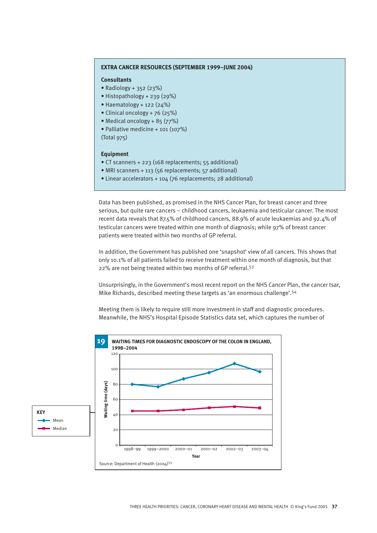#### **EXTRA CANCER RESOURCES (SEPTEMBER 1999–JUNE 2004)**

#### **Consultants**

- Radiology + 352 (23%)
- Histopathology + 239 (29%)
- Haematology + 122  $(24%)$
- Clinical oncology + 76 (25%)
- Medical oncology + 85 (77%)
- Palliative medicine + 101 (107%) (Total 975)

#### **Equipment**

- CT scanners + 223 (168 replacements; 55 additional)
- MRI scanners + 113 (56 replacements; 57 additional)
- Linear accelerators + 104 (76 replacements; 28 additional)

Data has been published, as promised in the NHS Cancer Plan, for breast cancer and three serious, but quite rare cancers – childhood cancers, leukaemia and testicular cancer. The most recent data reveals that 87.5% of childhood cancers, 88.9% of acute leukaemias and 92.4% of testicular cancers were treated within one month of diagnosis; while 97% of breast cancer patients were treated within two months of GP referral.

In addition, the Government has published one 'snapshot' view of all cancers. This shows that only 10.1% of all patients failed to receive treatment within one month of diagnosis, but that 22% are not being treated within two months of GP referral.<sup>53</sup>

Unsurprisingly, in the Government's most recent report on the NHS Cancer Plan, the cancer tsar, Mike Richards, described meeting these targets as 'an enormous challenge'.<sup>54</sup>

Meeting them is likely to require still more investment in staff and diagnostic procedures. Meanwhile, the NHS's Hospital Episode Statistics data set, which captures the number of

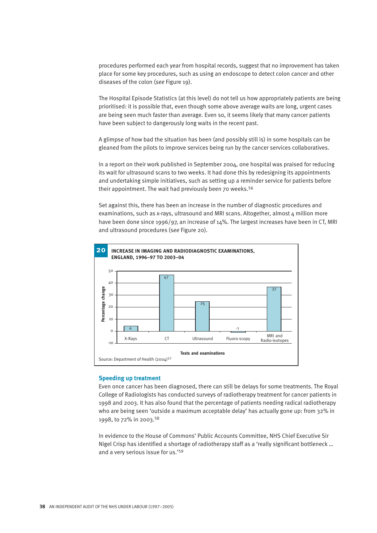procedures performed each year from hospital records, suggest that no improvement has taken place for some key procedures, such as using an endoscope to detect colon cancer and other diseases of the colon (*see* Figure 19).

The Hospital Episode Statistics (at this level) do not tell us how appropriately patients are being prioritised: it is possible that, even though some above average waits are long, urgent cases are being seen much faster than average. Even so, it seems likely that many cancer patients have been subject to dangerously long waits in the recent past.

A glimpse of how bad the situation has been (and possibly still is) in some hospitals can be gleaned from the pilots to improve services being run by the cancer services collaboratives.

In a report on their work published in September 2004, one hospital was praised for reducing its wait for ultrasound scans to two weeks. It had done this by redesigning its appointments and undertaking simple initiatives, such as setting up a reminder service for patients before their appointment. The wait had previously been 70 weeks.<sup>56</sup>

Set against this, there has been an increase in the number of diagnostic procedures and examinations, such as x-rays, ultrasound and MRI scans. Altogether, almost 4 million more have been done since 1996/97, an increase of 14%. The largest increases have been in CT, MRI and ultrasound procedures (s*ee* Figure 20).



#### **Speeding up treatment**

Even once cancer has been diagnosed, there can still be delays for some treatments. The Royal College of Radiologists has conducted surveys of radiotherapy treatment for cancer patients in 1998 and 2003. It has also found that the percentage of patients needing radical radiotherapy who are being seen 'outside a maximum acceptable delay' has actually gone up: from 32% in 1998, to 72% in 2003.<sup>58</sup>

In evidence to the House of Commons' Public Accounts Committee, NHS Chief Executive Sir Nigel Crisp has identified a shortage of radiotherapy staff as a 'really significant bottleneck … and a very serious issue for us.'<sup>59</sup>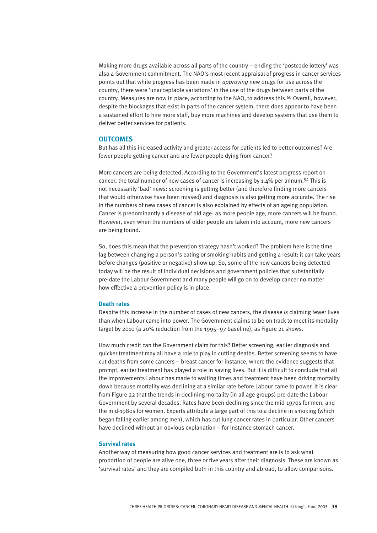Making more drugs available across all parts of the country – ending the 'postcode lottery' was also a Government commitment. The NAO's most recent appraisal of progress in cancer services points out that while progress has been made in *approving* new drugs for use across the country, there were 'unacceptable variations' in the use of the drugs between parts of the country. Measures are now in place, according to the NAO, to address this.<sup>60</sup> Overall, however, despite the blockages that exist in parts of the cancer system, there does appear to have been a sustained effort to hire more staff, buy more machines and develop systems that use them to deliver better services for patients.

#### **OUTCOMES**

But has all this increased activity and greater access for patients led to better outcomes? Are fewer people getting cancer and are fewer people dying from cancer?

More cancers are being detected. According to the Government's latest progress report on cancer, the total number of new cases of cancer is increasing by 1.4% per annum.<sup>54</sup> This is not necessarily 'bad' news: screening is getting better (and therefore finding more cancers that would otherwise have been missed) and diagnosis is also getting more accurate. The rise in the numbers of new cases of cancer is also explained by effects of an ageing population. Cancer is predominantly a disease of old age: as more people age, more cancers will be found. However, even when the numbers of older people are taken into account, more new cancers are being found.

So, does this mean that the prevention strategy hasn't worked? The problem here is the time lag between changing a person's eating or smoking habits and getting a result: it can take years before changes (positive or negative) show up. So, some of the new cancers being detected today will be the result of individual decisions and government policies that substantially pre-date the Labour Government and many people will go on to develop cancer no matter how effective a prevention policy is in place.

#### **Death rates**

Despite this increase in the number of cases of new cancers, the disease *is* claiming fewer lives than when Labour came into power. The Government claims to be on track to meet its mortality target by 2010 (a 20% reduction from the 1995–97 baseline), as Figure 21 shows.

How much credit can the Government claim for this? Better screening, earlier diagnosis and quicker treatment may all have a role to play in cutting deaths. Better screening seems to have cut deaths from some cancers – breast cancer for instance, where the evidence suggests that prompt, earlier treatment has played a role in saving lives. But it is difficult to conclude that all the improvements Labour has made to waiting times and treatment have been driving mortality down because mortality was declining at a similar rate before Labour came to power. It is clear from Figure 22 that the trends in declining mortality (in all age groups) pre-date the Labour Government by several decades. Rates have been declining since the mid-1970s for men, and the mid-1980s for women. Experts attribute a large part of this to a decline in smoking (which began falling earlier among men), which has cut lung cancer rates in particular. Other cancers have declined without an obvious explanation – for instance stomach cancer.

#### **Survival rates**

Another way of measuring how good cancer services and treatment are is to ask what proportion of people are alive one, three or five years after their diagnosis. These are known as 'survival rates' and they are compiled both in this country and abroad, to allow comparisons.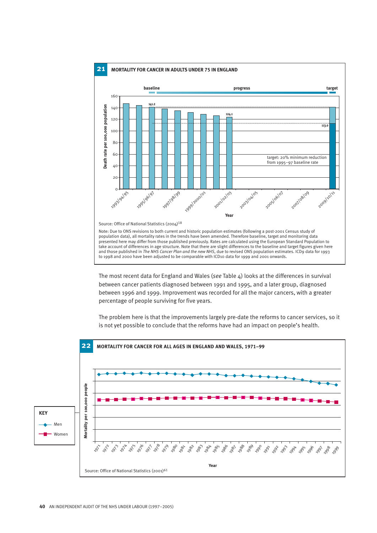

The most recent data for England and Wales (see Table 4) looks at the differences in survival between cancer patients diagnosed between 1991 and 1995, and a later group, diagnosed .5 .3 between 1996 and 1999. Improvement was recorded for all the major cancers, with a greater percentage of people surviving for five years.

The problem here is that the improvements largely pre-date the reforms to cancer services, so it<br>is not yet possible to conclude that the reforms have had an impact on people's health.

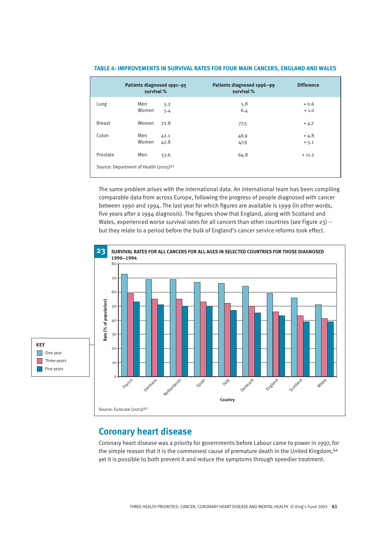|                                                   | Patients diagnosed 1991-95<br>survival % |              | Patients diagnosed 1996-99<br>survival % | <b>Difference</b> |  |
|---------------------------------------------------|------------------------------------------|--------------|------------------------------------------|-------------------|--|
| Lung                                              | Men<br>Women                             | 5.2<br>5.4   | 5.8<br>6.4                               | $+0.6$<br>$+1.0$  |  |
| <b>Breast</b>                                     | Women                                    | 72.8         | 77.5                                     | $+4.7$            |  |
| Colon                                             | Men<br>Women                             | 42.1<br>42.8 | 46.9<br>47.9                             | $+4.8$<br>$+5.1$  |  |
| Prostate                                          | Men                                      | 53.6         | 64.8                                     | $+11.2$           |  |
| Source: Department of Health (2003) <sup>62</sup> |                                          |              |                                          |                   |  |

#### **TABLE 4: IMPROVEMENTS IN SURVIVAL RATES FOR FOUR MAIN CANCERS, ENGLAND AND WALES**

The same problem arises with the international data. An international team has been compiling comparable data from across Europe, following the progress of people diagnosed with cancer between 1990 and 1994. The last year for which figures are available is 1999 (in other words, five years after a 1994 diagnosis). The figures show that England, along with Scotland and Wales, experienced worse survival rates for all cancers than other countries (*see* Figure 23) – but they relate to a period before the bulk of England's cancer service reforms took effect.



## **Coronary heart disease**

Coronary heart disease was a priority for governments before Labour came to power in 1997, for the simple reason that it is the commonest cause of premature death in the United Kingdom, <sup>64</sup> yet it is possible to both prevent it and reduce the symptoms through speedier treatment.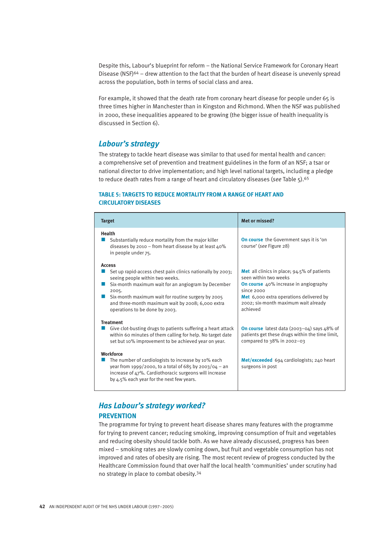Despite this, Labour's blueprint for reform – the National Service Framework for Coronary Heart Disease (NSF)<sup>64</sup> – drew attention to the fact that the burden of heart disease is unevenly spread across the population, both in terms of social class and area.

For example, it showed that the death rate from coronary heart disease for people under 65 is three times higher in Manchester than in Kingston and Richmond. When the NSF was published in 2000, these inequalities appeared to be growing (the bigger issue of health inequality is discussed in Section 6).

#### *Labour's strategy*

The strategy to tackle heart disease was similar to that used for mental health and cancer: a comprehensive set of prevention and treatment guidelines in the form of an NSF; a tsar or national director to drive implementation; and high level national targets, including a pledge to reduce death rates from a range of heart and circulatory diseases (*see* Table 5).<sup>65</sup>

#### **TABLE 5: TARGETS TO REDUCE MORTALITY FROM A RANGE OF HEART AND CIRCULATORY DISEASES**

| <b>Target</b>                                                                                                                                                                                                                                                                                                                                                                                                                                      | <b>Met or missed?</b>                                                                                                                                                                                                                              |
|----------------------------------------------------------------------------------------------------------------------------------------------------------------------------------------------------------------------------------------------------------------------------------------------------------------------------------------------------------------------------------------------------------------------------------------------------|----------------------------------------------------------------------------------------------------------------------------------------------------------------------------------------------------------------------------------------------------|
| <b>Health</b><br>Substantially reduce mortality from the major killer<br>diseases by 2010 – from heart disease by at least $40\%$<br>in people under 75.                                                                                                                                                                                                                                                                                           | <b>On course</b> the Government says it is 'on<br>course' (see Figure 28)                                                                                                                                                                          |
| <b>Access</b><br>Set up rapid-access chest pain clinics nationally by 2003;<br>seeing people within two weeks.<br>Six-month maximum wait for an angiogram by December<br>2005.<br>Six-month maximum wait for routine surgery by 2005<br>and three-month maximum wait by 2008; 6,000 extra<br>operations to be done by 2003.                                                                                                                        | <b>Met</b> all clinics in place; $94.5\%$ of patients<br>seen within two weeks<br><b>On course</b> 40% increase in angiography<br>since 2000<br><b>Met</b> 6,000 extra operations delivered by<br>2002; six-month maximum wait already<br>achieved |
| <b>Treatment</b><br>Give clot-busting drugs to patients suffering a heart attack<br>within 60 minutes of them calling for help. No target date<br>set but 10% improvement to be achieved year on year.<br><b>Workforce</b><br>The number of cardiologists to increase by 10% each<br>year from 1999/2000, to a total of 685 by 2003/04 - an<br>increase of 47%. Cardiothoracic surgeons will increase<br>by 4.5% each year for the next few years. | <b>On course</b> latest data (2003-04) says $48\%$ of<br>patients get these drugs within the time limit,<br>compared to 38% in 2002-03<br>Met/exceeded 694 cardiologists; 240 heart<br>surgeons in post                                            |

## *Has Labour's strategy worked?*  **PREVENTION**

The programme for trying to prevent heart disease shares many features with the programme for trying to prevent cancer; reducing smoking, improving consumption of fruit and vegetables and reducing obesity should tackle both. As we have already discussed, progress has been mixed – smoking rates are slowly coming down, but fruit and vegetable consumption has not improved and rates of obesity are rising. The most recent review of progress conducted by the Healthcare Commission found that over half the local health 'communities' under scrutiny had no strategy in place to combat obesity.<sup>34</sup>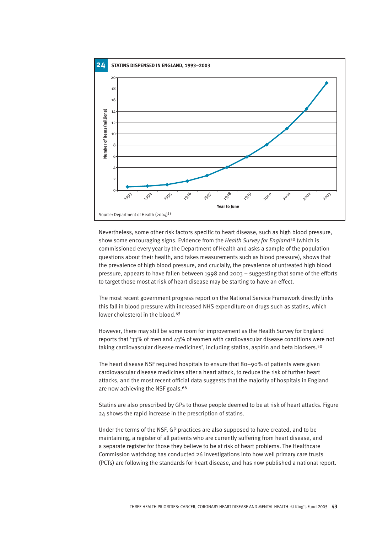

Nevertheless, some other risk factors specific to heart disease, such as high blood pressure, show some encouraging signs. Evidence from the *Health Survey for England*<sup>50</sup> (which is commissioned every year by the Department of Health and asks a sample of the population questions about their health, and takes measurements such as blood pressure), shows that the prevalence of high blood pressure, and crucially, the prevalence of untreated high blood pressure, appears to have fallen between 1998 and 2003 – suggesting that some of the efforts to target those most at risk of heart disease may be starting to have an effect.

The most recent government progress report on the National Service Framework directly links this fall in blood pressure with increased NHS expenditure on drugs such as statins, which lower cholesterol in the blood.<sup>65</sup>

However, there may still be some room for improvement as the Health Survey for England reports that '33% of men and 43% of women with cardiovascular disease conditions were not taking cardiovascular disease medicines', including statins, aspirin and beta blockers.<sup>50</sup>

The heart disease NSF required hospitals to ensure that 80–90% of patients were given cardiovascular disease medicines after a heart attack, to reduce the risk of further heart attacks, and the most recent official data suggests that the majority of hospitals in England are now achieving the NSF goals.<sup>66</sup>

Statins are also prescribed by GPs to those people deemed to be at risk of heart attacks. Figure 24 shows the rapid increase in the prescription of statins.

Under the terms of the NSF, GP practices are also supposed to have created, and to be maintaining, a register of all patients who are currently suffering from heart disease, and a separate register for those they believe to be at risk of heart problems. The Healthcare Commission watchdog has conducted 26 investigations into how well primary care trusts (PCTs) are following the standards for heart disease, and has now published a national report.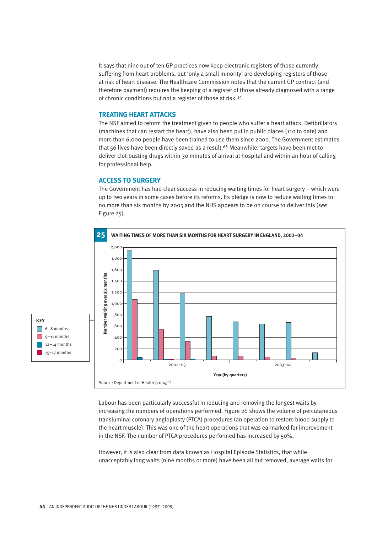It says that nine out of ten GP practices now keep electronic registers of those currently suffering from heart problems, but 'only a small minority' are developing registers of those at risk of heart disease. The Healthcare Commission notes that the current GP contract (and therefore payment) requires the keeping of a register of those already diagnosed with a range of chronic conditions but not a register of those at risk.<sup>34</sup>

#### **TREATING HEART ATTACKS**

The NSF aimed to reform the treatment given to people who suffer a heart attack. Defibrillators (machines that can restart the heart), have also been put in public places (110 to date) and more than 6,000 people have been trained to use them since 2000. The Government estimates that 56 lives have been directly saved as a result.<sup>65</sup> Meanwhile, targets have been met to deliver clot-busting drugs within 30 minutes of arrival at hospital and within an hour of calling for professional help.

#### **ACCESS TO SURGERY**

The Government has had clear success in reducing waiting times for heart surgery – which were up to two years in some cases before its reforms. Its pledge is now to reduce waiting times to no more than six months by 2005 and the NHS appears to be on course to deliver this (*see* Figure 25).



Labour has been particularly successful in reducing and removing the longest waits by increasing the numbers of operations performed. Figure 26 shows the volume of percutaneous transluminal coronary angioplasty (PTCA) procedures (an operation to restore blood supply to the heart muscle). This was one of the heart operations that was earmarked for improvement in the NSF. The number of PTCA procedures performed has increased by 50%.

However, it is also clear from data known as Hospital Episode Statistics, that while unacceptably long waits (nine months or more) have been all but removed, average waits for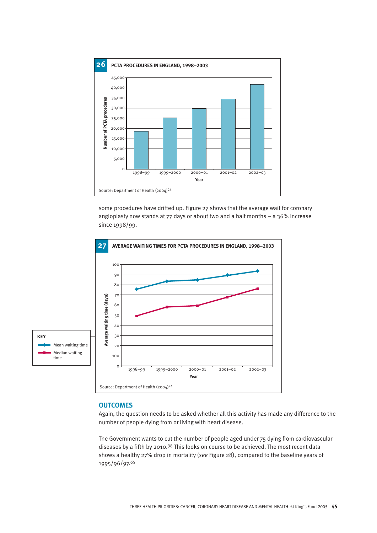

some procedures have drifted up. Figure 27 shows that the average wait for coronary angioplasty now stands at 77 days or about two and a half months – a 36% increase since 1998/99.



#### **OUTCOMES**

Again, the question needs to be asked whether all this activity has made any difference to the number of people dying from or living with heart disease.

The Government wants to cut the number of people aged under 75 dying from cardiovascular diseases by a fifth by 2010.<sup>38</sup> This looks on course to be achieved. The most recent data shows a healthy 27% drop in mortality (*see* Figure 28), compared to the baseline years of 1995/96/97.<sup>65</sup>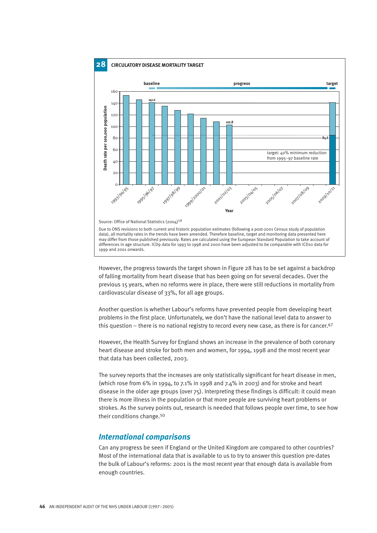

However, the progress towards the target shown in Figure 28 has to be set against a backdrop of falling mortality from heart disease that has been going on for several decades. Over the previous 15 years, when no reforms were in place, there were still reductions in mortality from cardiovascular disease of 33%, for all age groups.

Another question is whether Labour's reforms have prevented people from developing heart problems in the first place. Unfortunately, we don't have the national level data to answer to this question – there is no national registry to record every new case, as there is for cancer.<sup>67</sup>

However, the Health Survey for England shows an increase in the prevalence of both coronary heart disease and stroke for both men and women, for 1994, 1998 and the most recent year that data has been collected, 2003.

The survey reports that the increases are only statistically significant for heart disease in men, (which rose from 6% in 1994, to 7.1% in 1998 and 7.4% in 2003) and for stroke and heart disease in the older age groups (over 75). Interpreting these findings is difficult: it could mean there is more illness in the population or that more people are surviving heart problems or strokes. As the survey points out, research is needed that follows people over time, to see how their conditions change.<sup>50</sup>

#### *International comparisons*

Can any progress be seen if England or the United Kingdom are compared to other countries? Most of the international data that is available to us to try to answer this question pre-dates the bulk of Labour's reforms: 2001 is the most recent year that enough data is available from enough countries.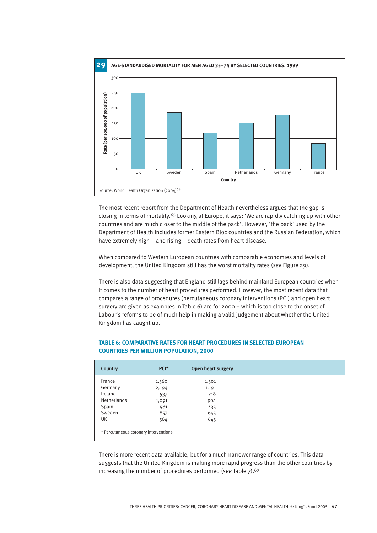

The most recent report from the Department of Health nevertheless argues that the gap is closing in terms of mortality.<sup>65</sup> Looking at Europe, it says: 'We are rapidly catching up with other countries and are much closer to the middle of the pack'. However, 'the pack' used by the Department of Health includes former Eastern Bloc countries and the Russian Federation, which have extremely high – and rising – death rates from heart disease.

When compared to Western European countries with comparable economies and levels of development, the United Kingdom still has the worst mortality rates (*see* Figure 29).

There is also data suggesting that England still lags behind mainland European countries when it comes to the number of heart procedures performed. However, the most recent data that compares a range of procedures (percutaneous coronary interventions (PCI) and open heart surgery are given as examples in Table 6) are for 2000 – which is too close to the onset of Labour's reforms to be of much help in making a valid judgement about whether the United Kingdom has caught up.

| <b>Country</b> | PCI*  | Open heart surgery |
|----------------|-------|--------------------|
| France         | 1,560 | 1,501              |
| Germany        | 2,194 | 1,191              |
| Ireland        | 537   | 718                |
| Netherlands    | 1,091 | 904                |
| Spain          | 581   | 435                |
| Sweden         | 857   | 645                |
| UK             | 564   | 645                |

#### **TABLE 6: COMPARATIVE RATES FOR HEART PROCEDURES IN SELECTED EUROPEAN COUNTRIES PER MILLION POPULATION, 2000**

There is more recent data available, but for a much narrower range of countries. This data suggests that the United Kingdom is making more rapid progress than the other countries by increasing the number of procedures performed (*see* Table 7).<sup>69</sup>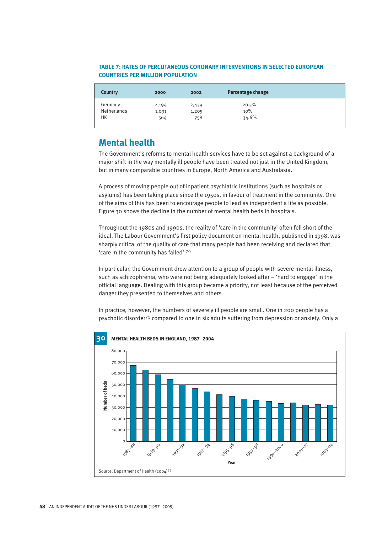#### **TABLE 7: RATES OF PERCUTANEOUS CORONARY INTERVENTIONS IN SELECTED EUROPEAN COUNTRIES PER MILLION POPULATION**

| <b>Country</b> | 2000  | 2002  | Percentage change |
|----------------|-------|-------|-------------------|
| Germany        | 2,194 | 2,439 | 20.5%             |
| Netherlands    | 1,091 | 1,205 | 10%               |
| UK             | 564   | 758   | 34.6%             |

## **Mental health**

The Government's reforms to mental health services have to be set against a background of a major shift in the way mentally ill people have been treated not just in the United Kingdom, but in many comparable countries in Europe, North America and Australasia.

A process of moving people out of inpatient psychiatric institutions (such as hospitals or asylums) has been taking place since the 1950s, in favour of treatment in the community. One of the aims of this has been to encourage people to lead as independent a life as possible. Figure 30 shows the decline in the number of mental health beds in hospitals.

Throughout the 1980s and 1990s, the reality of 'care in the community' often fell short of the ideal. The Labour Government's first policy document on mental health, published in 1998, was sharply critical of the quality of care that many people had been receiving and declared that 'care in the community has failed'.<sup>70</sup>

In particular, the Government drew attention to a group of people with severe mental illness, such as schizophrenia, who were not being adequately looked after – 'hard to engage' in the official language. Dealing with this group became a priority, not least because of the perceived danger they presented to themselves and others.

In practice, however, the numbers of severely ill people are small. One in 200 people has a psychotic disorder<sup>71</sup> compared to one in six adults suffering from depression or anxiety. Only a

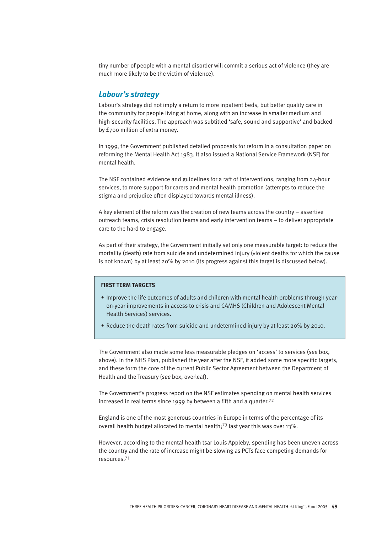tiny number of people with a mental disorder will commit a serious act of violence (they are much more likely to be the victim of violence).

#### *Labour's strategy*

Labour's strategy did not imply a return to more inpatient beds, but better quality care in the community for people living at home, along with an increase in smaller medium and high-security facilities. The approach was subtitled 'safe, sound and supportive' and backed by £700 million of extra money.

In 1999, the Government published detailed proposals for reform in a consultation paper on reforming the Mental Health Act 1983. It also issued a National Service Framework (NSF) for mental health.

The NSF contained evidence and guidelines for a raft of interventions, ranging from 24-hour services, to more support for carers and mental health promotion (attempts to reduce the stigma and prejudice often displayed towards mental illness).

A key element of the reform was the creation of new teams across the country – assertive outreach teams, crisis resolution teams and early intervention teams – to deliver appropriate care to the hard to engage.

As part of their strategy, the Government initially set only one measurable target: to reduce the mortality (death) rate from suicide and undetermined injury (violent deaths for which the cause is not known) by at least 20% by 2010 (its progress against this target is discussed below).

#### **FIRST TERM TARGETS**

- Improve the life outcomes of adults and children with mental health problems through yearon-year improvements in access to crisis and CAMHS (Children and Adolescent Mental Health Services) services.
- Reduce the death rates from suicide and undetermined injury by at least 20% by 2010.

The Government also made some less measurable pledges on 'access' to services (*see* box, above). In the NHS Plan, published the year after the NSF, it added some more specific targets, and these form the core of the current Public Sector Agreement between the Department of Health and the Treasury (*see* box, overleaf).

The Government's progress report on the NSF estimates spending on mental health services increased in real terms since 1999 by between a fifth and a quarter.<sup>72</sup>

England is one of the most generous countries in Europe in terms of the percentage of its overall health budget allocated to mental health;<sup>73</sup> last year this was over 13%.

However, according to the mental health tsar Louis Appleby, spending has been uneven across the country and the rate of increase might be slowing as PCTs face competing demands for resources.<sup>71</sup>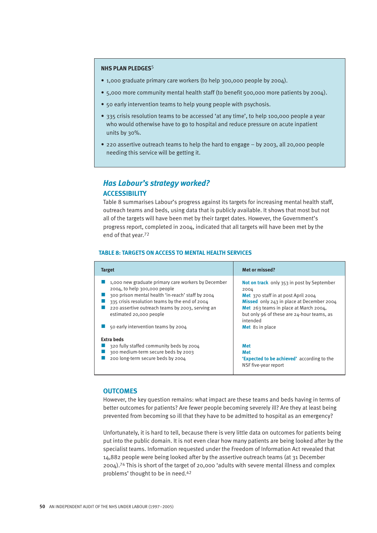#### **NHS PLAN PLEDGES**5

- 1,000 graduate primary care workers (to help 300,000 people by 2004).
- 5,000 more community mental health staff (to benefit 500,000 more patients by 2004).
- 50 early intervention teams to help young people with psychosis.
- 335 crisis resolution teams to be accessed 'at any time', to help 100,000 people a year who would otherwise have to go to hospital and reduce pressure on acute inpatient units by 30%.
- 220 assertive outreach teams to help the hard to engage by 2003, all 20,000 people needing this service will be getting it.

### *Has Labour's strategy worked?* **ACCESSIBILITY**

Table 8 summarises Labour's progress against its targets for increasing mental health staff, outreach teams and beds, using data that is publicly available. It shows that most but not all of the targets will have been met by their target dates. However, the Government's progress report, completed in 2004, indicated that all targets will have been met by the end of that year.<sup>72</sup>

#### **TABLE 8: TARGETS ON ACCESS TO MENTAL HEALTH SERVICES**

| <b>Target</b>                                                                                                                                                                                                                                                                                                    | <b>Met or missed?</b>                                                                                                                                                                                                                     |
|------------------------------------------------------------------------------------------------------------------------------------------------------------------------------------------------------------------------------------------------------------------------------------------------------------------|-------------------------------------------------------------------------------------------------------------------------------------------------------------------------------------------------------------------------------------------|
| 1,000 new graduate primary care workers by December<br>2004, to help 300,000 people<br>300 prison mental health 'in-reach' staff by 2004<br>335 crisis resolution teams by the end of 2004<br>220 assertive outreach teams by 2003, serving an<br>estimated 20,000 people<br>50 early intervention teams by 2004 | Not on track only 353 in post by September<br>2004<br>Met 370 staff in at post April 2004<br>Missed only 243 in place at December 2004<br>Met 263 teams in place at March 2004,<br>but only 96 of these are 24-hour teams, as<br>intended |
| <b>Extra beds</b><br>320 fully staffed community beds by 2004<br>300 medium-term secure beds by 2003<br>200 long-term secure beds by 2004                                                                                                                                                                        | Met 81 in place<br><b>Met</b><br><b>Met</b><br><b>'Expected to be achieved'</b> according to the<br>NSF five-year report                                                                                                                  |

#### **OUTCOMES**

However, the key question remains: what impact are these teams and beds having in terms of better outcomes for patients? Are fewer people becoming severely ill? Are they at least being prevented from becoming so ill that they have to be admitted to hospital as an emergency?

Unfortunately, it is hard to tell, because there is very little data on outcomes for patients being put into the public domain. It is not even clear how many patients are being looked after by the specialist teams. Information requested under the Freedom of Information Act revealed that 14,882 people were being looked after by the assertive outreach teams (at 31 December 2004).<sup>74</sup> This is short of the target of 20,000 'adults with severe mental illness and complex problems' thought to be in need.<sup>42</sup>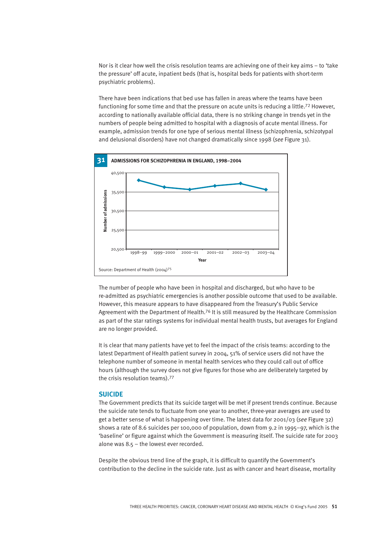Nor is it clear how well the crisis resolution teams are achieving one of their key aims – to 'take the pressure' off acute, inpatient beds (that is, hospital beds for patients with short-term psychiatric problems).

There have been indications that bed use has fallen in areas where the teams have been functioning for some time and that the pressure on acute units is reducing a little.<sup>72</sup> However, according to nationally available official data, there is no striking change in trends yet in the numbers of people being admitted to hospital with a diagnosis of acute mental illness. For example, admission trends for one type of serious mental illness (schizophrenia, schizotypal and delusional disorders) have not changed dramatically since 1998 (*see* Figure 31).



The number of people who have been in hospital and discharged, but who have to be re-admitted as psychiatric emergencies is another possible outcome that used to be available. However, this measure appears to have disappeared from the Treasury's Public Service Agreement with the Department of Health.<sup>76</sup> It is still measured by the Healthcare Commission as part of the star ratings systems for individual mental health trusts, but averages for England are no longer provided.

It is clear that many patients have yet to feel the impact of the crisis teams: according to the latest Department of Health patient survey in 2004, 51% of service users did not have the telephone number of someone in mental health services who they could call out of office hours (although the survey does not give figures for those who are deliberately targeted by the crisis resolution teams).<sup>77</sup>

#### **SUICIDE**

The Government predicts that its suicide target will be met if present trends continue. Because the suicide rate tends to fluctuate from one year to another, three-year averages are used to get a better sense of what is happening over time. The latest data for 2001/03 (*see* Figure 32) shows a rate of 8.6 suicides per 100,000 of population, down from 9.2 in 1995–97, which is the 'baseline' or figure against which the Government is measuring itself. The suicide rate for 2003 alone was 8.5 – the lowest ever recorded.

Despite the obvious trend line of the graph, it is difficult to quantify the Government's contribution to the decline in the suicide rate. Just as with cancer and heart disease, mortality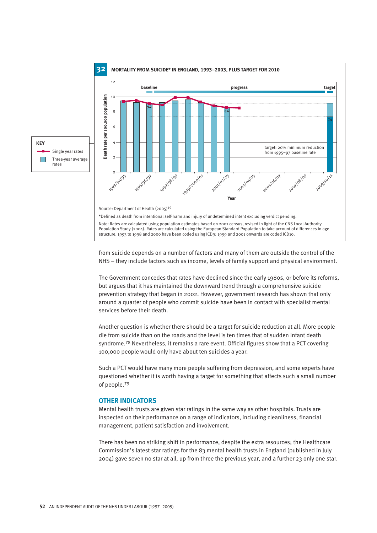

from suicide depends on a number of factors and many of them are outside the control of the NHS – they include factors such as income, levels of family support and physical environment.

The Government concedes that rates have declined since the early 1980s, or before its reforms, but argues that it has maintained the downward trend through a comprehensive suicide prevention strategy that began in 2002. However, government research has shown that only around a quarter of people who commit suicide have been in contact with specialist mental services before their death.

Another question is whether there should be a target for suicide reduction at all. More people die from suicide than on the roads and the level is ten times that of sudden infant death syndrome.<sup>78</sup> Nevertheless, it remains a rare event. Official figures show that a PCT covering 100,000 people would only have about ten suicides a year.

Such a PCT would have many more people suffering from depression, and some experts have questioned whether it is worth having a target for something that affects such a small number of people.<sup>79</sup>

#### **OTHER INDICATORS**

**KEY**

 $\Box$ 

Mental health trusts are given star ratings in the same way as other hospitals. Trusts are inspected on their performance on a range of indicators, including cleanliness, financial management, patient satisfaction and involvement.

There has been no striking shift in performance, despite the extra resources; the Healthcare Commission's latest star ratings for the 83 mental health trusts in England (published in July 2004) gave seven no star at all, up from three the previous year, and a further 23 only one star.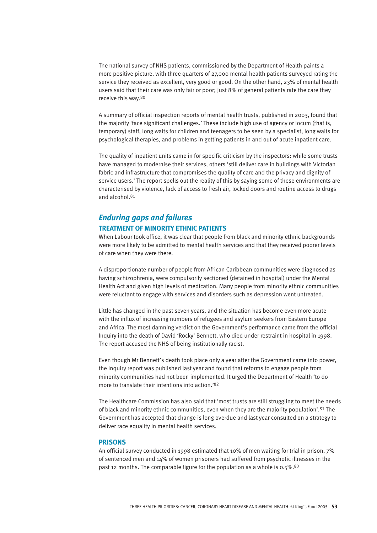The national survey of NHS patients, commissioned by the Department of Health paints a more positive picture, with three quarters of 27,000 mental health patients surveyed rating the service they received as excellent, very good or good. On the other hand, 23% of mental health users said that their care was only fair or poor; just 8% of general patients rate the care they receive this way.<sup>80</sup>

A summary of official inspection reports of mental health trusts, published in 2003, found that the majority 'face significant challenges.' These include high use of agency or locum (that is, temporary) staff, long waits for children and teenagers to be seen by a specialist, long waits for psychological therapies, and problems in getting patients in and out of acute inpatient care.

The quality of inpatient units came in for specific criticism by the inspectors: while some trusts have managed to modernise their services, others 'still deliver care in buildings with Victorian fabric and infrastructure that compromises the quality of care and the privacy and dignity of service users.' The report spells out the reality of this by saying some of these environments are characterised by violence, lack of access to fresh air, locked doors and routine access to drugs and alcohol.<sup>81</sup>

## *Enduring gaps and failures* **TREATMENT OF MINORITY ETHNIC PATIENTS**

When Labour took office, it was clear that people from black and minority ethnic backgrounds were more likely to be admitted to mental health services and that they received poorer levels of care when they were there.

A disproportionate number of people from African Caribbean communities were diagnosed as having schizophrenia, were compulsorily sectioned (detained in hospital) under the Mental Health Act and given high levels of medication. Many people from minority ethnic communities were reluctant to engage with services and disorders such as depression went untreated.

Little has changed in the past seven years, and the situation has become even more acute with the influx of increasing numbers of refugees and asylum seekers from Eastern Europe and Africa. The most damning verdict on the Government's performance came from the official Inquiry into the death of David 'Rocky' Bennett, who died under restraint in hospital in 1998. The report accused the NHS of being institutionally racist.

Even though Mr Bennett's death took place only a year after the Government came into power, the Inquiry report was published last year and found that reforms to engage people from minority communities had not been implemented. It urged the Department of Health 'to do more to translate their intentions into action.'<sup>82</sup>

The Healthcare Commission has also said that 'most trusts are still struggling to meet the needs of black and minority ethnic communities, even when they are the majority population'.<sup>81</sup> The Government has accepted that change is long overdue and last year consulted on a strategy to deliver race equality in mental health services.

#### **PRISONS**

An official survey conducted in 1998 estimated that 10% of men waiting for trial in prison, 7% of sentenced men and 14% of women prisoners had suffered from psychotic illnesses in the past 12 months. The comparable figure for the population as a whole is 0.5%.<sup>83</sup>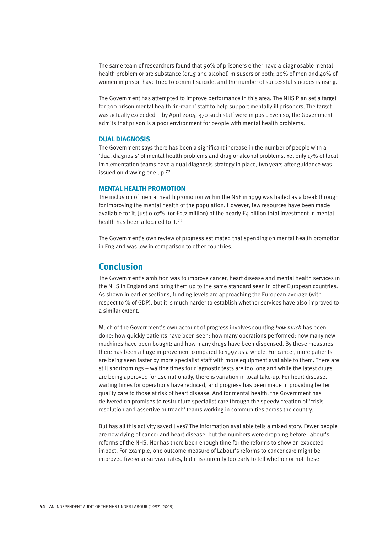The same team of researchers found that 90% of prisoners either have a diagnosable mental health problem or are substance (drug and alcohol) misusers or both; 20% of men and 40% of women in prison have tried to commit suicide, and the number of successful suicides is rising.

The Government has attempted to improve performance in this area. The NHS Plan set a target for 300 prison mental health 'in-reach' staff to help support mentally ill prisoners. The target was actually exceeded – by April 2004, 370 such staff were in post. Even so, the Government admits that prison is a poor environment for people with mental health problems.

#### **DUAL DIAGNOSIS**

The Government says there has been a significant increase in the number of people with a 'dual diagnosis' of mental health problems and drug or alcohol problems. Yet only 17% of local implementation teams have a dual diagnosis strategy in place, two years after guidance was issued on drawing one up.<sup>72</sup>

#### **MENTAL HEALTH PROMOTION**

The inclusion of mental health promotion within the NSF in 1999 was hailed as a break through for improving the mental health of the population. However, few resources have been made available for it. Just 0.07% (or £2.7 million) of the nearly  $f_4$  billion total investment in mental health has been allocated to it.<sup>72</sup>

The Government's own review of progress estimated that spending on mental health promotion in England was low in comparison to other countries.

## **Conclusion**

The Government's ambition was to improve cancer, heart disease and mental health services in the NHS in England and bring them up to the same standard seen in other European countries. As shown in earlier sections, funding levels are approaching the European average (with respect to % of GDP), but it is much harder to establish whether services have also improved to a similar extent.

Much of the Government's own account of progress involves counting *how much* has been done: how quickly patients have been seen; how many operations performed; how many new machines have been bought; and how many drugs have been dispensed. By these measures there has been a huge improvement compared to 1997 as a whole. For cancer, more patients are being seen faster by more specialist staff with more equipment available to them. There are still shortcomings – waiting times for diagnostic tests are too long and while the latest drugs are being approved for use nationally, there is variation in local take-up. For heart disease, waiting times for operations have reduced, and progress has been made in providing better quality care to those at risk of heart disease. And for mental health, the Government has delivered on promises to restructure specialist care through the speedy creation of 'crisis resolution and assertive outreach' teams working in communities across the country.

But has all this activity saved lives? The information available tells a mixed story. Fewer people are now dying of cancer and heart disease, but the numbers were dropping before Labour's reforms of the NHS. Nor has there been enough time for the reforms to show an expected impact. For example, one outcome measure of Labour's reforms to cancer care might be improved five-year survival rates, but it is currently too early to tell whether or not these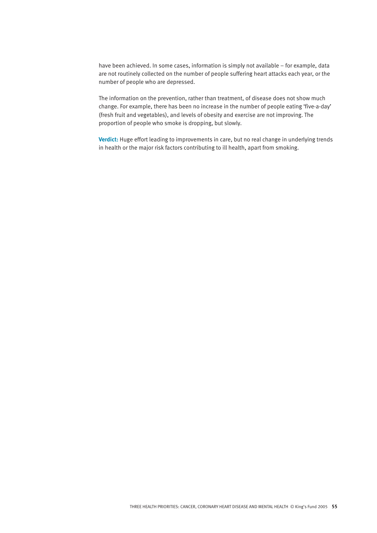have been achieved. In some cases, information is simply not available – for example, data are not routinely collected on the number of people suffering heart attacks each year, or the number of people who are depressed.

The information on the prevention, rather than treatment, of disease does not show much change. For example, there has been no increase in the number of people eating 'five-a-day' (fresh fruit and vegetables), and levels of obesity and exercise are not improving. The proportion of people who smoke is dropping, but slowly.

**Verdict:** Huge effort leading to improvements in care, but no real change in underlying trends in health or the major risk factors contributing to ill health, apart from smoking.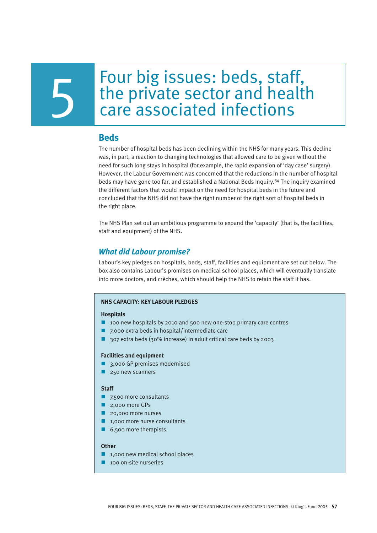# Four big issues: beds, staff, Four big issues: beds, staff,<br>the private sector and health<br>care associated infections

## **Beds**

The number of hospital beds has been declining within the NHS for many years. This decline was, in part, a reaction to changing technologies that allowed care to be given without the need for such long stays in hospital (for example, the rapid expansion of 'day case' surgery). However, the Labour Government was concerned that the reductions in the number of hospital beds may have gone too far, and established a National Beds Inquiry.<sup>84</sup> The inquiry examined the different factors that would impact on the need for hospital beds in the future and concluded that the NHS did not have the right number of the right sort of hospital beds in the right place.

The NHS Plan set out an ambitious programme to expand the 'capacity' (that is, the facilities, staff and equipment) of the NHS**.**

## *What did Labour promise?*

Labour's key pledges on hospitals, beds, staff, facilities and equipment are set out below. The box also contains Labour's promises on medical school places, which will eventually translate into more doctors, and crèches, which should help the NHS to retain the staff it has.

#### **NHS CAPACITY: KEY LABOUR PLEDGES**

#### **Hospitals**

- $\blacksquare$  100 new hospitals by 2010 and 500 new one-stop primary care centres
- $\blacksquare$  7,000 extra beds in hospital/intermediate care
- 307 extra beds (30% increase) in adult critical care beds by 2003

#### **Facilities and equipment**

- 3,000 GP premises modernised
- $\blacksquare$  250 new scanners

#### **Staff**

- $\blacksquare$  7,500 more consultants
- **n** 2,000 more GPs
- 20,000 more nurses
- $\blacksquare$  1,000 more nurse consultants
- $\blacksquare$  6,500 more therapists

#### **Other**

- $\blacksquare$  1,000 new medical school places
- $\blacksquare$  100 on-site nurseries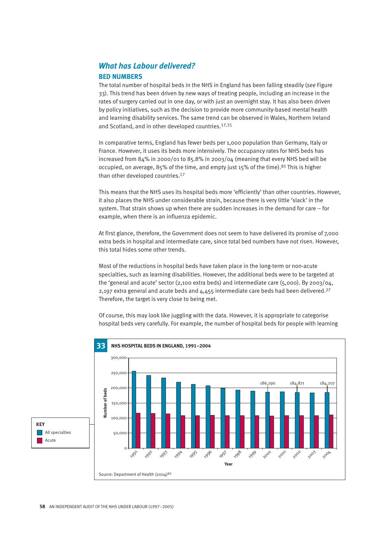## *What has Labour delivered?* **BED NUMBERS**

The total number of hospital beds in the NHS in England has been falling steadily (*see* Figure 33). This trend has been driven by new ways of treating people, including an increase in the rates of surgery carried out in one day, or with just an overnight stay. It has also been driven by policy initiatives, such as the decision to provide more community-based mental health and learning disability services. The same trend can be observed in Wales, Northern Ireland and Scotland, and in other developed countries.17,31

In comparative terms, England has fewer beds per 1,000 population than Germany, Italy or France. However, it uses its beds more intensively. The occupancy rates for NHS beds has increased from 84% in 2000/01 to 85.8% in 2003/04 (meaning that every NHS bed will be occupied, on average, 85% of the time, and empty just 15% of the time).<sup>85</sup> This is higher than other developed countries.<sup>17</sup>

This means that the NHS uses its hospital beds more 'efficiently' than other countries. However, it also places the NHS under considerable strain, because there is very little 'slack' in the system. That strain shows up when there are sudden increases in the demand for care – for example, when there is an influenza epidemic.

At first glance, therefore, the Government does not seem to have delivered its promise of 7,000 extra beds in hospital and intermediate care, since total bed numbers have not risen. However, this total hides some other trends.

Most of the reductions in hospital beds have taken place in the long-term or non-acute specialties, such as learning disabilities. However, the additional beds were to be targeted at the 'general and acute' sector (2,100 extra beds) and intermediate care (5,000). By 2003/04, 2,197 extra general and acute beds and 4,455 intermediate care beds had been delivered.<sup>27</sup> Therefore, the target is very close to being met.

Of course, this may look like juggling with the data. However, it is appropriate to categorise hospital beds very carefully. For example, the number of hospital beds for people with learning



**KEY**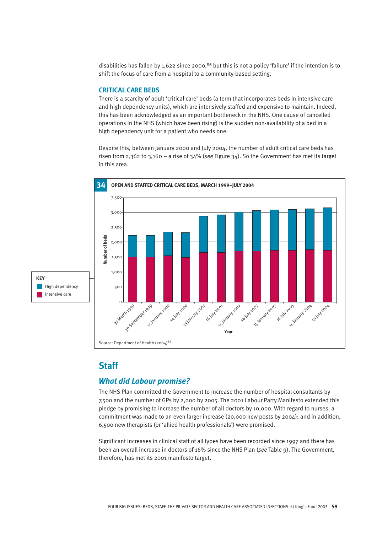disabilities has fallen by 1,622 since 2000,<sup>86</sup> but this is not a policy 'failure' if the intention is to shift the focus of care from a hospital to a community-based setting.

#### **CRITICAL CARE BEDS**

There is a scarcity of adult 'critical care' beds (a term that incorporates beds in intensive care and high dependency units), which are intensively staffed and expensive to maintain. Indeed, this has been acknowledged as an important bottleneck in the NHS. One cause of cancelled operations in the NHS (which have been rising) is the sudden non-availability of a bed in a high dependency unit for a patient who needs one.

Despite this, between January 2000 and July 2004, the number of adult critical care beds has risen from 2,362 to 3,160 – a rise of 34% (*see* Figure 34). So the Government has met its target in this area.





## **Staff**

#### *What did Labour promise?*

The NHS Plan committed the Government to increase the number of hospital consultants by 7,500 and the number of GPs by 2,000 by 2005. The 2001 Labour Party Manifesto extended this pledge by promising to increase the number of all doctors by 10,000. With regard to nurses, a commitment was made to an even larger increase (20,000 new posts by 2004); and in addition, 6,500 new therapists (or 'allied health professionals') were promised.

Significant increases in clinical staff of all types have been recorded since 1997 and there has been an overall increase in doctors of 16% since the NHS Plan (*see* Table 9). The Government, therefore, has met its 2001 manifesto target.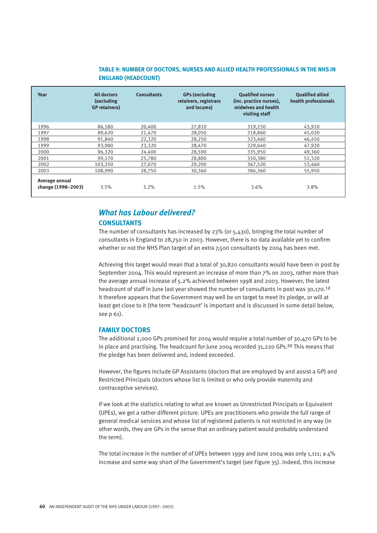#### **TABLE 9: NUMBER OF DOCTORS, NURSES AND ALLIED HEALTH PROFESSIONALS IN THE NHS IN ENGLAND (HEADCOUNT)**

| Year                                 | <b>All doctors</b><br><b>(excluding)</b><br><b>GP</b> retainers) | <b>Consultants</b> | <b>GPs (excluding</b><br>retainers, registrars<br>and locums) | <b>Oualified nurses</b><br>(inc. practice nurses).<br>midwives and health<br>visiting staff | <b>Oualified allied</b><br>health professionals |
|--------------------------------------|------------------------------------------------------------------|--------------------|---------------------------------------------------------------|---------------------------------------------------------------------------------------------|-------------------------------------------------|
| 1996                                 | 86,580                                                           | 20,400             | 27,810                                                        | 319,150                                                                                     | 43,910                                          |
| 1997                                 | 89.620                                                           | 21,470             | 28,050                                                        | 318,860                                                                                     | 45,020                                          |
| 1998                                 | 91.840                                                           | 22,320             | 28,250                                                        | 323,460                                                                                     | 46,450                                          |
| 1999                                 | 93,980                                                           | 23,320             | 28,470                                                        | 329,640                                                                                     | 47,920                                          |
| 2000                                 | 96,320                                                           | 24,400             | 28,590                                                        | 335,950                                                                                     | 49,360                                          |
| 2001                                 | 99.170                                                           | 25,780             | 28,800                                                        | 350,380                                                                                     | 51,320                                          |
| 2002                                 | 103,350                                                          | 27,070             | 29,200                                                        | 367,520                                                                                     | 53,460                                          |
| 2003                                 | 108.990                                                          | 28,750             | 30,360                                                        | 386,360                                                                                     | 55,950                                          |
| Average annual<br>change (1998-2003) | 3.5%                                                             | 5.2%               | 1.5%                                                          | 3.6%                                                                                        | $3.8\%$                                         |

## *What has Labour delivered?*

#### **CONSULTANTS**

The number of consultants has increased by 23% (or 5,430), bringing the total number of consultants in England to 28,750 in 2003. However, there is no data available yet to confirm whether or not the NHS Plan target of an extra 7,500 consultants by 2004 has been met.

Achieving this target would mean that a total of 30,820 consultants would have been in post by September 2004. This would represent an increase of more than 7% on 2003, rather more than the average annual increase of 5.2% achieved between 1998 and 2003. However, the latest headcount of staff in June last year showed the number of consultants in post was 30,170.<sup>18</sup> It therefore appears that the Government may well be on target to meet its pledge, or will at least get close to it (the term 'headcount' is important and is discussed in some detail below, *see* p 61).

#### **FAMILY DOCTORS**

The additional 2,000 GPs promised for 2004 would require a total number of 30,470 GPs to be in place and practising. The headcount for June 2004 recorded 31,220 GPs.<sup>88</sup> This means that the pledge has been delivered and, indeed exceeded.

However, the figures include GP Assistants (doctors that are employed by and assist a GP) and Restricted Principals (doctors whose list is limited or who only provide maternity and contraceptive services).

If we look at the statistics relating to what are known as Unrestricted Principals or Equivalent (UPEs), we get a rather different picture. UPEs are practitioners who provide the full range of general medical services and whose list of registered patients is not restricted in any way (in other words, they are GPs in the sense that an ordinary patient would probably understand the term).

The total increase in the number of of UPEs between 1999 and June 2004 was only 1,111; a 4% increase and some way short of the Government's target (*see* Figure 35). Indeed, this increase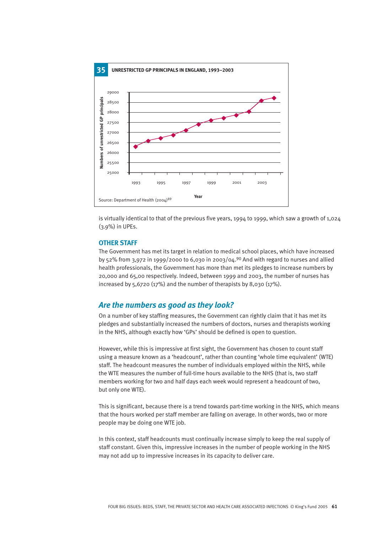

is virtually identical to that of the previous five years, 1994 to 1999, which saw a growth of 1,024 (3.9%) in UPEs.

#### **OTHER STAFF**

The Government has met its target in relation to medical school places, which have increased by 52% from 3,972 in 1999/2000 to 6,030 in 2003/04.<sup>90</sup> And with regard to nurses and allied health professionals, the Government has more than met its pledges to increase numbers by 20,000 and 65,00 respectively. Indeed, between 1999 and 2003, the number of nurses has increased by 5,6720 (17%) and the number of therapists by 8,030 (17%).

#### *Are the numbers as good as they look?*

On a number of key staffing measures, the Government can rightly claim that it has met its pledges and substantially increased the numbers of doctors, nurses and therapists working in the NHS, although exactly how 'GPs' should be defined is open to question.

However, while this is impressive at first sight, the Government has chosen to count staff using a measure known as a 'headcount', rather than counting 'whole time equivalent' (WTE) staff. The headcount measures the number of individuals employed within the NHS, while the WTE measures the number of full-time hours available to the NHS (that is, two staff members working for two and half days each week would represent a headcount of two, but only one WTE).

This is significant, because there is a trend towards part-time working in the NHS, which means that the hours worked per staff member are falling on average. In other words, two or more people may be doing one WTE job.

In this context, staff headcounts must continually increase simply to keep the real supply of staff constant. Given this, impressive increases in the number of people working in the NHS may not add up to impressive increases in its capacity to deliver care.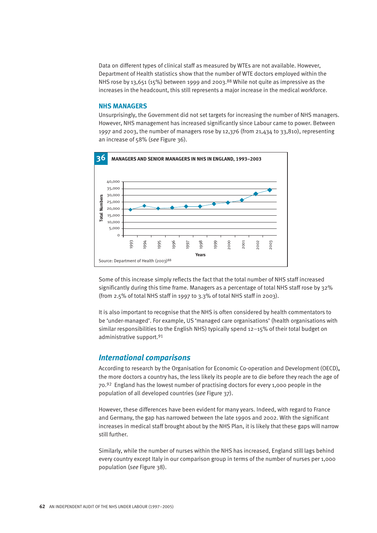Data on different types of clinical staff as measured by WTEs are not available. However, Department of Health statistics show that the number of WTE doctors employed within the NHS rose by 13,651 (15%) between 1999 and 2003.<sup>88</sup> While not quite as impressive as the increases in the headcount, this still represents a major increase in the medical workforce.

#### **NHS MANAGERS**

Unsurprisingly, the Government did not set targets for increasing the number of NHS managers. However, NHS management has increased significantly since Labour came to power. Between 1997 and 2003, the number of managers rose by 12,376 (from 21,434 to 33,810), representing an increase of 58% (*see* Figure 36).



Some of this increase simply reflects the fact that the total number of NHS staff increased significantly during this time frame. Managers as a percentage of total NHS staff rose by 32% (from 2.5% of total NHS staff in 1997 to 3.3% of total NHS staff in 2003).

It is also important to recognise that the NHS is often considered by health commentators to be 'under-managed'. For example, US 'managed care organisations' (health organisations with similar responsibilities to the English NHS) typically spend 12–15% of their total budget on administrative support.<sup>91</sup>

#### *International comparisons*

According to research by the Organisation for Economic Co-operation and Development (OECD)**,** the more doctors a country has, the less likely its people are to die before they reach the age of 70.<sup>92</sup> England has the lowest number of practising doctors for every 1,000 people in the population of all developed countries (*see* Figure 37).

However, these differences have been evident for many years. Indeed, with regard to France and Germany, the gap has narrowed between the late 1990s and 2002. With the significant increases in medical staff brought about by the NHS Plan, it is likely that these gaps will narrow still further.

Similarly, while the number of nurses within the NHS has increased, England still lags behind every country except Italy in our comparison group in terms of the number of nurses per 1,000 population (*see* Figure 38).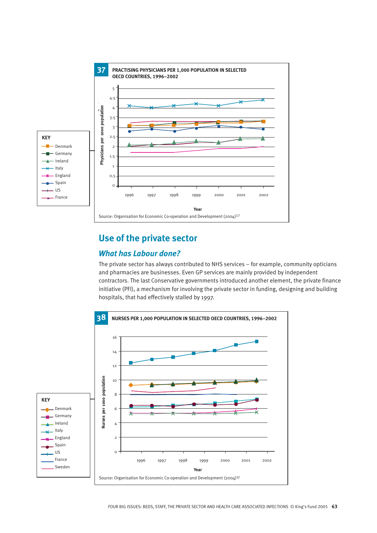

## **Use of the private sector**

## **What has Labour done?**

The private sector has always contributed to NHS services – for example, community opticians 14 and pharmacies are businesses. Even GP services are mainly provided by independent 12 0 contractors. The last Conservative governments introduced another element, the private finance initiative (PFI), a mechanism for involving the private sector in funding, designing and building hospitals, that had effectively stalled by 1997. **Year** h<sub>11</sub>

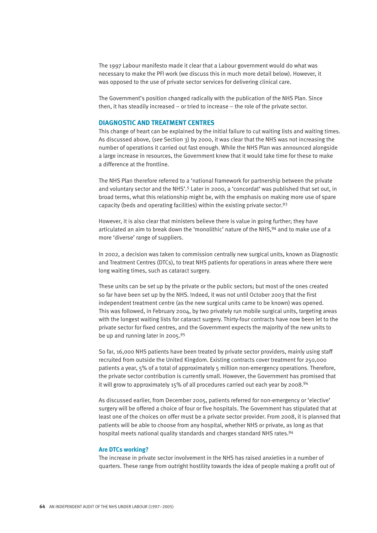The 1997 Labour manifesto made it clear that a Labour government would do what was necessary to make the PFI work (we discuss this in much more detail below). However, it was opposed to the use of private sector services for delivering clinical care.

The Government's position changed radically with the publication of the NHS Plan. Since then, it has steadily increased – or tried to increase – the role of the private sector.

#### **DIAGNOSTIC AND TREATMENT CENTRES**

This change of heart can be explained by the initial failure to cut waiting lists and waiting times. As discussed above, (*see* Section 3) by 2000, it was clear that the NHS was not increasing the number of operations it carried out fast enough. While the NHS Plan was announced alongside a large increase in resources, the Government knew that it would take time for these to make a difference at the frontline.

The NHS Plan therefore referred to a 'national framework for partnership between the private and voluntary sector and the NHS'.<sup>5</sup> Later in 2000, a 'concordat' was published that set out, in broad terms, what this relationship might be, with the emphasis on making more use of spare capacity (beds and operating facilities) within the existing private sector.<sup>93</sup>

However, it is also clear that ministers believe there is value in going further; they have articulated an aim to break down the 'monolithic' nature of the NHS,<sup>94</sup> and to make use of a more 'diverse' range of suppliers.

In 2002, a decision was taken to commission centrally new surgical units, known as Diagnostic and Treatment Centres (DTCs), to treat NHS patients for operations in areas where there were long waiting times, such as cataract surgery.

These units can be set up by the private or the public sectors; but most of the ones created so far have been set up by the NHS. Indeed, it was not until October 2003 that the first independent treatment centre (as the new surgical units came to be known) was opened. This was followed, in February 2004, by two privately run mobile surgical units, targeting areas with the longest waiting lists for cataract surgery. Thirty-four contracts have now been let to the private sector for fixed centres, and the Government expects the majority of the new units to be up and running later in 2005.<sup>95</sup>

So far, 16,000 NHS patients have been treated by private sector providers, mainly using staff recruited from outside the United Kingdom. Existing contracts cover treatment for 250,000 patients a year, 5% of a total of approximately 5 million non-emergency operations. Therefore, the private sector contribution is currently small. However, the Government has promised that it will grow to approximately 15% of all procedures carried out each year by 2008.<sup>94</sup>

As discussed earlier, from December 2005, patients referred for non-emergency or 'elective' surgery will be offered a choice of four or five hospitals. The Government has stipulated that at least one of the choices on offer must be a private sector provider. From 2008, it is planned that patients will be able to choose from any hospital, whether NHS or private, as long as that hospital meets national quality standards and charges standard NHS rates.<sup>94</sup>

#### **Are DTCs working?**

The increase in private sector involvement in the NHS has raised anxieties in a number of quarters. These range from outright hostility towards the idea of people making a profit out of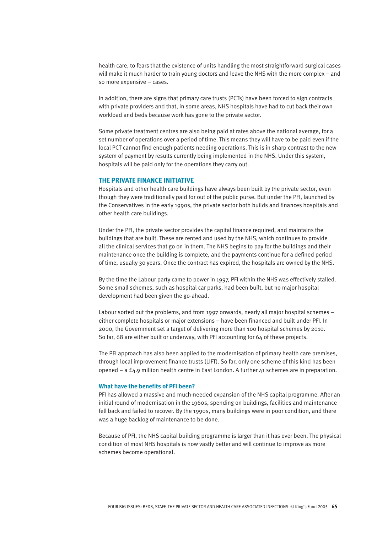health care, to fears that the existence of units handling the most straightforward surgical cases will make it much harder to train young doctors and leave the NHS with the more complex – and so more expensive – cases.

In addition, there are signs that primary care trusts (PCTs) have been forced to sign contracts with private providers and that, in some areas, NHS hospitals have had to cut back their own workload and beds because work has gone to the private sector.

Some private treatment centres are also being paid at rates above the national average, for a set number of operations over a period of time. This means they will have to be paid even if the local PCT cannot find enough patients needing operations. This is in sharp contrast to the new system of payment by results currently being implemented in the NHS. Under this system, hospitals will be paid only for the operations they carry out.

#### **THE PRIVATE FINANCE INITIATIVE**

Hospitals and other health care buildings have always been built by the private sector, even though they were traditionally paid for out of the public purse. But under the PFI, launched by the Conservatives in the early 1990s, the private sector both builds and finances hospitals and other health care buildings.

Under the PFI, the private sector provides the capital finance required, and maintains the buildings that are built. These are rented and used by the NHS, which continues to provide all the clinical services that go on in them. The NHS begins to pay for the buildings and their maintenance once the building is complete, and the payments continue for a defined period of time, usually 30 years. Once the contract has expired, the hospitals are owned by the NHS.

By the time the Labour party came to power in 1997, PFI within the NHS was effectively stalled. Some small schemes, such as hospital car parks, had been built, but no major hospital development had been given the go-ahead.

Labour sorted out the problems, and from 1997 onwards, nearly all major hospital schemes – either complete hospitals or major extensions – have been financed and built under PFI. In 2000, the Government set a target of delivering more than 100 hospital schemes by 2010. So far, 68 are either built or underway, with PFI accounting for 64 of these projects.

The PFI approach has also been applied to the modernisation of primary health care premises, through local improvement finance trusts (LIFT). So far, only one scheme of this kind has been opened – a £4.9 million health centre in East London. A further 41 schemes are in preparation.

#### **What have the benefits of PFI been?**

PFI has allowed a massive and much-needed expansion of the NHS capital programme. After an initial round of modernisation in the 1960s, spending on buildings, facilities and maintenance fell back and failed to recover. By the 1990s, many buildings were in poor condition, and there was a huge backlog of maintenance to be done.

Because of PFI, the NHS capital building programme is larger than it has ever been. The physical condition of most NHS hospitals is now vastly better and will continue to improve as more schemes become operational.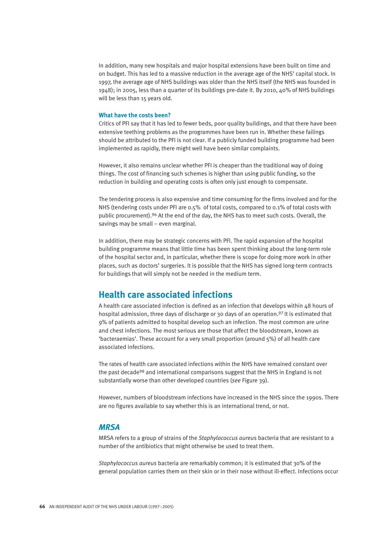In addition, many new hospitals and major hospital extensions have been built on time and on budget. This has led to a massive reduction in the average age of the NHS' capital stock. In 1997, the average age of NHS buildings was older than the NHS itself (the NHS was founded in 1948); in 2005, less than a quarter of its buildings pre-date it. By 2010, 40% of NHS buildings will be less than 15 years old.

#### **What have the costs been?**

Critics of PFI say that it has led to fewer beds, poor quality buildings, and that there have been extensive teething problems as the programmes have been run in. Whether these failings should be attributed to the PFI is not clear. If a publicly funded building programme had been implemented as rapidly, there might well have been similar complaints.

However, it also remains unclear whether PFI is cheaper than the traditional way of doing things. The cost of financing such schemes is higher than using public funding, so the reduction in building and operating costs is often only just enough to compensate.

The tendering process is also expensive and time consuming for the firms involved and for the NHS (tendering costs under PFI are 0.5% of total costs, compared to 0.1% of total costs with public procurement).<sup>96</sup> At the end of the day, the NHS has to meet such costs. Overall, the savings may be small – even marginal.

In addition, there may be strategic concerns with PFI. The rapid expansion of the hospital building programme means that little time has been spent thinking about the long-term role of the hospital sector and, in particular, whether there is scope for doing more work in other places, such as doctors' surgeries. It is possible that the NHS has signed long-term contracts for buildings that will simply not be needed in the medium term.

## **Health care associated infections**

A health care associated infection is defined as an infection that develops within 48 hours of hospital admission, three days of discharge or 30 days of an operation.97 It is estimated that 9% of patients admitted to hospital develop such an infection. The most common are urine and chest infections. The most serious are those that affect the bloodstream, known as 'bacteraemias'. These account for a very small proportion (around 5%) of all health care associated infections.

The rates of health care associated infections within the NHS have remained constant over the past decade<sup>98</sup> and international comparisons suggest that the NHS in England is not substantially worse than other developed countries (*see* Figure 39).

However, numbers of bloodstream infections have increased in the NHS since the 1990s. There are no figures available to say whether this is an international trend, or not.

#### *MRSA*

MRSA refers to a group of strains of the *Staphylococcus aureu*s bacteria that are resistant to a number of the antibiotics that might otherwise be used to treat them.

*Staphylococcus aureus* bacteria are remarkably common; it is estimated that 30% of the general population carries them on their skin or in their nose without ill-effect. Infections occur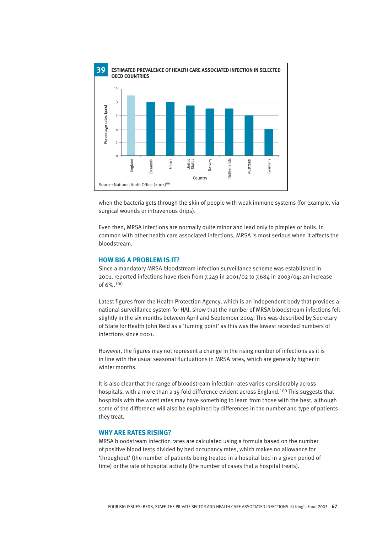

when the bacteria gets through the skin of people with weak immune systems (for example, via surgical wounds or intravenous drips).

Even then, MRSA infections are normally quite minor and lead only to pimples or boils. In common with other health care associated infections, MRSA is most serious when it affects the bloodstream.

#### **HOW BIG A PROBLEM IS IT?**

Since a mandatory MRSA bloodstream infection surveillance scheme was established in 2001, reported infections have risen from  $7.249$  in 2001/02 to  $7.684$  in 2003/04; an increase of 6%.<sup>100</sup>

Latest figures from the Health Protection Agency, which is an independent body that provides a national surveillance system for HAI, show that the number of MRSA bloodstream infections fell slightly in the six months between April and September 2004. This was described by Secretary of State for Health John Reid as a 'turning point' as this was the lowest recorded numbers of infections since 2001.

However, the figures may not represent a change in the rising number of infections as it is in line with the usual seasonal fluctuations in MRSA rates, which are generally higher in winter months.

It is also clear that the range of bloodstream infection rates varies considerably across hospitals, with a more than a 15-fold difference evident across England.<sup>100</sup> This suggests that hospitals with the worst rates may have something to learn from those with the best, although some of the difference will also be explained by differences in the number and type of patients they treat.

#### **WHY ARE RATES RISING?**

MRSA bloodstream infection rates are calculated using a formula based on the number of positive blood tests divided by bed occupancy rates, which makes no allowance for 'throughput' (the number of patients being treated in a hospital bed in a given period of time) or the rate of hospital activity (the number of cases that a hospital treats).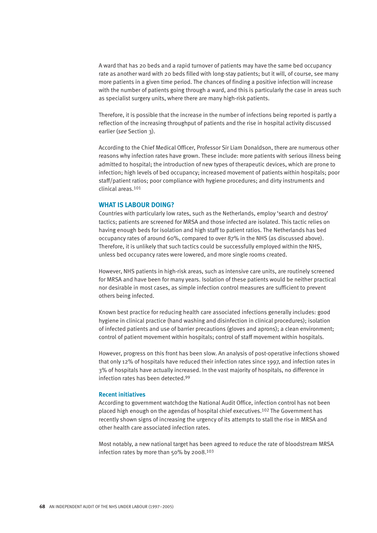A ward that has 20 beds and a rapid turnover of patients may have the same bed occupancy rate as another ward with 20 beds filled with long-stay patients; but it will, of course, see many more patients in a given time period. The chances of finding a positive infection will increase with the number of patients going through a ward, and this is particularly the case in areas such as specialist surgery units, where there are many high-risk patients.

Therefore, it is possible that the increase in the number of infections being reported is partly a reflection of the increasing throughput of patients and the rise in hospital activity discussed earlier (*see* Section 3).

According to the Chief Medical Officer, Professor Sir Liam Donaldson, there are numerous other reasons why infection rates have grown. These include: more patients with serious illness being admitted to hospital; the introduction of new types of therapeutic devices, which are prone to infection; high levels of bed occupancy; increased movement of patients within hospitals; poor staff/patient ratios; poor compliance with hygiene procedures; and dirty instruments and clinical areas.<sup>101</sup>

#### **WHAT IS LABOUR DOING?**

Countries with particularly low rates, such as the Netherlands, employ 'search and destroy' tactics; patients are screened for MRSA and those infected are isolated. This tactic relies on having enough beds for isolation and high staff to patient ratios. The Netherlands has bed occupancy rates of around 60%, compared to over 87% in the NHS (as discussed above). Therefore, it is unlikely that such tactics could be successfully employed within the NHS, unless bed occupancy rates were lowered, and more single rooms created.

However, NHS patients in high-risk areas, such as intensive care units, are routinely screened for MRSA and have been for many years. Isolation of these patients would be neither practical nor desirable in most cases, as simple infection control measures are sufficient to prevent others being infected.

Known best practice for reducing health care associated infections generally includes: good hygiene in clinical practice (hand washing and disinfection in clinical procedures); isolation of infected patients and use of barrier precautions (gloves and aprons); a clean environment; control of patient movement within hospitals; control of staff movement within hospitals.

However, progress on this front has been slow. An analysis of post-operative infections showed that only 12% of hospitals have reduced their infection rates since 1997, and infection rates in 3% of hospitals have actually increased. In the vast majority of hospitals, no difference in infection rates has been detected.<sup>99</sup>

#### **Recent initiatives**

According to government watchdog the National Audit Office, infection control has not been placed high enough on the agendas of hospital chief executives.<sup>102</sup> The Government has recently shown signs of increasing the urgency of its attempts to stall the rise in MRSA and other health care associated infection rates.

Most notably, a new national target has been agreed to reduce the rate of bloodstream MRSA infection rates by more than 50% by 2008.<sup>103</sup>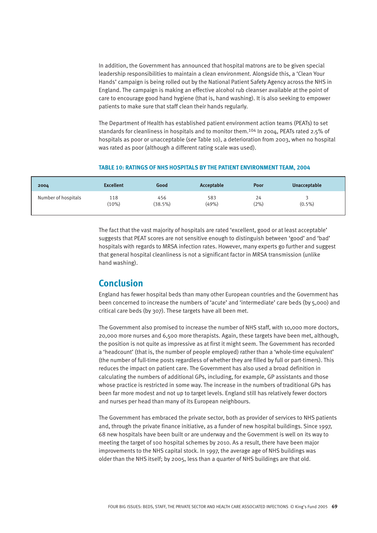In addition, the Government has announced that hospital matrons are to be given special leadership responsibilities to maintain a clean environment. Alongside this, a 'Clean Your Hands' campaign is being rolled out by the National Patient Safety Agency across the NHS in England. The campaign is making an effective alcohol rub cleanser available at the point of care to encourage good hand hygiene (that is, hand washing). It is also seeking to empower patients to make sure that staff clean their hands regularly.

The Department of Health has established patient environment action teams (PEATs) to set standards for cleanliness in hospitals and to monitor them.<sup>104</sup> In 2004, PEATs rated 2.5% of hospitals as poor or unacceptable (*see* Table 10), a deterioration from 2003, when no hospital was rated as poor (although a different rating scale was used).

#### **TABLE 10: RATINGS OF NHS HOSPITALS BY THE PATIENT ENVIRONMENT TEAM, 2004**

| 2004                | <b>Excellent</b> | Good              | Acceptable   | Poor       | <b>Unacceptable</b> |
|---------------------|------------------|-------------------|--------------|------------|---------------------|
| Number of hospitals | 118<br>(10%)     | 456<br>$(38.5\%)$ | 583<br>(49%) | 24<br>(2%) | $(0.5\%)$           |

The fact that the vast majority of hospitals are rated 'excellent, good or at least acceptable' suggests that PEAT scores are not sensitive enough to distinguish between 'good' and 'bad' hospitals with regards to MRSA infection rates. However, many experts go further and suggest that general hospital cleanliness is not a significant factor in MRSA transmission (unlike hand washing).

#### **Conclusion**

England has fewer hospital beds than many other European countries and the Government has been concerned to increase the numbers of 'acute' and 'intermediate' care beds (by 5,000) and critical care beds (by 307). These targets have all been met.

The Government also promised to increase the number of NHS staff, with 10,000 more doctors, 20,000 more nurses and 6,500 more therapists. Again, these targets have been met, although, the position is not quite as impressive as at first it might seem. The Government has recorded a 'headcount' (that is, the number of people employed) rather than a 'whole-time equivalent' (the number of full-time posts regardless of whether they are filled by full or part-timers). This reduces the impact on patient care. The Government has also used a broad definition in calculating the numbers of additional GPs, including, for example, GP assistants and those whose practice is restricted in some way. The increase in the numbers of traditional GPs has been far more modest and not up to target levels. England still has relatively fewer doctors and nurses per head than many of its European neighbours.

The Government has embraced the private sector, both as provider of services to NHS patients and, through the private finance initiative, as a funder of new hospital buildings. Since 1997, 68 new hospitals have been built or are underway and the Government is well on its way to meeting the target of 100 hospital schemes by 2010. As a result, there have been major improvements to the NHS capital stock. In 1997, the average age of NHS buildings was older than the NHS itself; by 2005, less than a quarter of NHS buildings are that old.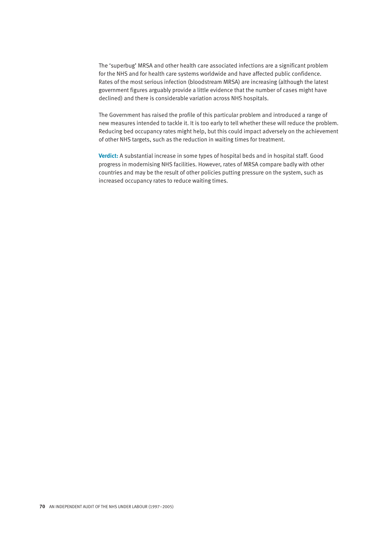The 'superbug' MRSA and other health care associated infections are a significant problem for the NHS and for health care systems worldwide and have affected public confidence. Rates of the most serious infection (bloodstream MRSA) are increasing (although the latest government figures arguably provide a little evidence that the number of cases might have declined) and there is considerable variation across NHS hospitals.

The Government has raised the profile of this particular problem and introduced a range of new measures intended to tackle it. It is too early to tell whether these will reduce the problem. Reducing bed occupancy rates might help, but this could impact adversely on the achievement of other NHS targets, such as the reduction in waiting times for treatment.

**Verdict:** A substantial increase in some types of hospital beds and in hospital staff. Good progress in modernising NHS facilities. However, rates of MRSA compare badly with other countries and may be the result of other policies putting pressure on the system, such as increased occupancy rates to reduce waiting times.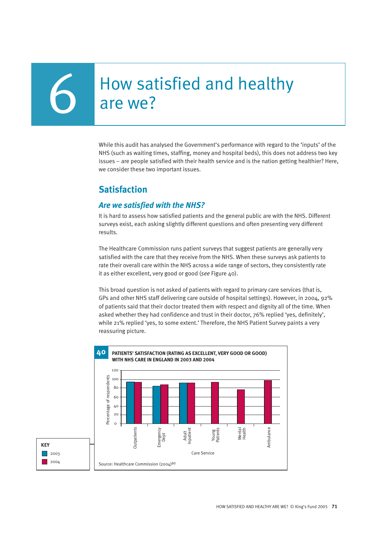# How satisfied and healthy<br>are we?

While this audit has analysed the Government's performance with regard to the 'inputs' of the NHS (such as waiting times, staffing, money and hospital beds), this does not address two key issues – are people satisfied with their health service and is the nation getting healthier? Here, we consider these two important issues.

### **Satisfaction**

#### *Are we satisfied with the NHS?*

It is hard to assess how satisfied patients and the general public are with the NHS. Different surveys exist, each asking slightly different questions and often presenting very different results.

The Healthcare Commission runs patient surveys that suggest patients are generally very satisfied with the care that they receive from the NHS. When these surveys ask patients to rate their overall care within the NHS across a wide range of sectors, they consistently rate it as either excellent, very good or good (*see* Figure 40).

This broad question is not asked of patients with regard to primary care services (that is, GPs and other NHS staff delivering care outside of hospital settings). However, in 2004, 92% of patients said that their doctor treated them with respect and dignity all of the time. When asked whether they had confidence and trust in their doctor, 76% replied 'yes, definitely', while 21% replied 'yes, to some extent.' Therefore, the NHS Patient Survey paints a very reassuring picture.

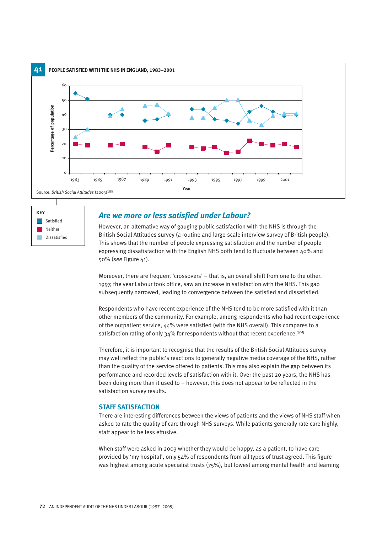



#### *Are we more or less satisfied under Labour?*

However, an alternative way of gauging public satisfaction with the NHS is through the British Social Attitudes survey (a routine and large-scale interview survey of British people). This shows that the number of people expressing satisfaction and the number of people expressing dissatisfaction with the English NHS both tend to fluctuate between 40% and 50% (*see* Figure 41).

Moreover, there are frequent 'crossovers' – that is, an overall shift from one to the other. 1997, the year Labour took office, saw an increase in satisfaction with the NHS. This gap subsequently narrowed, leading to convergence between the satisfied and dissatisfied.

Respondents who have recent experience of the NHS tend to be more satisfied with it than other members of the community. For example, among respondents who had recent experience of the outpatient service, 44% were satisfied (with the NHS overall). This compares to a satisfaction rating of only 34% for respondents without that recent experience.<sup>105</sup>

Therefore, it is important to recognise that the results of the British Social Attitudes survey may well reflect the public's reactions to generally negative media coverage of the NHS, rather than the quality of the service offered to patients. This may also explain the gap between its performance and recorded levels of satisfaction with it. Over the past 20 years, the NHS has been doing more than it used to – however, this does not appear to be reflected in the satisfaction survey results.

#### **STAFF SATISFACTION**

There are interesting differences between the views of patients and the views of NHS staff when asked to rate the quality of care through NHS surveys. While patients generally rate care highly, staff appear to be less effusive.

When staff were asked in 2003 whether they would be happy, as a patient, to have care provided by 'my hospital', only 54% of respondents from all types of trust agreed. This figure was highest among acute specialist trusts ( $75\%$ ), but lowest among mental health and learning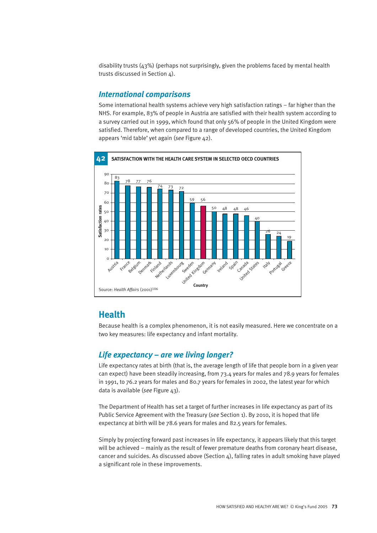disability trusts (43%) (perhaps not surprisingly, given the problems faced by mental health trusts discussed in Section 4).

#### *International comparisons*

Some international health systems achieve very high satisfaction ratings – far higher than the NHS. For example, 83% of people in Austria are satisfied with their health system according to a survey carried out in 1999, which found that only 56% of people in the United Kingdom were satisfied. Therefore, when compared to a range of developed countries, the United Kingdom appears 'mid table' yet again (*see* Figure 42).



#### **Health**

Because health is a complex phenomenon, it is not easily measured. Here we concentrate on a two key measures: life expectancy and infant mortality.

#### *Life expectancy – are we living longer?*

Life expectancy rates at birth (that is, the average length of life that people born in a given year can expect) have been steadily increasing, from 73.4 years for males and 78.9 years for females in 1991, to 76.2 years for males and 80.7 years for females in 2002, the latest year for which data is available (*see* Figure 43).

The Department of Health has set a target of further increases in life expectancy as part of its Public Service Agreement with the Treasury (*see* Section 1). By 2010, it is hoped that life expectancy at birth will be 78.6 years for males and 82.5 years for females.

Simply by projecting forward past increases in life expectancy, it appears likely that this target will be achieved – mainly as the result of fewer premature deaths from coronary heart disease, cancer and suicides. As discussed above (Section  $4$ ), falling rates in adult smoking have played a significant role in these improvements.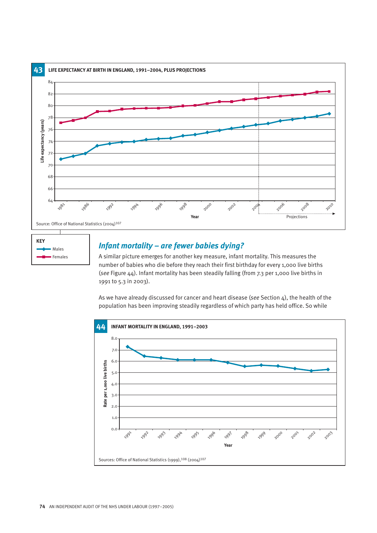



#### *Infant mortality – are fewer babies dying?*

A similar picture emerges for another key measure, infant mortality. This measures the number of babies who die before they reach their first birthday for every 1,000 live births (*see* Figure 44). Infant mortality has been steadily falling (from 7.3 per 1,000 live births in 1991 to 5.3 in 2003).

As we have already discussed for cancer and heart disease (*see* Section 4), the health of the population has been improving steadily regardless of which party has held office. So while

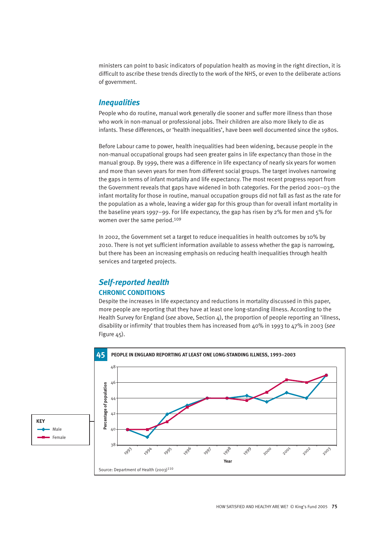ministers can point to basic indicators of population health as moving in the right direction, it is difficult to ascribe these trends directly to the work of the NHS, or even to the deliberate actions of government.

#### *Inequalities*

People who do routine, manual work generally die sooner and suffer more illness than those who work in non-manual or professional jobs. Their children are also more likely to die as infants. These differences, or 'health inequalities', have been well documented since the 1980s.

Before Labour came to power, health inequalities had been widening, because people in the non-manual occupational groups had seen greater gains in life expectancy than those in the manual group. By 1999, there was a difference in life expectancy of nearly six years for women and more than seven years for men from different social groups. The target involves narrowing the gaps in terms of infant mortality and life expectancy. The most recent progress report from the Government reveals that gaps have widened in both categories. For the period 2001–03 the infant mortality for those in routine, manual occupation groups did not fall as fast as the rate for the population as a whole, leaving a wider gap for this group than for overall infant mortality in the baseline years 1997–99. For life expectancy, the gap has risen by 2% for men and 5% for women over the same period.<sup>109</sup>

In 2002, the Government set a target to reduce inequalities in health outcomes by 10% by 2010. There is not yet sufficient information available to assess whether the gap is narrowing, but there has been an increasing emphasis on reducing health inequalities through health services and targeted projects.

#### *Self-reported health* **CHRONIC CONDITIONS**

Despite the increases in life expectancy and reductions in mortality discussed in this paper, more people are reporting that they have at least one long-standing illness. According to the Health Survey for England (*see* above, Section 4), the proportion of people reporting an 'illness, disability or infirmity' that troubles them has increased from 40% in 1993 to 47% in 2003 (*see* Figure 45).

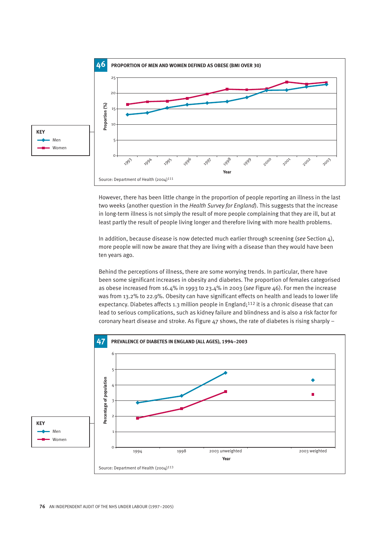

However, there has been little change in the proportion of people reporting an illness in the last two weeks (another question in the *Health Survey for England*). This suggests that the increase in long-term illness is not simply the result of more people complaining that they are ill, but at least partly the result of people living longer and therefore living with more health problems.

In addition, because disease is now detected much earlier through screening (*see* Section 4), more people will now be aware that they are living with a disease than they would have been ten years ago.

Behind the perceptions of illness, there are some worrying trends. In particular, there have been some significant increases in obesity and diabetes. The proportion of females categorised as obese increased from 16.4% in 1993 to 23.4% in 2003 (*see* Figure 46). For men the increase was from 13.2% to 22.9%. Obesity can have significant effects on health and leads to lower life expectancy. Diabetes affects 1.3 million people in England;<sup>112</sup> it is a chronic disease that can lead to serious complications, such as kidney failure and blindness and is also a risk factor for coronary heart disease and stroke. As Figure 47 shows, the rate of diabetes is rising sharply –

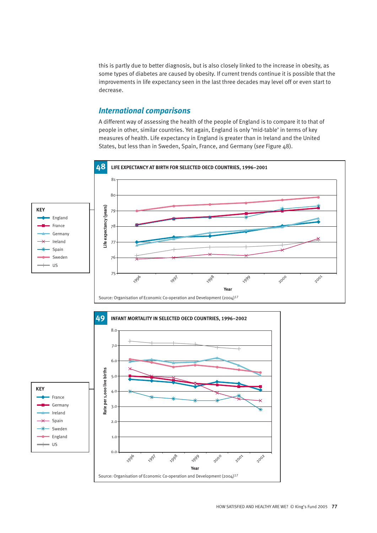this is partly due to better diagnosis, but is also closely linked to the increase in obesity, as some types of diabetes are caused by obesity. If current trends continue it is possible that the improvements in life expectancy seen in the last three decades may level off or even start to decrease.

#### *International comparisons*

A different way of assessing the health of the people of England is to compare it to that of people in other, similar countries. Yet again, England is only 'mid-table' in terms of key measures of health. Life expectancy in England is greater than in Ireland and the United States, but less than in Sweden, Spain, France, and Germany (*see* Figure 48).

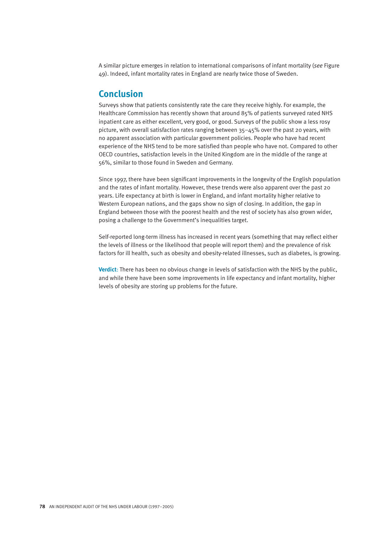A similar picture emerges in relation to international comparisons of infant mortality (*see* Figure 49). Indeed, infant mortality rates in England are nearly twice those of Sweden.

#### **Conclusion**

Surveys show that patients consistently rate the care they receive highly. For example, the Healthcare Commission has recently shown that around 85% of patients surveyed rated NHS inpatient care as either excellent, very good, or good. Surveys of the public show a less rosy picture, with overall satisfaction rates ranging between 35–45% over the past 20 years, with no apparent association with particular government policies. People who have had recent experience of the NHS tend to be more satisfied than people who have not. Compared to other OECD countries, satisfaction levels in the United Kingdom are in the middle of the range at 56%, similar to those found in Sweden and Germany.

Since 1997, there have been significant improvements in the longevity of the English population and the rates of infant mortality. However, these trends were also apparent over the past 20 years. Life expectancy at birth is lower in England, and infant mortality higher relative to Western European nations, and the gaps show no sign of closing. In addition, the gap in England between those with the poorest health and the rest of society has also grown wider, posing a challenge to the Government's inequalities target.

Self-reported long-term illness has increased in recent years (something that may reflect either the levels of illness or the likelihood that people will report them) and the prevalence of risk factors for ill health, such as obesity and obesity-related illnesses, such as diabetes, is growing.

**Verdict**: There has been no obvious change in levels of satisfaction with the NHS by the public, and while there have been some improvements in life expectancy and infant mortality, higher levels of obesity are storing up problems for the future.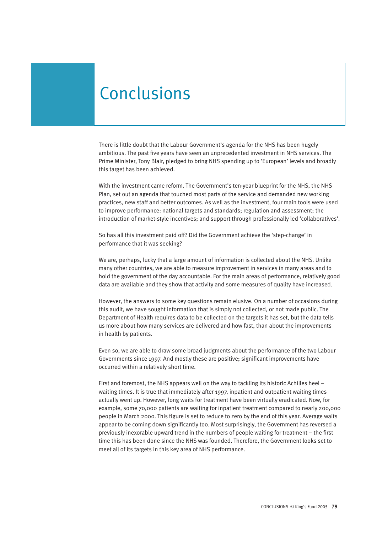## **Conclusions**

There is little doubt that the Labour Government's agenda for the NHS has been hugely ambitious. The past five years have seen an unprecedented investment in NHS services. The Prime Minister, Tony Blair, pledged to bring NHS spending up to 'European' levels and broadly this target has been achieved.

With the investment came reform. The Government's ten-year blueprint for the NHS, the NHS Plan, set out an agenda that touched most parts of the service and demanded new working practices, new staff and better outcomes. As well as the investment, four main tools were used to improve performance: national targets and standards; regulation and assessment; the introduction of market-style incentives; and support through professionally led 'collaboratives'.

So has all this investment paid off? Did the Government achieve the 'step-change' in performance that it was seeking?

We are, perhaps, lucky that a large amount of information is collected about the NHS. Unlike many other countries, we are able to measure improvement in services in many areas and to hold the government of the day accountable. For the main areas of performance, relatively good data are available and they show that activity and some measures of quality have increased.

However, the answers to some key questions remain elusive. On a number of occasions during this audit, we have sought information that is simply not collected, or not made public. The Department of Health requires data to be collected on the targets it has set, but the data tells us more about how many services are delivered and how fast, than about the improvements in health by patients.

Even so, we are able to draw some broad judgments about the performance of the two Labour Governments since 1997. And mostly these are positive; significant improvements have occurred within a relatively short time.

First and foremost, the NHS appears well on the way to tackling its historic Achilles heel – waiting times. It is true that immediately after 1997, inpatient and outpatient waiting times actually went up. However, long waits for treatment have been virtually eradicated. Now, for example, some 70,000 patients are waiting for inpatient treatment compared to nearly 200,000 people in March 2000. This figure is set to reduce to zero by the end of this year. Average waits appear to be coming down significantly too. Most surprisingly, the Government has reversed a previously inexorable upward trend in the numbers of people waiting for treatment – the first time this has been done since the NHS was founded. Therefore, the Government looks set to meet all of its targets in this key area of NHS performance.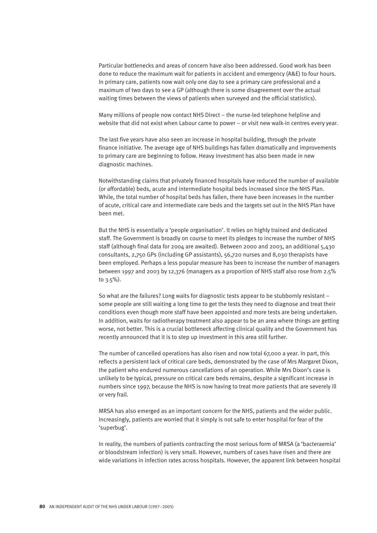Particular bottlenecks and areas of concern have also been addressed. Good work has been done to reduce the maximum wait for patients in accident and emergency (A&E) to four hours. In primary care, patients now wait only one day to see a primary care professional and a maximum of two days to see a GP (although there is some disagreement over the actual waiting times between the views of patients when surveyed and the official statistics).

Many millions of people now contact NHS Direct – the nurse-led telephone helpline and website that did not exist when Labour came to power – or visit new walk-in centres every year.

The last five years have also seen an increase in hospital building, through the private finance initiative. The average age of NHS buildings has fallen dramatically and improvements to primary care are beginning to follow. Heavy investment has also been made in new diagnostic machines.

Notwithstanding claims that privately financed hospitals have reduced the number of available (or affordable) beds, acute and intermediate hospital beds increased since the NHS Plan. While, the total number of hospital beds has fallen, there have been increases in the number of acute, critical care and intermediate care beds and the targets set out in the NHS Plan have been met.

But the NHS is essentially a 'people organisation'. It relies on highly trained and dedicated staff. The Government is broadly on course to meet its pledges to increase the number of NHS staff (although final data for 2004 are awaited). Between 2000 and 2003, an additional 5,430 consultants, 2,750 GPs (including GP assistants), 56,720 nurses and 8,030 therapists have been employed. Perhaps a less popular measure has been to increase the number of managers between 1997 and 2003 by 12,376 (managers as a proportion of NHS staff also rose from 2.5% to 3.5%).

So what are the failures? Long waits for diagnostic tests appear to be stubbornly resistant – some people are still waiting a long time to get the tests they need to diagnose and treat their conditions even though more staff have been appointed and more tests are being undertaken. In addition, waits for radiotherapy treatment also appear to be an area where things are getting worse, not better. This is a crucial bottleneck affecting clinical quality and the Government has recently announced that it is to step up investment in this area still further.

The number of cancelled operations has also risen and now total 67,000 a year. In part, this reflects a persistent lack of critical care beds, demonstrated by the case of Mrs Margaret Dixon, the patient who endured numerous cancellations of an operation. While Mrs Dixon's case is unlikely to be typical, pressure on critical care beds remains, despite a significant increase in numbers since 1997, because the NHS is now having to treat more patients that are severely ill or very frail.

MRSA has also emerged as an important concern for the NHS, patients and the wider public. Increasingly, patients are worried that it simply is not safe to enter hospital for fear of the 'superbug'.

In reality, the numbers of patients contracting the most serious form of MRSA (a 'bacteraemia' or bloodstream infection) is very small. However, numbers of cases have risen and there are wide variations in infection rates across hospitals. However, the apparent link between hospital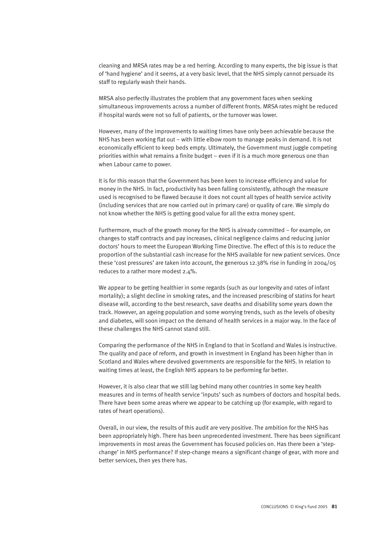cleaning and MRSA rates may be a red herring. According to many experts, the big issue is that of 'hand hygiene' and it seems, at a very basic level, that the NHS simply cannot persuade its staff to regularly wash their hands.

MRSA also perfectly illustrates the problem that any government faces when seeking simultaneous improvements across a number of different fronts. MRSA rates might be reduced if hospital wards were not so full of patients, or the turnover was lower.

However, many of the improvements to waiting times have only been achievable because the NHS has been working flat out – with little elbow room to manage peaks in demand. It is not economically efficient to keep beds empty. Ultimately, the Government must juggle competing priorities within what remains a finite budget – even if it is a much more generous one than when Labour came to power.

It is for this reason that the Government has been keen to increase efficiency and value for money in the NHS. In fact, productivity has been falling consistently, although the measure used is recognised to be flawed because it does not count all types of health service activity (including services that are now carried out in primary care) or quality of care. We simply do not know whether the NHS is getting good value for all the extra money spent.

Furthermore, much of the growth money for the NHS is already committed – for example, on changes to staff contracts and pay increases, clinical negligence claims and reducing junior doctors' hours to meet the European Working Time Directive. The effect of this is to reduce the proportion of the substantial cash increase for the NHS available for new patient services. Once these 'cost pressures' are taken into account, the generous 12.38% rise in funding in 2004/05 reduces to a rather more modest 2.4%.

We appear to be getting healthier in some regards (such as our longevity and rates of infant mortality); a slight decline in smoking rates, and the increased prescribing of statins for heart disease will, according to the best research, save deaths and disability some years down the track. However, an ageing population and some worrying trends, such as the levels of obesity and diabetes, will soon impact on the demand of health services in a major way. In the face of these challenges the NHS cannot stand still.

Comparing the performance of the NHS in England to that in Scotland and Wales is instructive. The quality and pace of reform, and growth in investment in England has been higher than in Scotland and Wales where devolved governments are responsible for the NHS. In relation to waiting times at least, the English NHS appears to be performing far better.

However, it is also clear that we still lag behind many other countries in some key health measures and in terms of health service 'inputs' such as numbers of doctors and hospital beds. There have been some areas where we appear to be catching up (for example, with regard to rates of heart operations).

Overall, in our view, the results of this audit are very positive. The ambition for the NHS has been appropriately high. There has been unprecedented investment. There has been significant improvements in most areas the Government has focused policies on. Has there been a 'stepchange' in NHS performance? If step-change means a significant change of gear, with more and better services, then yes there has.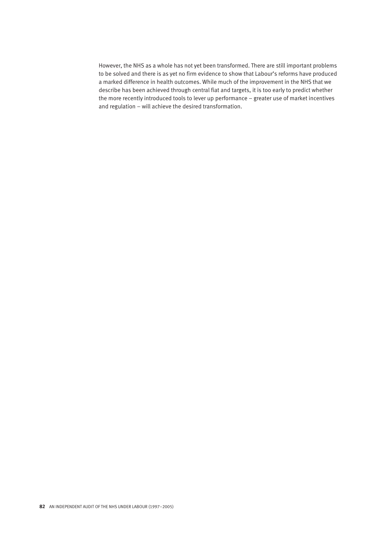However, the NHS as a whole has not yet been transformed. There are still important problems to be solved and there is as yet no firm evidence to show that Labour's reforms have produced a marked difference in health outcomes. While much of the improvement in the NHS that we describe has been achieved through central fiat and targets, it is too early to predict whether the more recently introduced tools to lever up performance – greater use of market incentives and regulation – will achieve the desired transformation.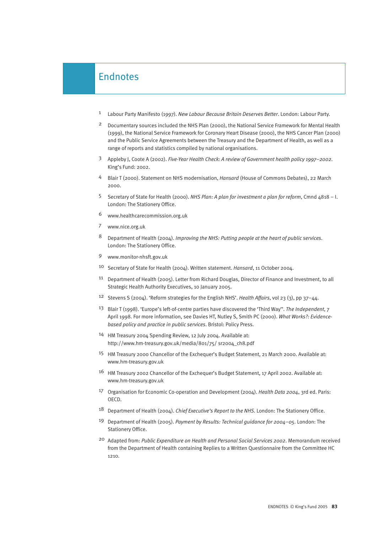#### Endnotes

- 1 Labour Party Manifesto (1997). *New Labour Because Britain Deserves Better*. London: Labour Party.
- 2 Documentary sources included the NHS Plan (2000), the National Service Framework for Mental Health (1999), the National Service Framework for Coronary Heart Disease (2000), the NHS Cancer Plan (2000) and the Public Service Agreements between the Treasury and the Department of Health, as well as a range of reports and statistics compiled by national organisations.
- 3 Appleby J, Coote A (2002). *Five-Year Health Check: A review of Government health policy 1997–2002*. King's Fund: 2002.
- 4 Blair T (2000). Statement on NHS modernisation, *Hansard* (House of Commons Debates), 22 March 2000.
- 5 Secretary of State for Health (2000). *NHS Plan: A plan for investment a plan for reform*, Cmnd 4818 I. London: The Stationery Office.
- 6 www.healthcarecommission.org.uk
- 7 www.nice.org.uk
- 8 Department of Health (2004). *Improving the NHS: Putting people at the heart of public services*. London: The Stationery Office.
- 9 www.monitor-nhsft.gov.uk
- 10 Secretary of State for Health (2004). Written statement. *Hansard*, 11 October 2004.
- 11 Department of Health (2005). Letter from Richard Douglas, Director of Finance and Investment, to all Strategic Health Authority Executives, 10 January 2005.
- 12 Stevens S (2004). 'Reform strategies for the English NHS'. *Health Affairs*, vol 23 (3), pp 37–44.
- 13 Blair T (1998). 'Europe's left-of-centre parties have discovered the 'Third Way''. *The Independent*, 7 April 1998. For more information, see Davies HT, Nutley S, Smith PC (2000). *What Works?: Evidencebased policy and practice in public services*. Bristol: Policy Press.
- 14 HM Treasury 2004 Spending Review, 12 July 2004. Available at: http://www.hm-treasury.gov.uk/media/801/75/ sr2004\_ch8.pdf
- 15 HM Treasury 2000 Chancellor of the Exchequer's Budget Statement, 21 March 2000. Available at: www.hm-treasury.gov.uk
- 16 HM Treasury 2002 Chancellor of the Exchequer's Budget Statement, 17 April 2002. Available at: www.hm-treasury.gov.uk
- 17 Organisation for Economic Co-operation and Development (2004). *Health Data 2004*, 3rd ed. Paris: OECD.
- 18 Department of Health (2004). *Chief Executive's Report to the NHS.* London: The Stationery Office.
- 19 Department of Health (2005). *Payment by Results: Technical guidance for 2004–05*. London: The Stationery Office.
- 20 Adapted from: *Public Expenditure on Health and Personal Social Services 2002*. Memorandum received from the Department of Health containing Replies to a Written Questionnaire from the Committee HC 1210.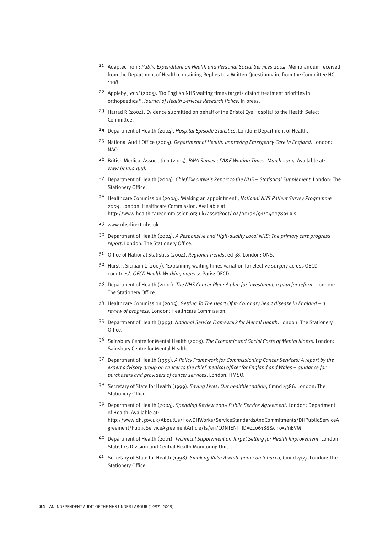- 21 Adapted from: *Public Expenditure on Health and Personal Social Services 2004*. Memorandum received from the Department of Health containing Replies to a Written Questionnaire from the Committee HC 1108.
- 22 Appleby J *et al* (2005). 'Do English NHS waiting times targets distort treatment priorities in orthopaedics?', *Journal of Health Services Research Policy*. In press.
- 23 Harrad R (2004). Evidence submitted on behalf of the Bristol Eye Hospital to the Health Select Committee.
- 24 Department of Health (2004). *Hospital Episode Statistics*. London: Department of Health.
- 25 National Audit Office (2004). *Department of Health: Improving Emergency Care in England*. London: NAO.
- 26 British Medical Association (2005). *BMA Survey of A&E Waiting Times, March 2005.* Available at: *www.bma.org.uk*
- 27 Department of Health (2004). *Chief Executive's Report to the NHS Statistical Supplement*. London: The Stationery Office.
- 28 Healthcare Commission (2004). 'Making an appointment', *National NHS Patient Survey Programme 2004*. London: Healthcare Commission. Available at: http://www.health carecommission.org.uk/assetRoot/ 04/00/78/91/04007891.xls
- 29 www.nhsdirect.nhs.uk
- 30 Department of Health (2004). *A Responsive and High-quality Local NHS: The primary care progress report*. London: The Stationery Office.
- 31 Office of National Statistics (2004). *Regional Trends*, ed 38. London: ONS.
- 32 Hurst J, Siciliani L (2003). 'Explaining waiting times variation for elective surgery across OECD countries', *OECD Health Working paper 7*. Paris: OECD.
- 33 Department of Health (2000). *The NHS Cancer Plan: A plan for investment, a plan for reform*. London: The Stationery Office.
- 34 Healthcare Commission (2005). *Getting To The Heart Of It: Coronary heart disease in England a review of progress*. London: Healthcare Commission.
- 35 Department of Health (1999). *National Service Framework for Mental Health*. London: The Stationery Office.
- 36 Sainsbury Centre for Mental Health (2003). *The Economic and Social Costs of Mental Illness*. London: Sainsbury Centre for Mental Health.
- 37 Department of Health (1995). *A Policy Framework for Commissioning Cancer Services: A report by the expert advisory group on cancer to the chief medical officer for England and Wales – guidance for purchasers and providers of cancer services*. London: HMSO.
- 38 Secretary of State for Health (1999). *Saving Lives: Our healthier nation*, Cmnd 4386. London: The Stationery Office.
- 39 Department of Health (2004). *Spending Review 2004 Public Service Agreement*. London: Department of Health. Available at: http://www.dh.gov.uk/AboutUs/HowDHWorks/ServiceStandardsAndCommitments/DHPublicServiceA greement/PublicServiceAgreementArticle/fs/en?CONTENT\_ID=4106188&chk=zYiEVM
- 40 Department of Health (2001). *Technical Supplement on Target Setting for Health Improvement*. London: Statistics Division and Central Health Monitoring Unit.
- 41 Secretary of State for Health (1998). *Smoking Kills: A white paper on tobacco*, Cmnd 4177. London: The Stationery Office.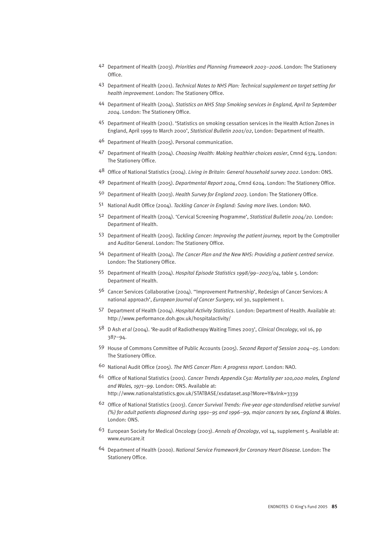- 42 Department of Health (2003). *Priorities and Planning Framework 2003–2006*. London: The Stationery Office.
- 43 Department of Health (2001). *Technical Notes to NHS Plan: Technical supplement on target setting for health improvement*. London: The Stationery Office.
- 44 Department of Health (2004). *Statistics on NHS Stop Smoking services in England, April to September 2004*. London: The Stationery Office.
- 45 Department of Health (2001). 'Statistics on smoking cessation services in the Health Action Zones in England, April 1999 to March 2000', *Statistical Bulletin 2001/02*, London: Department of Health.
- 46 Department of Health (2005). Personal communication.
- 47 Department of Health (2004). *Choosing Health: Making healthier choices easier*, Cmnd 6374. London: The Stationery Office.
- 48 Office of National Statistics (2004). *Living in Britain: General household survey 2002*. London: ONS.
- 49 Department of Health (2005). *Departmental Report 2004*, Cmnd 6204. London: The Stationery Office.
- 50 Department of Health (2003). *Health Survey for England 2003*. London: The Stationery Office.
- 51 National Audit Office (2004). *Tackling Cancer in England: Saving more lives*. London: NAO.
- 52 Department of Health (2004). 'Cervical Screening Programme', *Statistical Bulletin 2004/20*. London: Department of Health.
- 53 Department of Health (2005). *Tackling Cancer: Improving the patient journey,* report by the Comptroller and Auditor General. London: The Stationery Office.
- 54 Department of Health (2004). *The Cancer Plan and the New NHS: Providing a patient centred service*. London: The Stationery Office.
- 55 Department of Health (2004). *Hospital Episode Statistics 1998/99–2003/04*, table 5. London: Department of Health.
- 56 Cancer Services Collaborative (2004). ''Improvement Partnership', Redesign of Cancer Services: A national approach', *European Journal of Cancer Surgery*, vol 30, supplement 1.
- 57 Department of Health (2004). *Hospital Activity Statistics*. London: Department of Health. Available at: http://www.performance.doh.gov.uk/hospitalactivity/
- 58 D Ash *et al* (2004). 'Re-audit of Radiotherapy Waiting Times 2003', *Clinical Oncology*, vol 16, pp 387–94.
- 59 House of Commons Committee of Public Accounts (2005). *Second Report of Session 2004–05*. London: The Stationery Office.
- 60 National Audit Office (2005). *The NHS Cancer Plan: A progress report*. London: NAO.
- 61 Office of National Statistics (2001). *Cancer Trends Appendix C5a: Mortality per 100,000 males, England and Wales, 1971–99*. London: ONS. Available at: http://www.nationalstatistics.gov.uk/STATBASE/xsdataset.asp?More=Y&vlnk=3339
- 62 Office of National Statistics (2003). *Cancer Survival Trends: Five-year age-standardised relative survival (%) for adult patients diagnosed during 1991–95 and 1996–99, major cancers by sex, England & Wales*. London: ONS.
- 63 European Society for Medical Oncology (2003). *Annals of Oncology*, vol 14, supplement 5. Available at: www.eurocare.it
- 64 Department of Health (2000). *National Service Framework for Coronary Heart Disease*. London: The Stationery Office.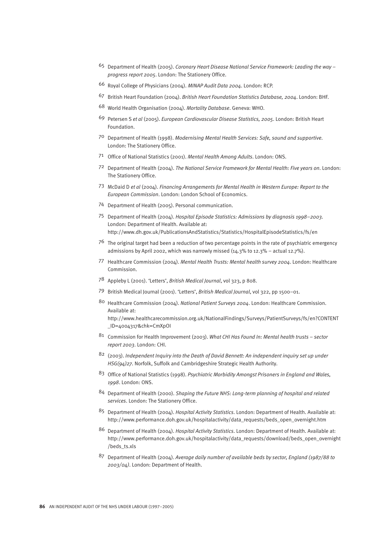- 65 Department of Health (2005). *Coronary Heart Disease National Service Framework: Leading the way – progress report 2005*. London: The Stationery Office.
- 66 Royal College of Physicians (2004). *MINAP Audit Data 2004*. London: RCP.
- 67 British Heart Foundation (2004). *British Heart Foundation Statistics Database, 2004*. London: BHF.
- 68 World Health Organisation (2004). *Mortality Database*. Geneva: WHO.
- 69 Petersen S *et al* (2005). *European Cardiovascular Disease Statistics, 2005*. London: British Heart Foundation.
- 70 Department of Health (1998). *Modernising Mental Health Services: Safe, sound and supportive*. London: The Stationery Office.
- 71 Office of National Statistics (2001). *Mental Health Among Adults*. London: ONS.
- 72 Department of Health (2004). *The National Service Framework for Mental Health: Five years on*. London: The Stationery Office.
- 73 McDaid D *et al* (2004). *Financing Arrangements for Mental Health in Western Europe: Report to the European Commission*. London: London School of Economics.
- 74 Department of Health (2005). Personal communication.
- 75 Department of Health (2004). *Hospital Episode Statistics: Admissions by diagnosis 1998–2003*. London: Department of Health. Available at: http://www.dh.gov.uk/PublicationsAndStatistics/Statistics/HospitalEpisodeStatistics/fs/en
- 76 The original target had been a reduction of two percentage points in the rate of psychiatric emergency admissions by April 2002, which was narrowly missed  $(14.3\%$  to 12.3% – actual 12.7%).
- 77 Healthcare Commission (2004). *Mental Health Trusts: Mental health survey 2004*. London: Healthcare Commission.
- 78 Appleby L (2001). 'Letters', *British Medical Journal*, vol 323, p 808.
- 79 British Medical Journal (2001). 'Letters', *British Medical Journal*, vol 322, pp 1500–01.
- 80 Healthcare Commission (2004). *National Patient Surveys 2004*. London: Healthcare Commission. Available at: http://www.healthcarecommission.org.uk/NationalFindings/Surveys/PatientSurveys/fs/en?CONTENT

\_ID=4004317&chk=CmXpOI

- 81 Commission for Health Improvement (2003). *What CHI Has Found In: Mental health trusts sector report 2003*. London: CHI.
- 82 (2003). *Independent Inquiry into the Death of David Bennett: An independent inquiry set up under HSG(94)27*. Norfolk, Suffolk and Cambridgeshire Strategic Health Authority.
- 83 Office of National Statistics (1998). *Psychiatric Morbidity Amongst Prisoners in England and Wales, 1998*. London: ONS.
- 84 Department of Health (2000). *Shaping the Future NHS: Long-term planning of hospital and related services*. London: The Stationery Office.
- 85 Department of Health (2004). *Hospital Activity Statistics*. London: Department of Health. Available at: http://www.performance.doh.gov.uk/hospitalactivity/data\_requests/beds\_open\_overnight.htm
- 86 Department of Health (2004). *Hospital Activity Statistics*. London: Department of Health. Available at: http://www.performance.doh.gov.uk/hospitalactivity/data\_requests/download/beds\_open\_overnight /beds\_ts.xls
- 87 Department of Health (2004). *Average daily number of available beds by sector, England (1987/88 to 2003/04)*. London: Department of Health.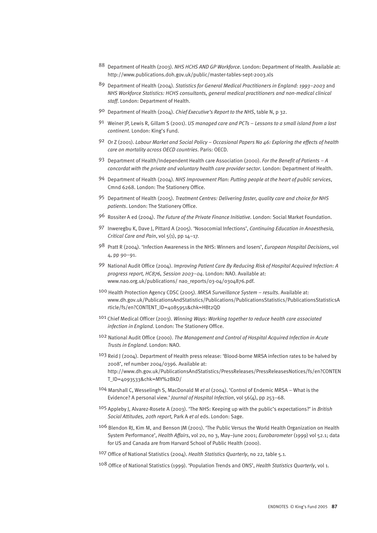- 88 Department of Health (2003). *NHS HCHS AND GP Workforce*. London: Department of Health. Available at: http://www.publications.doh.gov.uk/public/master-tables-sept-2003.xls
- 89 Department of Health (2004). *Statistics for General Medical Practitioners in England: 1993–2003* and *NHS Workforce Statistics: HCHS consultants, general medical practitioners and non-medical clinical staff*. London: Department of Health.
- 90 Department of Health (2004). *Chief Executive's Report to the NHS*, table N, p 32.
- 91 Weiner JP, Lewis R, Gillam S (2001). *US managed care and PCTs Lessons to a small island from a lost continent*. London: King's Fund.
- 92 Or Z (2001). *Labour Market and Social Policy Occasional Papers No 46: Exploring the effects of health care on mortality across OECD countries*. Paris: OECD.
- 93 Department of Health/Independent Health care Association (2000). *For the Benefit of Patients A concordat with the private and voluntary health care provider sector*. London: Department of Health.
- 94 Department of Health (2004). *NHS Improvement Plan: Putting people at the heart of public services*, Cmnd 6268. London: The Stationery Office.
- 95 Department of Health (2005). *Treatment Centres: Delivering faster, quality care and choice for NHS patients*. London: The Stationery Office.
- 96 Rossiter A ed (2004). *The Future of the Private Finance Initiative*. London: Social Market Foundation.
- 97 Inweregbu K, Dave J, Pittard A (2005). 'Nosocomial Infections', *Continuing Education in Anaesthesia, Critical Care and Pain*, vol 5(1), pp 14–17.
- 98 Pratt R (2004). 'Infection Awareness in the NHS: Winners and losers', *European Hospital Decisions*, vol 4, pp 90–91.
- 99 National Audit Office (2004). *Improving Patient Care By Reducing Risk of Hospital Acquired Infection: A progress report, HC876, Session 2003–04*. London: NAO. Available at: www.nao.org.uk/publications/ nao\_reports/03-04/0304876.pdf.
- 100 Health Protection Agency CDSC (2005). *MRSA Surveillance System results*. Available at: www.dh.gov.uk/PublicationsAndStatistics/Publications/PublicationsStatistics/PublicationsStatisticsA rticle/fs/en?CONTENT\_ID=4085951&chk=HBt2QD
- 101 Chief Medical Officer (2003). *Winning Ways: Working together to reduce health care associated infection in England*. London: The Stationery Office.
- 102 National Audit Office (2000). *The Management and Control of Hospital Acquired Infection in Acute Trusts in England*. London: NAO.
- 103 Reid J (2004). Department of Health press release: 'Blood-borne MRSA infection rates to be halved by 2008', ref number 2004/0396. Available at: http://www.dh.gov.uk/PublicationsAndStatistics/PressReleases/PressReleasesNotices/fs/en?CONTEN T\_ID=4093533&chk=MY%2BkD/
- 104 Marshall C, Wesselingh S, MacDonald M *et al* (2004). 'Control of Endemic MRSA What is the Evidence? A personal view.' *Journal of Hospital Infection*, vol 56(4), pp 253–68.
- 105 Appleby J, Alvarez-Rosete A (2003). 'The NHS: Keeping up with the public's expectations?' in *British Social Attitudes, 20th report*, Park A *et al* eds. London: Sage.
- 106 Blendon RJ, Kim M, and Benson JM (2001). 'The Public Versus the World Health Organization on Health System Performance', *Health Affairs*, vol 20, no 3, May–June 2001; *Eurobarometer* (1999) vol 52.1; data for US and Canada are from Harvard School of Public Health (2000).
- 107 Office of National Statistics (2004). *Health Statistics Quarterly*, no 22, table 5.1.
- 108 Office of National Statistics (1999). 'Population Trends and ONS', *Health Statistics Quarterly*, vol 1.